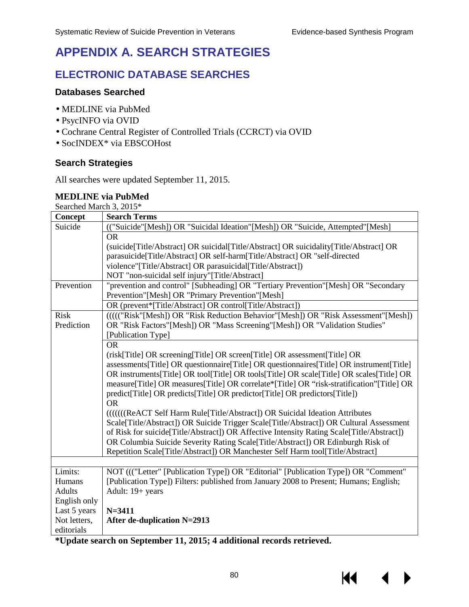KI

# **APPENDIX A. SEARCH STRATEGIES**

### **ELECTRONIC DATABASE SEARCHES**

#### **Databases Searched**

- · MEDLINE via PubMed
- · PsycINFO via OVID
- · Cochrane Central Register of Controlled Trials (CCRCT) via OVID
- · SocINDEX\* via EBSCOHost

#### **Search Strategies**

All searches were updated September 11, 2015.

#### **MEDLINE via PubMed**

Searched March 3, 2015\*

| Concept       | <b>Search Terms</b>                                                                           |  |  |
|---------------|-----------------------------------------------------------------------------------------------|--|--|
| Suicide       | (("Suicide"[Mesh]) OR "Suicidal Ideation"[Mesh]) OR "Suicide, Attempted"[Mesh]                |  |  |
|               | <b>OR</b>                                                                                     |  |  |
|               | (suicide[Title/Abstract] OR suicidal[Title/Abstract] OR suicidality[Title/Abstract] OR        |  |  |
|               | parasuicide[Title/Abstract] OR self-harm[Title/Abstract] OR "self-directed                    |  |  |
|               | violence"[Title/Abstract] OR parasuicidal[Title/Abstract])                                    |  |  |
|               | NOT "non-suicidal self injury"[Title/Abstract]                                                |  |  |
| Prevention    | "prevention and control" [Subheading] OR "Tertiary Prevention" [Mesh] OR "Secondary           |  |  |
|               | Prevention"[Mesh] OR "Primary Prevention"[Mesh]                                               |  |  |
|               | OR (prevent*[Title/Abstract] OR control[Title/Abstract])                                      |  |  |
| <b>Risk</b>   | (((("Risk"[Mesh]) OR "Risk Reduction Behavior"[Mesh]) OR "Risk Assessment"[Mesh])             |  |  |
| Prediction    | OR "Risk Factors"[Mesh]) OR "Mass Screening"[Mesh]) OR "Validation Studies"                   |  |  |
|               | [Publication Type]                                                                            |  |  |
|               | <b>OR</b>                                                                                     |  |  |
|               | (risk[Title] OR screening[Title] OR screen[Title] OR assessment[Title] OR                     |  |  |
|               | assessments[Title] OR questionnaire[Title] OR questionnaires[Title] OR instrument[Title]      |  |  |
|               | OR instruments [Title] OR tool [Title] OR tools [Title] OR scale [Title] OR scales [Title] OR |  |  |
|               | measure[Title] OR measures[Title] OR correlate*[Title] OR "risk-stratification"[Title] OR     |  |  |
|               | predict[Title] OR predicts[Title] OR predictor[Title] OR predictors[Title])                   |  |  |
|               | <b>OR</b>                                                                                     |  |  |
|               | ((((((ReACT Self Harm Rule[Title/Abstract]) OR Suicidal Ideation Attributes                   |  |  |
|               | Scale[Title/Abstract]) OR Suicide Trigger Scale[Title/Abstract]) OR Cultural Assessment       |  |  |
|               | of Risk for suicide [Title/Abstract]) OR Affective Intensity Rating Scale [Title/Abstract])   |  |  |
|               | OR Columbia Suicide Severity Rating Scale[Title/Abstract]) OR Edinburgh Risk of               |  |  |
|               | Repetition Scale[Title/Abstract]) OR Manchester Self Harm tool[Title/Abstract]                |  |  |
|               |                                                                                               |  |  |
| Limits:       | NOT ((("Letter" [Publication Type]) OR "Editorial" [Publication Type]) OR "Comment"           |  |  |
| Humans        | [Publication Type]) Filters: published from January 2008 to Present; Humans; English;         |  |  |
| <b>Adults</b> | Adult: 19+ years                                                                              |  |  |
| English only  |                                                                                               |  |  |
| Last 5 years  | $N = 3411$                                                                                    |  |  |
| Not letters,  | After de-duplication N=2913                                                                   |  |  |
| editorials    |                                                                                               |  |  |

**\*Update search on September 11, 2015; 4 additional records retrieved.**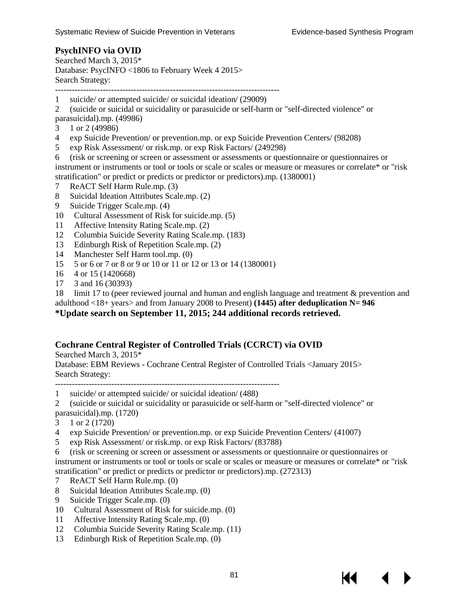#### **PsychINFO via OVID**

Searched March 3, 2015\* Database: PsycINFO <1806 to February Week 4 2015> Search Strategy:

--------------------------------------------------------------------------------

1 suicide/ or attempted suicide/ or suicidal ideation/ (29009)

2 (suicide or suicidal or suicidality or parasuicide or self-harm or "self-directed violence" or parasuicidal).mp. (49986)

- 3 1 or 2 (49986)
- 4 exp Suicide Prevention/ or prevention.mp. or exp Suicide Prevention Centers/ (98208)
- 5 exp Risk Assessment/ or risk.mp. or exp Risk Factors/ (249298)
- 6 (risk or screening or screen or assessment or assessments or questionnaire or questionnaires or instrument or instruments or tool or tools or scale or scales or measure or measures or correlate\* or "risk stratification" or predict or predicts or predictor or predictors).mp. (1380001)
- 7 ReACT Self Harm Rule.mp. (3)
- 8 Suicidal Ideation Attributes Scale.mp. (2)
- 9 Suicide Trigger Scale.mp. (4)
- 10 Cultural Assessment of Risk for suicide.mp. (5)
- 11 Affective Intensity Rating Scale.mp. (2)
- 12 Columbia Suicide Severity Rating Scale.mp. (183)
- 13 Edinburgh Risk of Repetition Scale.mp. (2)
- 14 Manchester Self Harm tool.mp. (0)
- 15 5 or 6 or 7 or 8 or 9 or 10 or 11 or 12 or 13 or 14 (1380001)
- 16 4 or 15 (1420668)
- 17 3 and 16 (30393)

18 limit 17 to (peer reviewed journal and human and english language and treatment & prevention and

adulthood <18+ years> and from January 2008 to Present) **(1445) after deduplication N= 946**

#### **\*Update search on September 11, 2015; 244 additional records retrieved.**

#### **Cochrane Central Register of Controlled Trials (CCRCT) via OVID**

Searched March 3, 2015\* Database: EBM Reviews - Cochrane Central Register of Controlled Trials <January 2015> Search Strategy:

--------------------------------------------------------------------------------

1 suicide/ or attempted suicide/ or suicidal ideation/ (488)

2 (suicide or suicidal or suicidality or parasuicide or self-harm or "self-directed violence" or

- parasuicidal).mp. (1720)
- 3 1 or 2 (1720)
- 4 exp Suicide Prevention/ or prevention.mp. or exp Suicide Prevention Centers/ (41007)
- 5 exp Risk Assessment/ or risk.mp. or exp Risk Factors/ (83788)

6 (risk or screening or screen or assessment or assessments or questionnaire or questionnaires or instrument or instruments or tool or tools or scale or scales or measure or measures or correlate\* or "risk stratification" or predict or predicts or predictor or predictors).mp. (272313)

- 7 ReACT Self Harm Rule.mp. (0)
- 8 Suicidal Ideation Attributes Scale.mp. (0)
- 9 Suicide Trigger Scale.mp. (0)
- 10 Cultural Assessment of Risk for suicide.mp. (0)
- 11 Affective Intensity Rating Scale.mp. (0)
- 12 Columbia Suicide Severity Rating Scale.mp. (11)
- 13 Edinburgh Risk of Repetition Scale.mp. (0)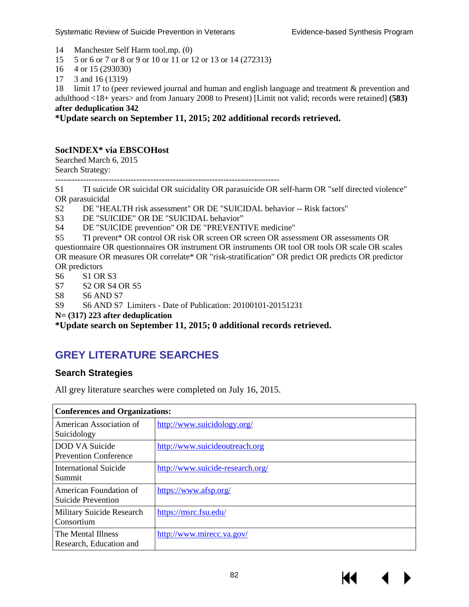- 14 Manchester Self Harm tool.mp. (0)
- 15 5 or 6 or 7 or 8 or 9 or 10 or 11 or 12 or 13 or 14 (272313)
- 16 4 or 15 (293030)
- 17 3 and 16 (1319)

18 limit 17 to (peer reviewed journal and human and english language and treatment & prevention and adulthood <18+ years> and from January 2008 to Present) [Limit not valid; records were retained] **(583) after deduplication 342**

**\*Update search on September 11, 2015; 202 additional records retrieved.**

#### **SocINDEX\* via EBSCOHost**

Searched March 6, 2015 Search Strategy:

--------------------------------------------------------------------------------

S1 TI suicide OR suicidal OR suicidality OR parasuicide OR self-harm OR "self directed violence" OR parasuicidal

S2 DE "HEALTH risk assessment" OR DE "SUICIDAL behavior -- Risk factors"

- S3 DE "SUICIDE" OR DE "SUICIDAL behavior"
- S4 DE "SUICIDE prevention" OR DE "PREVENTIVE medicine"

S5 TI prevent\* OR control OR risk OR screen OR screen OR assessment OR assessments OR questionnaire OR questionnaires OR instrument OR instruments OR tool OR tools OR scale OR scales OR measure OR measures OR correlate\* OR "risk-stratification" OR predict OR predicts OR predictor OR predictors

- S6 S1 OR S3
- S7 S2 OR S4 OR S5
- S8 S6 AND S7
- S9 S6 AND S7 Limiters Date of Publication: 20100101-20151231

**N= (317) 223 after deduplication** 

**\*Update search on September 11, 2015; 0 additional records retrieved.**

### **GREY LITERATURE SEARCHES**

#### **Search Strategies**

All grey literature searches were completed on July 16, 2015.

| <b>Conferences and Organizations:</b>                 |                                  |  |
|-------------------------------------------------------|----------------------------------|--|
| American Association of<br>Suicidology                | http://www.suicidology.org/      |  |
| <b>DOD VA Suicide</b><br><b>Prevention Conference</b> | http://www.suicideoutreach.org   |  |
| <b>International Suicide</b><br>Summit                | http://www.suicide-research.org/ |  |
| American Foundation of<br>Suicide Prevention          | https://www.afsp.org/            |  |
| Military Suicide Research<br>Consortium               | https://msrc.fsu.edu/            |  |
| The Mental Illness<br>Research, Education and         | http://www.mirecc.va.gov/        |  |

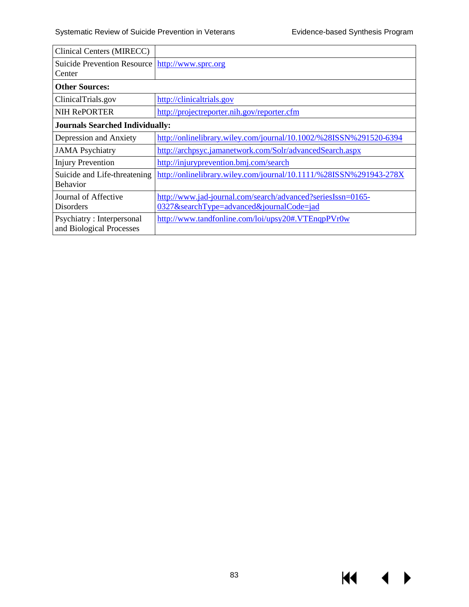$\overline{\mathbf{A}}$ 

▶

 $M^{\prime}$ 

| Clinical Centers (MIRECC)                                   |                                                                                                         |  |
|-------------------------------------------------------------|---------------------------------------------------------------------------------------------------------|--|
| Suicide Prevention Resource   http://www.sprc.org<br>Center |                                                                                                         |  |
| <b>Other Sources:</b>                                       |                                                                                                         |  |
| ClinicalTrials.gov                                          | http://clinicaltrials.gov                                                                               |  |
| <b>NIH RePORTER</b>                                         | http://projectreporter.nih.gov/reporter.cfm                                                             |  |
| <b>Journals Searched Individually:</b>                      |                                                                                                         |  |
| Depression and Anxiety                                      | http://onlinelibrary.wiley.com/journal/10.1002/%28ISSN%291520-6394                                      |  |
| <b>JAMA</b> Psychiatry                                      | http://archpsyc.jamanetwork.com/Solr/advancedSearch.aspx                                                |  |
| <b>Injury Prevention</b>                                    | http://injuryprevention.bmj.com/search                                                                  |  |
| Suicide and Life-threatening<br><b>Behavior</b>             | http://onlinelibrary.wiley.com/journal/10.1111/%28ISSN%291943-278X                                      |  |
| Journal of Affective<br><b>Disorders</b>                    | http://www.jad-journal.com/search/advanced?seriesIssn=0165-<br>0327&searchType=advanced&journalCode=jad |  |
| Psychiatry: Interpersonal<br>and Biological Processes       | http://www.tandfonline.com/loi/upsy20#.VTEnqpPVr0w                                                      |  |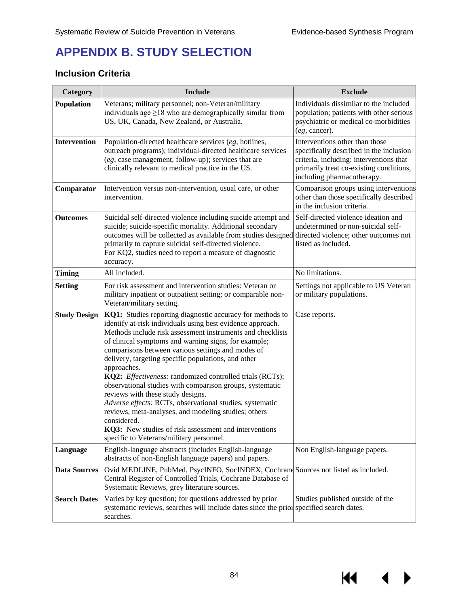KI I

# **APPENDIX B. STUDY SELECTION**

### **Inclusion Criteria**

| Category            | <b>Include</b>                                                                                                                                                                                                                                                                                                                                                                                                                                                                                                                                                                                                                                                                                                                                                                | <b>Exclude</b>                                                                                                                                                                                |
|---------------------|-------------------------------------------------------------------------------------------------------------------------------------------------------------------------------------------------------------------------------------------------------------------------------------------------------------------------------------------------------------------------------------------------------------------------------------------------------------------------------------------------------------------------------------------------------------------------------------------------------------------------------------------------------------------------------------------------------------------------------------------------------------------------------|-----------------------------------------------------------------------------------------------------------------------------------------------------------------------------------------------|
| <b>Population</b>   | Veterans; military personnel; non-Veteran/military<br>individuals age $\geq$ 18 who are demographically similar from<br>US, UK, Canada, New Zealand, or Australia.                                                                                                                                                                                                                                                                                                                                                                                                                                                                                                                                                                                                            | Individuals dissimilar to the included<br>population; patients with other serious<br>psychiatric or medical co-morbidities<br>(eg, cancer).                                                   |
| <b>Intervention</b> | Population-directed healthcare services (eg, hotlines,<br>outreach programs); individual-directed healthcare services<br>(eg, case management, follow-up); services that are<br>clinically relevant to medical practice in the US.                                                                                                                                                                                                                                                                                                                                                                                                                                                                                                                                            | Interventions other than those<br>specifically described in the inclusion<br>criteria, including: interventions that<br>primarily treat co-existing conditions,<br>including pharmacotherapy. |
| Comparator          | Intervention versus non-intervention, usual care, or other<br>intervention.                                                                                                                                                                                                                                                                                                                                                                                                                                                                                                                                                                                                                                                                                                   | Comparison groups using interventions<br>other than those specifically described<br>in the inclusion criteria.                                                                                |
| <b>Outcomes</b>     | Suicidal self-directed violence including suicide attempt and<br>suicide; suicide-specific mortality. Additional secondary<br>outcomes will be collected as available from studies designed<br>primarily to capture suicidal self-directed violence.<br>For KQ2, studies need to report a measure of diagnostic<br>accuracy.                                                                                                                                                                                                                                                                                                                                                                                                                                                  | Self-directed violence ideation and<br>undetermined or non-suicidal self-<br>directed violence; other outcomes not<br>listed as included.                                                     |
| <b>Timing</b>       | All included.                                                                                                                                                                                                                                                                                                                                                                                                                                                                                                                                                                                                                                                                                                                                                                 | No limitations.                                                                                                                                                                               |
| <b>Setting</b>      | For risk assessment and intervention studies: Veteran or<br>military inpatient or outpatient setting; or comparable non-<br>Veteran/military setting.                                                                                                                                                                                                                                                                                                                                                                                                                                                                                                                                                                                                                         | Settings not applicable to US Veteran<br>or military populations.                                                                                                                             |
| <b>Study Design</b> | KQ1: Studies reporting diagnostic accuracy for methods to<br>identify at-risk individuals using best evidence approach.<br>Methods include risk assessment instruments and checklists<br>of clinical symptoms and warning signs, for example;<br>comparisons between various settings and modes of<br>delivery, targeting specific populations, and other<br>approaches.<br>KQ2: Effectiveness: randomized controlled trials (RCTs);<br>observational studies with comparison groups, systematic<br>reviews with these study designs.<br>Adverse effects: RCTs, observational studies, systematic<br>reviews, meta-analyses, and modeling studies; others<br>considered.<br>KQ3: New studies of risk assessment and interventions<br>specific to Veterans/military personnel. | Case reports.                                                                                                                                                                                 |
| Language            | English-language abstracts (includes English-language<br>abstracts of non-English language papers) and papers.                                                                                                                                                                                                                                                                                                                                                                                                                                                                                                                                                                                                                                                                | Non English-language papers.                                                                                                                                                                  |
| <b>Data Sources</b> | Ovid MEDLINE, PubMed, PsycINFO, SocINDEX, Cochrand Sources not listed as included.<br>Central Register of Controlled Trials, Cochrane Database of<br>Systematic Reviews, grey literature sources.                                                                                                                                                                                                                                                                                                                                                                                                                                                                                                                                                                             |                                                                                                                                                                                               |
| <b>Search Dates</b> | Varies by key question; for questions addressed by prior<br>systematic reviews, searches will include dates since the prior specified search dates.<br>searches.                                                                                                                                                                                                                                                                                                                                                                                                                                                                                                                                                                                                              | Studies published outside of the                                                                                                                                                              |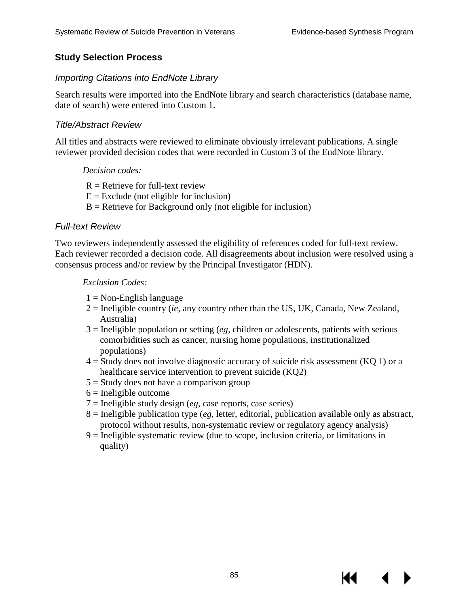К

#### **Study Selection Process**

#### *Importing Citations into EndNote Library*

Search results were imported into the EndNote library and search characteristics (database name, date of search) were entered into Custom 1.

#### *Title/Abstract Review*

All titles and abstracts were reviewed to eliminate obviously irrelevant publications. A single reviewer provided decision codes that were recorded in Custom 3 of the EndNote library.

#### *Decision codes:*

- $R =$  Retrieve for full-text review
- $E =$  Exclude (not eligible for inclusion)
- $B =$  Retrieve for Background only (not eligible for inclusion)

#### *Full-text Review*

Two reviewers independently assessed the eligibility of references coded for full-text review. Each reviewer recorded a decision code. All disagreements about inclusion were resolved using a consensus process and/or review by the Principal Investigator (HDN).

#### *Exclusion Codes:*

- $1 = \text{Non-English language}$
- 2 = Ineligible country (*ie*, any country other than the US, UK, Canada, New Zealand, Australia)
- 3 = Ineligible population or setting (*eg*, children or adolescents, patients with serious comorbidities such as cancer, nursing home populations, institutionalized populations)
- $4 =$  Study does not involve diagnostic accuracy of suicide risk assessment (KQ 1) or a healthcare service intervention to prevent suicide (KQ2)
- $5 =$  Study does not have a comparison group
- $6$  = Ineligible outcome
- 7 = Ineligible study design (*eg*, case reports, case series)
- 8 = Ineligible publication type (*eg*, letter, editorial, publication available only as abstract, protocol without results, non-systematic review or regulatory agency analysis)
- 9 = Ineligible systematic review (due to scope, inclusion criteria, or limitations in quality)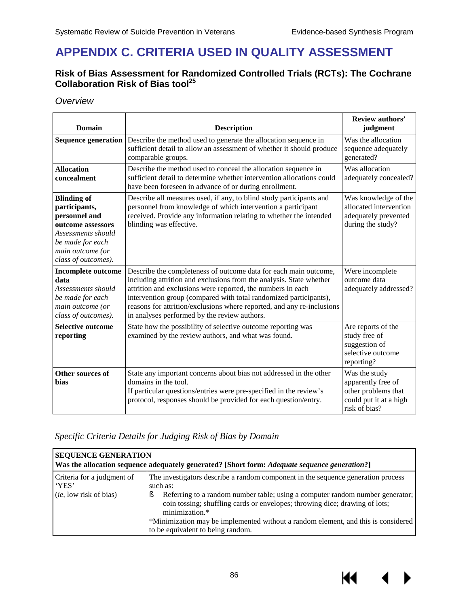## **APPENDIX C. CRITERIA USED IN QUALITY ASSESSMENT**

#### **Risk of Bias Assessment for Randomized Controlled Trials (RCTs): The Cochrane Collaboration Risk of Bias tool<sup>25</sup>**

*Overview* 

| <b>Domain</b>                                                                                                                                                  | <b>Description</b>                                                                                                                                                                                                                                                                                                                                                                                    | <b>Review authors'</b><br>judgment                                                                    |
|----------------------------------------------------------------------------------------------------------------------------------------------------------------|-------------------------------------------------------------------------------------------------------------------------------------------------------------------------------------------------------------------------------------------------------------------------------------------------------------------------------------------------------------------------------------------------------|-------------------------------------------------------------------------------------------------------|
| <b>Sequence generation</b>                                                                                                                                     | Describe the method used to generate the allocation sequence in<br>sufficient detail to allow an assessment of whether it should produce<br>comparable groups.                                                                                                                                                                                                                                        | Was the allocation<br>sequence adequately<br>generated?                                               |
| <b>Allocation</b><br>concealment                                                                                                                               | Describe the method used to conceal the allocation sequence in<br>sufficient detail to determine whether intervention allocations could<br>have been foreseen in advance of or during enrollment.                                                                                                                                                                                                     | Was allocation<br>adequately concealed?                                                               |
| <b>Blinding of</b><br>participants,<br>personnel and<br>outcome assessors<br>Assessments should<br>be made for each<br>main outcome (or<br>class of outcomes). | Describe all measures used, if any, to blind study participants and<br>personnel from knowledge of which intervention a participant<br>received. Provide any information relating to whether the intended<br>blinding was effective.                                                                                                                                                                  | Was knowledge of the<br>allocated intervention<br>adequately prevented<br>during the study?           |
| <b>Incomplete outcome</b><br>data<br>Assessments should<br>be made for each<br>main outcome (or<br>class of outcomes).                                         | Describe the completeness of outcome data for each main outcome,<br>including attrition and exclusions from the analysis. State whether<br>attrition and exclusions were reported, the numbers in each<br>intervention group (compared with total randomized participants),<br>reasons for attrition/exclusions where reported, and any re-inclusions<br>in analyses performed by the review authors. | Were incomplete<br>outcome data<br>adequately addressed?                                              |
| <b>Selective outcome</b><br>reporting                                                                                                                          | State how the possibility of selective outcome reporting was<br>examined by the review authors, and what was found.                                                                                                                                                                                                                                                                                   | Are reports of the<br>study free of<br>suggestion of<br>selective outcome<br>reporting?               |
| Other sources of<br><b>bias</b>                                                                                                                                | State any important concerns about bias not addressed in the other<br>domains in the tool.<br>If particular questions/entries were pre-specified in the review's<br>protocol, responses should be provided for each question/entry.                                                                                                                                                                   | Was the study<br>apparently free of<br>other problems that<br>could put it at a high<br>risk of bias? |

*Specific Criteria Details for Judging Risk of Bias by Domain* 

| <b>SEQUENCE GENERATION</b><br>Was the allocation sequence adequately generated? [Short form: Adequate sequence generation?] |                                                                                                                                                                                                                                                                                                                                                                                                          |  |
|-----------------------------------------------------------------------------------------------------------------------------|----------------------------------------------------------------------------------------------------------------------------------------------------------------------------------------------------------------------------------------------------------------------------------------------------------------------------------------------------------------------------------------------------------|--|
| Criteria for a judgment of<br>'YES'<br><i>(ie, low risk of bias)</i>                                                        | The investigators describe a random component in the sequence generation process<br>such as:<br>Referring to a random number table; using a computer random number generator;<br>coin tossing; shuffling cards or envelopes; throwing dice; drawing of lots;<br>minimization.*<br>*Minimization may be implemented without a random element, and this is considered<br>to be equivalent to being random. |  |

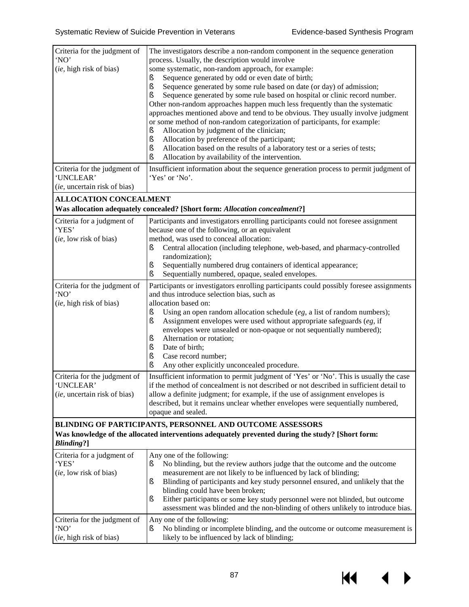$M \rightarrow$ 

| Criteria for the judgment of<br>'NO'<br>(ie, high risk of bias)                                                                                                                     | The investigators describe a non-random component in the sequence generation<br>process. Usually, the description would involve<br>some systematic, non-random approach, for example:<br>Sequence generated by odd or even date of birth;<br>š<br>ş<br>Sequence generated by some rule based on date (or day) of admission;<br>Sequence generated by some rule based on hospital or clinic record number.<br>ş<br>Other non-random approaches happen much less frequently than the systematic<br>approaches mentioned above and tend to be obvious. They usually involve judgment<br>or some method of non-random categorization of participants, for example:<br>Allocation by judgment of the clinician;<br>ş<br>Allocation by preference of the participant;<br>ş<br>Allocation based on the results of a laboratory test or a series of tests;<br>ş<br>Allocation by availability of the intervention.<br>ş |  |  |
|-------------------------------------------------------------------------------------------------------------------------------------------------------------------------------------|-----------------------------------------------------------------------------------------------------------------------------------------------------------------------------------------------------------------------------------------------------------------------------------------------------------------------------------------------------------------------------------------------------------------------------------------------------------------------------------------------------------------------------------------------------------------------------------------------------------------------------------------------------------------------------------------------------------------------------------------------------------------------------------------------------------------------------------------------------------------------------------------------------------------|--|--|
| Criteria for the judgment of<br>'UNCLEAR'<br>(ie, uncertain risk of bias)                                                                                                           | Insufficient information about the sequence generation process to permit judgment of<br>'Yes' or 'No'.                                                                                                                                                                                                                                                                                                                                                                                                                                                                                                                                                                                                                                                                                                                                                                                                          |  |  |
|                                                                                                                                                                                     |                                                                                                                                                                                                                                                                                                                                                                                                                                                                                                                                                                                                                                                                                                                                                                                                                                                                                                                 |  |  |
| <b>ALLOCATION CONCEALMENT</b>                                                                                                                                                       | Was allocation adequately concealed? [Short form: Allocation concealment?]                                                                                                                                                                                                                                                                                                                                                                                                                                                                                                                                                                                                                                                                                                                                                                                                                                      |  |  |
| Criteria for a judgment of<br>'YES'<br>(ie, low risk of bias)                                                                                                                       | Participants and investigators enrolling participants could not foresee assignment<br>because one of the following, or an equivalent<br>method, was used to conceal allocation:<br>Central allocation (including telephone, web-based, and pharmacy-controlled<br>ş<br>randomization);<br>Sequentially numbered drug containers of identical appearance;<br>ş<br>Sequentially numbered, opaque, sealed envelopes.<br>ş                                                                                                                                                                                                                                                                                                                                                                                                                                                                                          |  |  |
| Criteria for the judgment of<br>'NO'<br>(ie, high risk of bias)                                                                                                                     | Participants or investigators enrolling participants could possibly foresee assignments<br>and thus introduce selection bias, such as<br>allocation based on:<br>Using an open random allocation schedule $(eg, a)$ list of random numbers);<br>ş<br>Assignment envelopes were used without appropriate safeguards (eg, if<br>ş<br>envelopes were unsealed or non-opaque or not sequentially numbered);<br>Alternation or rotation;<br>ş<br>Date of birth;<br>ş<br>Case record number;<br>ş<br>Any other explicitly unconcealed procedure.<br>ş                                                                                                                                                                                                                                                                                                                                                                 |  |  |
| Criteria for the judgment of<br>'UNCLEAR'<br>(ie, uncertain risk of bias)                                                                                                           | Insufficient information to permit judgment of 'Yes' or 'No'. This is usually the case<br>if the method of concealment is not described or not described in sufficient detail to<br>allow a definite judgment; for example, if the use of assignment envelopes is<br>described, but it remains unclear whether envelopes were sequentially numbered,<br>opaque and sealed.                                                                                                                                                                                                                                                                                                                                                                                                                                                                                                                                      |  |  |
| BLINDING OF PARTICIPANTS, PERSONNEL AND OUTCOME ASSESSORS<br>Was knowledge of the allocated interventions adequately prevented during the study? [Short form:<br><b>Blinding?</b> ] |                                                                                                                                                                                                                                                                                                                                                                                                                                                                                                                                                                                                                                                                                                                                                                                                                                                                                                                 |  |  |
| Criteria for a judgment of<br>'YES'<br>(ie, low risk of bias)                                                                                                                       | Any one of the following:<br>No blinding, but the review authors judge that the outcome and the outcome<br>š<br>measurement are not likely to be influenced by lack of blinding;<br>Blinding of participants and key study personnel ensured, and unlikely that the<br>ş<br>blinding could have been broken;<br>Either participants or some key study personnel were not blinded, but outcome<br>ş<br>assessment was blinded and the non-blinding of others unlikely to introduce bias.                                                                                                                                                                                                                                                                                                                                                                                                                         |  |  |
| Criteria for the judgment of<br>'NO'<br>(ie, high risk of bias)                                                                                                                     | Any one of the following:<br>No blinding or incomplete blinding, and the outcome or outcome measurement is<br>ş<br>likely to be influenced by lack of blinding;                                                                                                                                                                                                                                                                                                                                                                                                                                                                                                                                                                                                                                                                                                                                                 |  |  |

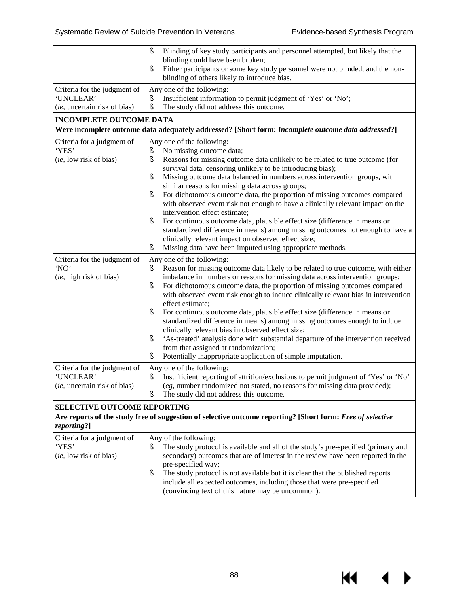$M \rightarrow$ 

|                                                                                                                                                          | ş<br>Blinding of key study participants and personnel attempted, but likely that the<br>blinding could have been broken;<br>Either participants or some key study personnel were not blinded, and the non-<br>ş<br>blinding of others likely to introduce bias.                                                                                                                                                                                                                                                                                                                                                                                                                                                                                                                                                                                       |  |
|----------------------------------------------------------------------------------------------------------------------------------------------------------|-------------------------------------------------------------------------------------------------------------------------------------------------------------------------------------------------------------------------------------------------------------------------------------------------------------------------------------------------------------------------------------------------------------------------------------------------------------------------------------------------------------------------------------------------------------------------------------------------------------------------------------------------------------------------------------------------------------------------------------------------------------------------------------------------------------------------------------------------------|--|
| Criteria for the judgment of<br>'UNCLEAR'<br>(ie, uncertain risk of bias)                                                                                | Any one of the following:<br>Insufficient information to permit judgment of 'Yes' or 'No';<br>ş<br>ş<br>The study did not address this outcome.                                                                                                                                                                                                                                                                                                                                                                                                                                                                                                                                                                                                                                                                                                       |  |
| <b>INCOMPLETE OUTCOME DATA</b>                                                                                                                           |                                                                                                                                                                                                                                                                                                                                                                                                                                                                                                                                                                                                                                                                                                                                                                                                                                                       |  |
|                                                                                                                                                          | Were incomplete outcome data adequately addressed? [Short form: Incomplete outcome data addressed?]                                                                                                                                                                                                                                                                                                                                                                                                                                                                                                                                                                                                                                                                                                                                                   |  |
| Criteria for a judgment of<br>'YES'<br>(ie, low risk of bias)                                                                                            | Any one of the following:<br>No missing outcome data;<br>ş<br>Reasons for missing outcome data unlikely to be related to true outcome (for<br>ş<br>survival data, censoring unlikely to be introducing bias);<br>Missing outcome data balanced in numbers across intervention groups, with<br>ş<br>similar reasons for missing data across groups;<br>For dichotomous outcome data, the proportion of missing outcomes compared<br>ş<br>with observed event risk not enough to have a clinically relevant impact on the<br>intervention effect estimate;<br>For continuous outcome data, plausible effect size (difference in means or<br>ş<br>standardized difference in means) among missing outcomes not enough to have a<br>clinically relevant impact on observed effect size;<br>Missing data have been imputed using appropriate methods.<br>ş |  |
| Criteria for the judgment of<br>'NO'<br>(ie, high risk of bias)                                                                                          | Any one of the following:<br>Reason for missing outcome data likely to be related to true outcome, with either<br>ş<br>imbalance in numbers or reasons for missing data across intervention groups;<br>For dichotomous outcome data, the proportion of missing outcomes compared<br>ş<br>with observed event risk enough to induce clinically relevant bias in intervention<br>effect estimate;<br>For continuous outcome data, plausible effect size (difference in means or<br>ş<br>standardized difference in means) among missing outcomes enough to induce<br>clinically relevant bias in observed effect size;<br>'As-treated' analysis done with substantial departure of the intervention received<br>ş<br>from that assigned at randomization;<br>Potentially inappropriate application of simple imputation.<br>ş                           |  |
| Criteria for the judgment of<br>'UNCLEAR'<br>(ie, uncertain risk of bias)                                                                                | Any one of the following:<br>Insufficient reporting of attrition/exclusions to permit judgment of 'Yes' or 'No'<br>ş<br>(eg, number randomized not stated, no reasons for missing data provided);<br>ş<br>The study did not address this outcome.                                                                                                                                                                                                                                                                                                                                                                                                                                                                                                                                                                                                     |  |
| SELECTIVE OUTCOME REPORTING<br>Are reports of the study free of suggestion of selective outcome reporting? [Short form: Free of selective<br>reporting?] |                                                                                                                                                                                                                                                                                                                                                                                                                                                                                                                                                                                                                                                                                                                                                                                                                                                       |  |
| Criteria for a judgment of<br>'YES'<br>(ie, low risk of bias)                                                                                            | Any of the following:<br>The study protocol is available and all of the study's pre-specified (primary and<br>ş<br>secondary) outcomes that are of interest in the review have been reported in the<br>pre-specified way;<br>The study protocol is not available but it is clear that the published reports<br>ş<br>include all expected outcomes, including those that were pre-specified<br>(convincing text of this nature may be uncommon).                                                                                                                                                                                                                                                                                                                                                                                                       |  |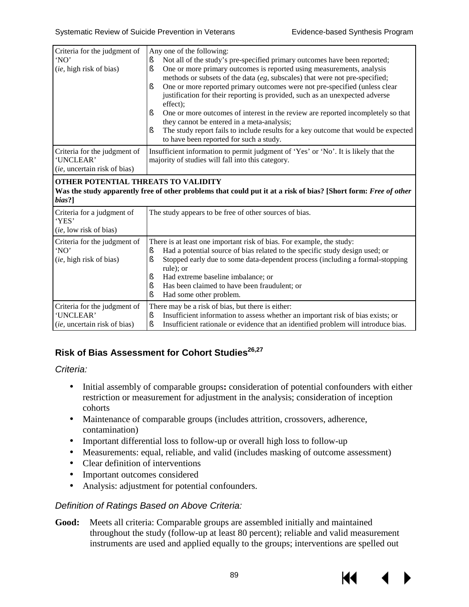| Criteria for the judgment of<br>'NO'<br>(ie, high risk of bias)           | Any one of the following:<br>Not all of the study's pre-specified primary outcomes have been reported;<br>ş<br>One or more primary outcomes is reported using measurements, analysis<br>ş<br>methods or subsets of the data (eg, subscales) that were not pre-specified;<br>ş<br>One or more reported primary outcomes were not pre-specified (unless clear<br>justification for their reporting is provided, such as an unexpected adverse<br>effect);<br>One or more outcomes of interest in the review are reported incompletely so that<br>ş<br>they cannot be entered in a meta-analysis;<br>The study report fails to include results for a key outcome that would be expected<br>ş<br>to have been reported for such a study. |  |
|---------------------------------------------------------------------------|--------------------------------------------------------------------------------------------------------------------------------------------------------------------------------------------------------------------------------------------------------------------------------------------------------------------------------------------------------------------------------------------------------------------------------------------------------------------------------------------------------------------------------------------------------------------------------------------------------------------------------------------------------------------------------------------------------------------------------------|--|
| Criteria for the judgment of<br>'UNCLEAR'<br>(ie, uncertain risk of bias) | Insufficient information to permit judgment of 'Yes' or 'No'. It is likely that the<br>majority of studies will fall into this category.                                                                                                                                                                                                                                                                                                                                                                                                                                                                                                                                                                                             |  |
| OTHER POTENTIAL THREATS TO VALIDITY<br>bias?]                             | Was the study apparently free of other problems that could put it at a risk of bias? [Short form: Free of other                                                                                                                                                                                                                                                                                                                                                                                                                                                                                                                                                                                                                      |  |
| Criteria for a judgment of<br>'YES'<br>(ie, low risk of bias)             | The study appears to be free of other sources of bias.                                                                                                                                                                                                                                                                                                                                                                                                                                                                                                                                                                                                                                                                               |  |
| Criteria for the judgment of<br>'NO'<br>(ie, high risk of bias)           | There is at least one important risk of bias. For example, the study:<br>Had a potential source of bias related to the specific study design used; or<br>ş<br>Stopped early due to some data-dependent process (including a formal-stopping<br>ş<br>rule); or<br>Had extreme baseline imbalance; or<br>ş<br>Has been claimed to have been fraudulent; or<br>ş<br>ş<br>Had some other problem.                                                                                                                                                                                                                                                                                                                                        |  |
| Criteria for the judgment of<br>'UNCLEAR'<br>(ie, uncertain risk of bias) | There may be a risk of bias, but there is either:<br>Insufficient information to assess whether an important risk of bias exists; or<br>ş<br>ş<br>Insufficient rationale or evidence that an identified problem will introduce bias.                                                                                                                                                                                                                                                                                                                                                                                                                                                                                                 |  |

#### **Risk of Bias Assessment for Cohort Studies26,27**

*Criteria:*

- $\mathbf{r}^{\prime}$ Initial assembly of comparable groups**:** consideration of potential confounders with either restriction or measurement for adjustment in the analysis; consideration of inception cohorts
- Maintenance of comparable groups (includes attrition, crossovers, adherence,  $\mathcal{L}^{\text{max}}$ contamination)
- Important differential loss to follow-up or overall high loss to follow-up
- Measurements: equal, reliable, and valid (includes masking of outcome assessment)  $\mathcal{L}^{\text{max}}$
- Clear definition of interventions  $\mathcal{L}^{\text{max}}$
- Important outcomes considered  $\mathbf{r}$
- $\mathbf{L}$ Analysis: adjustment for potential confounders.

#### *Definition of Ratings Based on Above Criteria:*

**Good:** Meets all criteria: Comparable groups are assembled initially and maintained throughout the study (follow-up at least 80 percent); reliable and valid measurement instruments are used and applied equally to the groups; interventions are spelled out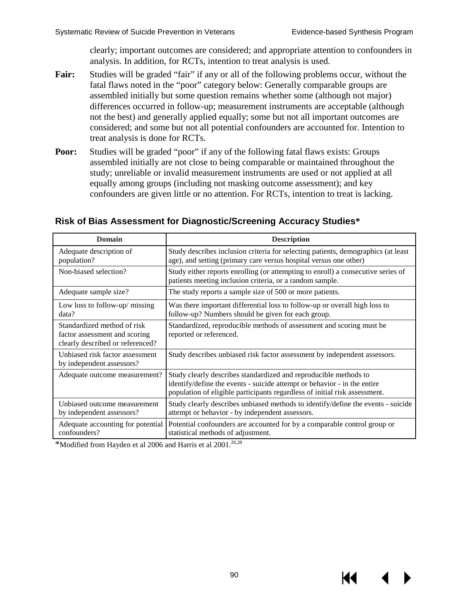К

clearly; important outcomes are considered; and appropriate attention to confounders in analysis. In addition, for RCTs, intention to treat analysis is used.

- **Fair:** Studies will be graded "fair" if any or all of the following problems occur, without the fatal flaws noted in the "poor" category below: Generally comparable groups are assembled initially but some question remains whether some (although not major) differences occurred in follow-up; measurement instruments are acceptable (although not the best) and generally applied equally; some but not all important outcomes are considered; and some but not all potential confounders are accounted for. Intention to treat analysis is done for RCTs.
- **Poor:** Studies will be graded "poor" if any of the following fatal flaws exists: Groups assembled initially are not close to being comparable or maintained throughout the study; unreliable or invalid measurement instruments are used or not applied at all equally among groups (including not masking outcome assessment); and key confounders are given little or no attention. For RCTs, intention to treat is lacking.

| <b>Domain</b>                                                                                    | <b>Description</b>                                                                                                                                                                                                         |
|--------------------------------------------------------------------------------------------------|----------------------------------------------------------------------------------------------------------------------------------------------------------------------------------------------------------------------------|
| Adequate description of<br>population?                                                           | Study describes inclusion criteria for selecting patients, demographics (at least<br>age), and setting (primary care versus hospital versus one other)                                                                     |
| Non-biased selection?                                                                            | Study either reports enrolling (or attempting to enroll) a consecutive series of<br>patients meeting inclusion criteria, or a random sample.                                                                               |
| Adequate sample size?                                                                            | The study reports a sample size of 500 or more patients.                                                                                                                                                                   |
| Low loss to follow-up/ missing<br>data?                                                          | Was there important differential loss to follow-up or overall high loss to<br>follow-up? Numbers should be given for each group.                                                                                           |
| Standardized method of risk<br>factor assessment and scoring<br>clearly described or referenced? | Standardized, reproducible methods of assessment and scoring must be<br>reported or referenced.                                                                                                                            |
| Unbiased risk factor assessment<br>by independent assessors?                                     | Study describes unbiased risk factor assessment by independent assessors.                                                                                                                                                  |
| Adequate outcome measurement?                                                                    | Study clearly describes standardized and reproducible methods to<br>identify/define the events - suicide attempt or behavior - in the entire<br>population of eligible participants regardless of initial risk assessment. |
| Unbiased outcome measurement<br>by independent assessors?                                        | Study clearly describes unbiased methods to identify/define the events - suicide<br>attempt or behavior - by independent assessors.                                                                                        |
| Adequate accounting for potential<br>confounders?                                                | Potential confounders are accounted for by a comparable control group or<br>statistical methods of adjustment.                                                                                                             |

#### **Risk of Bias Assessment for Diagnostic/Screening Accuracy Studies\***

\*Modified from Hayden et al 2006 and Harris et al 2001.26,28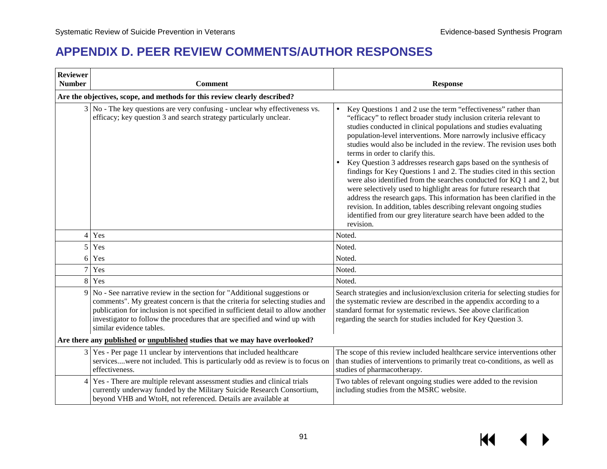## **APPENDIX D. PEER REVIEW COMMENTS/AUTHOR RESPONSES**

| <b>Reviewer</b><br><b>Number</b>                                            | <b>Comment</b>                                                                                                                                                                                                                                                                                                                                                  | <b>Response</b>                                                                                                                                                                                                                                                                                                                                                                                                                                                                                                                                                                                                                                                                                                                                                                                                                                                                                                   |  |  |
|-----------------------------------------------------------------------------|-----------------------------------------------------------------------------------------------------------------------------------------------------------------------------------------------------------------------------------------------------------------------------------------------------------------------------------------------------------------|-------------------------------------------------------------------------------------------------------------------------------------------------------------------------------------------------------------------------------------------------------------------------------------------------------------------------------------------------------------------------------------------------------------------------------------------------------------------------------------------------------------------------------------------------------------------------------------------------------------------------------------------------------------------------------------------------------------------------------------------------------------------------------------------------------------------------------------------------------------------------------------------------------------------|--|--|
|                                                                             | Are the objectives, scope, and methods for this review clearly described?                                                                                                                                                                                                                                                                                       |                                                                                                                                                                                                                                                                                                                                                                                                                                                                                                                                                                                                                                                                                                                                                                                                                                                                                                                   |  |  |
|                                                                             | $3 No$ - The key questions are very confusing - unclear why effectiveness vs.<br>efficacy; key question 3 and search strategy particularly unclear.                                                                                                                                                                                                             | Key Questions 1 and 2 use the term "effectiveness" rather than<br>"efficacy" to reflect broader study inclusion criteria relevant to<br>studies conducted in clinical populations and studies evaluating<br>population-level interventions. More narrowly inclusive efficacy<br>studies would also be included in the review. The revision uses both<br>terms in order to clarify this.<br>Key Question 3 addresses research gaps based on the synthesis of<br>findings for Key Questions 1 and 2. The studies cited in this section<br>were also identified from the searches conducted for KQ 1 and 2, but<br>were selectively used to highlight areas for future research that<br>address the research gaps. This information has been clarified in the<br>revision. In addition, tables describing relevant ongoing studies<br>identified from our grey literature search have been added to the<br>revision. |  |  |
|                                                                             | 4 Yes                                                                                                                                                                                                                                                                                                                                                           | Noted.                                                                                                                                                                                                                                                                                                                                                                                                                                                                                                                                                                                                                                                                                                                                                                                                                                                                                                            |  |  |
|                                                                             | 5 Yes                                                                                                                                                                                                                                                                                                                                                           | Noted.                                                                                                                                                                                                                                                                                                                                                                                                                                                                                                                                                                                                                                                                                                                                                                                                                                                                                                            |  |  |
|                                                                             | 6 Yes                                                                                                                                                                                                                                                                                                                                                           | Noted.                                                                                                                                                                                                                                                                                                                                                                                                                                                                                                                                                                                                                                                                                                                                                                                                                                                                                                            |  |  |
|                                                                             | 7 Yes                                                                                                                                                                                                                                                                                                                                                           | Noted.                                                                                                                                                                                                                                                                                                                                                                                                                                                                                                                                                                                                                                                                                                                                                                                                                                                                                                            |  |  |
|                                                                             | 8 Yes                                                                                                                                                                                                                                                                                                                                                           | Noted.                                                                                                                                                                                                                                                                                                                                                                                                                                                                                                                                                                                                                                                                                                                                                                                                                                                                                                            |  |  |
|                                                                             | $9 \vert$ No - See narrative review in the section for "Additional suggestions or<br>comments". My greatest concern is that the criteria for selecting studies and<br>publication for inclusion is not specified in sufficient detail to allow another<br>investigator to follow the procedures that are specified and wind up with<br>similar evidence tables. | Search strategies and inclusion/exclusion criteria for selecting studies for<br>the systematic review are described in the appendix according to a<br>standard format for systematic reviews. See above clarification<br>regarding the search for studies included for Key Question 3.                                                                                                                                                                                                                                                                                                                                                                                                                                                                                                                                                                                                                            |  |  |
| Are there any published or unpublished studies that we may have overlooked? |                                                                                                                                                                                                                                                                                                                                                                 |                                                                                                                                                                                                                                                                                                                                                                                                                                                                                                                                                                                                                                                                                                                                                                                                                                                                                                                   |  |  |
|                                                                             | 3 Yes - Per page 11 unclear by interventions that included healthcare<br>serviceswere not included. This is particularly odd as review is to focus on<br>effectiveness.                                                                                                                                                                                         | The scope of this review included healthcare service interventions other<br>than studies of interventions to primarily treat co-conditions, as well as<br>studies of pharmacotherapy.                                                                                                                                                                                                                                                                                                                                                                                                                                                                                                                                                                                                                                                                                                                             |  |  |
|                                                                             | 4 Yes - There are multiple relevant assessment studies and clinical trials<br>currently underway funded by the Military Suicide Research Consortium,<br>beyond VHB and WtoH, not referenced. Details are available at                                                                                                                                           | Two tables of relevant ongoing studies were added to the revision<br>including studies from the MSRC website.                                                                                                                                                                                                                                                                                                                                                                                                                                                                                                                                                                                                                                                                                                                                                                                                     |  |  |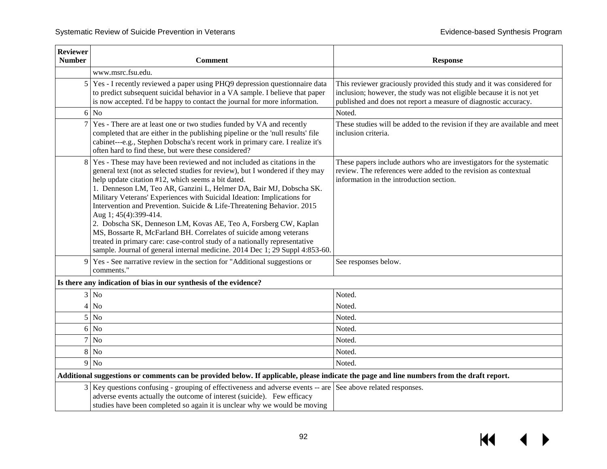| <b>Reviewer</b><br><b>Number</b> | <b>Comment</b>                                                                                                                                                                                                                                                                                                                                                                                                                                                                                                                                                                                                                                                                                                                                                             | <b>Response</b>                                                                                                                                                                                                   |
|----------------------------------|----------------------------------------------------------------------------------------------------------------------------------------------------------------------------------------------------------------------------------------------------------------------------------------------------------------------------------------------------------------------------------------------------------------------------------------------------------------------------------------------------------------------------------------------------------------------------------------------------------------------------------------------------------------------------------------------------------------------------------------------------------------------------|-------------------------------------------------------------------------------------------------------------------------------------------------------------------------------------------------------------------|
|                                  | www.msrc.fsu.edu.                                                                                                                                                                                                                                                                                                                                                                                                                                                                                                                                                                                                                                                                                                                                                          |                                                                                                                                                                                                                   |
| 5                                | Yes - I recently reviewed a paper using PHQ9 depression questionnaire data<br>to predict subsequent suicidal behavior in a VA sample. I believe that paper<br>is now accepted. I'd be happy to contact the journal for more information.                                                                                                                                                                                                                                                                                                                                                                                                                                                                                                                                   | This reviewer graciously provided this study and it was considered for<br>inclusion; however, the study was not eligible because it is not yet<br>published and does not report a measure of diagnostic accuracy. |
| 6                                | N <sub>o</sub>                                                                                                                                                                                                                                                                                                                                                                                                                                                                                                                                                                                                                                                                                                                                                             | Noted.                                                                                                                                                                                                            |
|                                  | Yes - There are at least one or two studies funded by VA and recently<br>completed that are either in the publishing pipeline or the 'null results' file<br>cabinet---e.g., Stephen Dobscha's recent work in primary care. I realize it's<br>often hard to find these, but were these considered?                                                                                                                                                                                                                                                                                                                                                                                                                                                                          | These studies will be added to the revision if they are available and meet<br>inclusion criteria.                                                                                                                 |
| 8                                | Yes - These may have been reviewed and not included as citations in the<br>general text (not as selected studies for review), but I wondered if they may<br>help update citation #12, which seems a bit dated.<br>1. Denneson LM, Teo AR, Ganzini L, Helmer DA, Bair MJ, Dobscha SK.<br>Military Veterans' Experiences with Suicidal Ideation: Implications for<br>Intervention and Prevention. Suicide & Life-Threatening Behavior. 2015<br>Aug 1; 45(4):399-414.<br>2. Dobscha SK, Denneson LM, Kovas AE, Teo A, Forsberg CW, Kaplan<br>MS, Bossarte R, McFarland BH. Correlates of suicide among veterans<br>treated in primary care: case-control study of a nationally representative<br>sample. Journal of general internal medicine. 2014 Dec 1; 29 Suppl 4:853-60. | These papers include authors who are investigators for the systematic<br>review. The references were added to the revision as contextual<br>information in the introduction section.                              |
| 9                                | Yes - See narrative review in the section for "Additional suggestions or<br>comments."                                                                                                                                                                                                                                                                                                                                                                                                                                                                                                                                                                                                                                                                                     | See responses below.                                                                                                                                                                                              |
|                                  | Is there any indication of bias in our synthesis of the evidence?                                                                                                                                                                                                                                                                                                                                                                                                                                                                                                                                                                                                                                                                                                          |                                                                                                                                                                                                                   |
|                                  | $3$ No                                                                                                                                                                                                                                                                                                                                                                                                                                                                                                                                                                                                                                                                                                                                                                     | Noted.                                                                                                                                                                                                            |
| $\overline{4}$                   | <b>No</b>                                                                                                                                                                                                                                                                                                                                                                                                                                                                                                                                                                                                                                                                                                                                                                  | Noted.                                                                                                                                                                                                            |
| 5                                | N <sub>o</sub>                                                                                                                                                                                                                                                                                                                                                                                                                                                                                                                                                                                                                                                                                                                                                             | Noted.                                                                                                                                                                                                            |
| 6                                | <b>No</b>                                                                                                                                                                                                                                                                                                                                                                                                                                                                                                                                                                                                                                                                                                                                                                  | Noted.                                                                                                                                                                                                            |
| 7                                | N <sub>o</sub>                                                                                                                                                                                                                                                                                                                                                                                                                                                                                                                                                                                                                                                                                                                                                             | Noted.                                                                                                                                                                                                            |
|                                  | $8$ No                                                                                                                                                                                                                                                                                                                                                                                                                                                                                                                                                                                                                                                                                                                                                                     | Noted.                                                                                                                                                                                                            |
|                                  | $9$ No                                                                                                                                                                                                                                                                                                                                                                                                                                                                                                                                                                                                                                                                                                                                                                     | Noted.                                                                                                                                                                                                            |
|                                  | Additional suggestions or comments can be provided below. If applicable, please indicate the page and line numbers from the draft report.                                                                                                                                                                                                                                                                                                                                                                                                                                                                                                                                                                                                                                  |                                                                                                                                                                                                                   |
|                                  | 3 Key questions confusing - grouping of effectiveness and adverse events -- are See above related responses.<br>adverse events actually the outcome of interest (suicide). Few efficacy<br>studies have been completed so again it is unclear why we would be moving                                                                                                                                                                                                                                                                                                                                                                                                                                                                                                       |                                                                                                                                                                                                                   |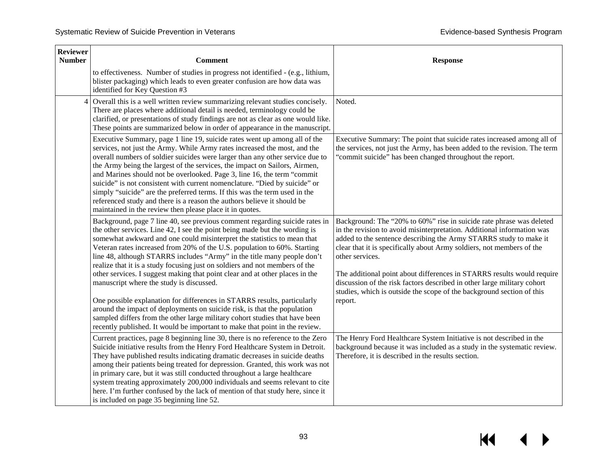| <b>Reviewer</b><br><b>Number</b> | <b>Comment</b>                                                                                                                                                                                                                                                                                                                                                                                                                                                                                                                                                                                                                                                                                      | <b>Response</b>                                                                                                                                                                                                                                                                                                                                                                                                                                                                                                                               |
|----------------------------------|-----------------------------------------------------------------------------------------------------------------------------------------------------------------------------------------------------------------------------------------------------------------------------------------------------------------------------------------------------------------------------------------------------------------------------------------------------------------------------------------------------------------------------------------------------------------------------------------------------------------------------------------------------------------------------------------------------|-----------------------------------------------------------------------------------------------------------------------------------------------------------------------------------------------------------------------------------------------------------------------------------------------------------------------------------------------------------------------------------------------------------------------------------------------------------------------------------------------------------------------------------------------|
|                                  | to effectiveness. Number of studies in progress not identified - (e.g., lithium,<br>blister packaging) which leads to even greater confusion are how data was<br>identified for Key Question #3                                                                                                                                                                                                                                                                                                                                                                                                                                                                                                     |                                                                                                                                                                                                                                                                                                                                                                                                                                                                                                                                               |
| $\overline{4}$                   | Overall this is a well written review summarizing relevant studies concisely.<br>There are places where additional detail is needed, terminology could be<br>clarified, or presentations of study findings are not as clear as one would like.<br>These points are summarized below in order of appearance in the manuscript.                                                                                                                                                                                                                                                                                                                                                                       | Noted.                                                                                                                                                                                                                                                                                                                                                                                                                                                                                                                                        |
|                                  | Executive Summary, page 1 line 19, suicide rates went up among all of the<br>services, not just the Army. While Army rates increased the most, and the<br>overall numbers of soldier suicides were larger than any other service due to<br>the Army being the largest of the services, the impact on Sailors, Airmen,<br>and Marines should not be overlooked. Page 3, line 16, the term "commit<br>suicide" is not consistent with current nomenclature. "Died by suicide" or<br>simply "suicide" are the preferred terms. If this was the term used in the<br>referenced study and there is a reason the authors believe it should be<br>maintained in the review then please place it in quotes. | Executive Summary: The point that suicide rates increased among all of<br>the services, not just the Army, has been added to the revision. The term<br>"commit suicide" has been changed throughout the report.                                                                                                                                                                                                                                                                                                                               |
|                                  | Background, page 7 line 40, see previous comment regarding suicide rates in<br>the other services. Line 42, I see the point being made but the wording is<br>somewhat awkward and one could misinterpret the statistics to mean that<br>Veteran rates increased from 20% of the U.S. population to 60%. Starting<br>line 48, although STARRS includes "Army" in the title many people don't<br>realize that it is a study focusing just on soldiers and not members of the<br>other services. I suggest making that point clear and at other places in the<br>manuscript where the study is discussed.                                                                                              | Background: The "20% to 60%" rise in suicide rate phrase was deleted<br>in the revision to avoid misinterpretation. Additional information was<br>added to the sentence describing the Army STARRS study to make it<br>clear that it is specifically about Army soldiers, not members of the<br>other services.<br>The additional point about differences in STARRS results would require<br>discussion of the risk factors described in other large military cohort<br>studies, which is outside the scope of the background section of this |
|                                  | One possible explanation for differences in STARRS results, particularly<br>around the impact of deployments on suicide risk, is that the population<br>sampled differs from the other large military cohort studies that have been<br>recently published. It would be important to make that point in the review.                                                                                                                                                                                                                                                                                                                                                                                  | report.                                                                                                                                                                                                                                                                                                                                                                                                                                                                                                                                       |
|                                  | Current practices, page 8 beginning line 30, there is no reference to the Zero<br>Suicide initiative results from the Henry Ford Healthcare System in Detroit.<br>They have published results indicating dramatic decreases in suicide deaths<br>among their patients being treated for depression. Granted, this work was not<br>in primary care, but it was still conducted throughout a large healthcare<br>system treating approximately 200,000 individuals and seems relevant to cite<br>here. I'm further confused by the lack of mention of that study here, since it<br>is included on page 35 beginning line 52.                                                                          | The Henry Ford Healthcare System Initiative is not described in the<br>background because it was included as a study in the systematic review.<br>Therefore, it is described in the results section.                                                                                                                                                                                                                                                                                                                                          |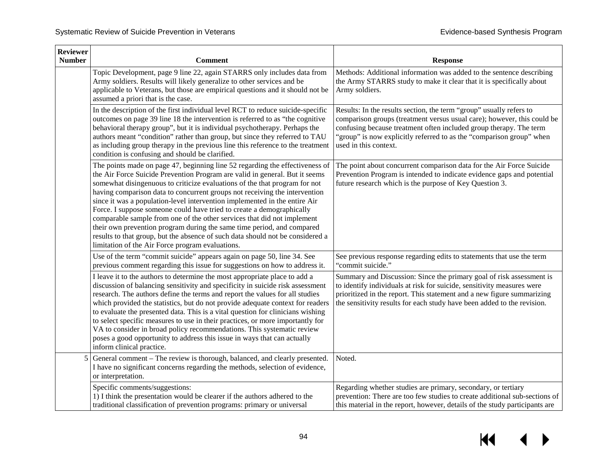| <b>Reviewer</b><br><b>Number</b> | <b>Comment</b>                                                                                                                                                                                                                                                                                                                                                                                                                                                                                                                                                                                                                                                                                                                                                            | <b>Response</b>                                                                                                                                                                                                                                                                                                       |
|----------------------------------|---------------------------------------------------------------------------------------------------------------------------------------------------------------------------------------------------------------------------------------------------------------------------------------------------------------------------------------------------------------------------------------------------------------------------------------------------------------------------------------------------------------------------------------------------------------------------------------------------------------------------------------------------------------------------------------------------------------------------------------------------------------------------|-----------------------------------------------------------------------------------------------------------------------------------------------------------------------------------------------------------------------------------------------------------------------------------------------------------------------|
|                                  | Topic Development, page 9 line 22, again STARRS only includes data from<br>Army soldiers. Results will likely generalize to other services and be<br>applicable to Veterans, but those are empirical questions and it should not be<br>assumed a priori that is the case.                                                                                                                                                                                                                                                                                                                                                                                                                                                                                                 | Methods: Additional information was added to the sentence describing<br>the Army STARRS study to make it clear that it is specifically about<br>Army soldiers.                                                                                                                                                        |
|                                  | In the description of the first individual level RCT to reduce suicide-specific<br>outcomes on page 39 line 18 the intervention is referred to as "the cognitive<br>behavioral therapy group", but it is individual psychotherapy. Perhaps the<br>authors meant "condition" rather than group, but since they referred to TAU<br>as including group therapy in the previous line this reference to the treatment<br>condition is confusing and should be clarified.                                                                                                                                                                                                                                                                                                       | Results: In the results section, the term "group" usually refers to<br>comparison groups (treatment versus usual care); however, this could be<br>confusing because treatment often included group therapy. The term<br>'group" is now explicitly referred to as the "comparison group" when<br>used in this context. |
|                                  | The points made on page 47, beginning line 52 regarding the effectiveness of<br>the Air Force Suicide Prevention Program are valid in general. But it seems<br>somewhat disingenuous to criticize evaluations of the that program for not<br>having comparison data to concurrent groups not receiving the intervention<br>since it was a population-level intervention implemented in the entire Air<br>Force. I suppose someone could have tried to create a demographically<br>comparable sample from one of the other services that did not implement<br>their own prevention program during the same time period, and compared<br>results to that group, but the absence of such data should not be considered a<br>limitation of the Air Force program evaluations. | The point about concurrent comparison data for the Air Force Suicide<br>Prevention Program is intended to indicate evidence gaps and potential<br>future research which is the purpose of Key Question 3.                                                                                                             |
|                                  | Use of the term "commit suicide" appears again on page 50, line 34. See<br>previous comment regarding this issue for suggestions on how to address it.                                                                                                                                                                                                                                                                                                                                                                                                                                                                                                                                                                                                                    | See previous response regarding edits to statements that use the term<br>"commit suicide."                                                                                                                                                                                                                            |
|                                  | I leave it to the authors to determine the most appropriate place to add a<br>discussion of balancing sensitivity and specificity in suicide risk assessment<br>research. The authors define the terms and report the values for all studies<br>which provided the statistics, but do not provide adequate context for readers<br>to evaluate the presented data. This is a vital question for clinicians wishing<br>to select specific measures to use in their practices, or more importantly for<br>VA to consider in broad policy recommendations. This systematic review<br>poses a good opportunity to address this issue in ways that can actually<br>inform clinical practice.                                                                                    | Summary and Discussion: Since the primary goal of risk assessment is<br>to identify individuals at risk for suicide, sensitivity measures were<br>prioritized in the report. This statement and a new figure summarizing<br>the sensitivity results for each study have been added to the revision.                   |
|                                  | General comment - The review is thorough, balanced, and clearly presented.<br>I have no significant concerns regarding the methods, selection of evidence,<br>or interpretation.                                                                                                                                                                                                                                                                                                                                                                                                                                                                                                                                                                                          | Noted.                                                                                                                                                                                                                                                                                                                |
|                                  | Specific comments/suggestions:<br>1) I think the presentation would be clearer if the authors adhered to the<br>traditional classification of prevention programs: primary or universal                                                                                                                                                                                                                                                                                                                                                                                                                                                                                                                                                                                   | Regarding whether studies are primary, secondary, or tertiary<br>prevention: There are too few studies to create additional sub-sections of<br>this material in the report, however, details of the study participants are                                                                                            |

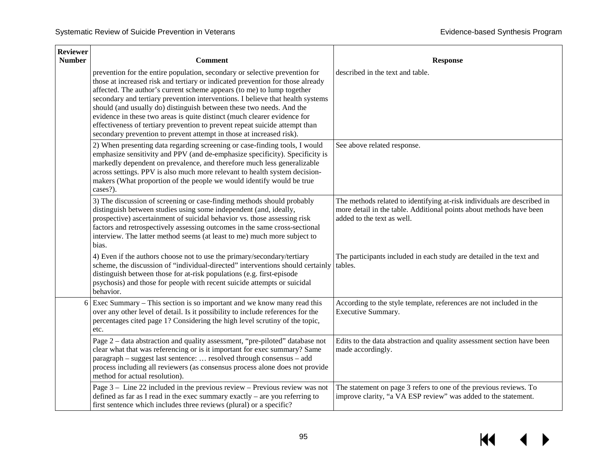| <b>Reviewer</b><br><b>Number</b> | <b>Comment</b>                                                                                                                                                                                                                                                                                                                                                                                                                                                                                                                                                                                                                       | <b>Response</b>                                                                                                                                                              |
|----------------------------------|--------------------------------------------------------------------------------------------------------------------------------------------------------------------------------------------------------------------------------------------------------------------------------------------------------------------------------------------------------------------------------------------------------------------------------------------------------------------------------------------------------------------------------------------------------------------------------------------------------------------------------------|------------------------------------------------------------------------------------------------------------------------------------------------------------------------------|
|                                  | prevention for the entire population, secondary or selective prevention for<br>those at increased risk and tertiary or indicated prevention for those already<br>affected. The author's current scheme appears (to me) to lump together<br>secondary and tertiary prevention interventions. I believe that health systems<br>should (and usually do) distinguish between these two needs. And the<br>evidence in these two areas is quite distinct (much clearer evidence for<br>effectiveness of tertiary prevention to prevent repeat suicide attempt than<br>secondary prevention to prevent attempt in those at increased risk). | described in the text and table.                                                                                                                                             |
|                                  | 2) When presenting data regarding screening or case-finding tools, I would<br>emphasize sensitivity and PPV (and de-emphasize specificity). Specificity is<br>markedly dependent on prevalence, and therefore much less generalizable<br>across settings. PPV is also much more relevant to health system decision-<br>makers (What proportion of the people we would identify would be true<br>cases?).                                                                                                                                                                                                                             | See above related response.                                                                                                                                                  |
|                                  | 3) The discussion of screening or case-finding methods should probably<br>distinguish between studies using some independent (and, ideally,<br>prospective) ascertainment of suicidal behavior vs. those assessing risk<br>factors and retrospectively assessing outcomes in the same cross-sectional<br>interview. The latter method seems (at least to me) much more subject to<br>bias.                                                                                                                                                                                                                                           | The methods related to identifying at-risk individuals are described in<br>more detail in the table. Additional points about methods have been<br>added to the text as well. |
|                                  | 4) Even if the authors choose not to use the primary/secondary/tertiary<br>scheme, the discussion of "individual-directed" interventions should certainly tables.<br>distinguish between those for at-risk populations (e.g. first-episode<br>psychosis) and those for people with recent suicide attempts or suicidal<br>behavior.                                                                                                                                                                                                                                                                                                  | The participants included in each study are detailed in the text and                                                                                                         |
| 6                                | Exec Summary – This section is so important and we know many read this<br>over any other level of detail. Is it possibility to include references for the<br>percentages cited page 1? Considering the high level scrutiny of the topic,<br>etc.                                                                                                                                                                                                                                                                                                                                                                                     | According to the style template, references are not included in the<br>Executive Summary.                                                                                    |
|                                  | Page 2 – data abstraction and quality assessment, "pre-piloted" database not<br>clear what that was referencing or is it important for exec summary? Same<br>paragraph – suggest last sentence:  resolved through consensus – add<br>process including all reviewers (as consensus process alone does not provide<br>method for actual resolution).                                                                                                                                                                                                                                                                                  | Edits to the data abstraction and quality assessment section have been<br>made accordingly.                                                                                  |
|                                  | Page $3 -$ Line 22 included in the previous review $-$ Previous review was not<br>defined as far as I read in the exec summary exactly $-$ are you referring to<br>first sentence which includes three reviews (plural) or a specific?                                                                                                                                                                                                                                                                                                                                                                                               | The statement on page 3 refers to one of the previous reviews. To<br>improve clarity, "a VA ESP review" was added to the statement.                                          |

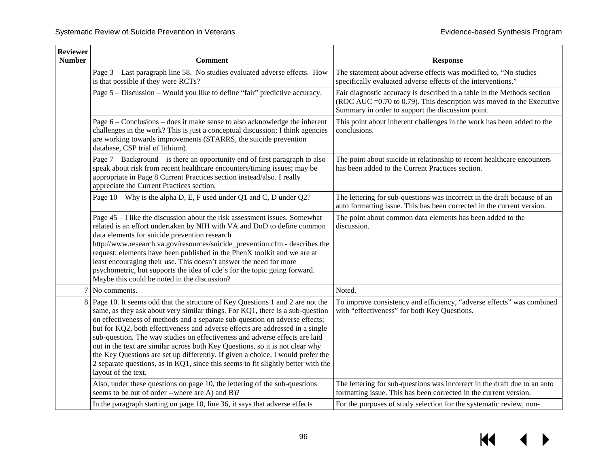| <b>Reviewer</b><br><b>Number</b> | <b>Comment</b>                                                                                                                                                                                                                                                                                                                                                                                                                                                                                                                                                                                                                                                                                  | <b>Response</b>                                                                                                                                                                                        |
|----------------------------------|-------------------------------------------------------------------------------------------------------------------------------------------------------------------------------------------------------------------------------------------------------------------------------------------------------------------------------------------------------------------------------------------------------------------------------------------------------------------------------------------------------------------------------------------------------------------------------------------------------------------------------------------------------------------------------------------------|--------------------------------------------------------------------------------------------------------------------------------------------------------------------------------------------------------|
|                                  | Page 3 – Last paragraph line 58. No studies evaluated adverse effects. How<br>is that possible if they were RCTs?                                                                                                                                                                                                                                                                                                                                                                                                                                                                                                                                                                               | The statement about adverse effects was modified to, "No studies<br>specifically evaluated adverse effects of the interventions."                                                                      |
|                                  | Page 5 – Discussion – Would you like to define "fair" predictive accuracy.                                                                                                                                                                                                                                                                                                                                                                                                                                                                                                                                                                                                                      | Fair diagnostic accuracy is described in a table in the Methods section<br>(ROC AUC $=0.70$ to 0.79). This description was moved to the Executive<br>Summary in order to support the discussion point. |
|                                  | Page $6$ – Conclusions – does it make sense to also acknowledge the inherent<br>challenges in the work? This is just a conceptual discussion; I think agencies<br>are working towards improvements (STARRS, the suicide prevention<br>database, CSP trial of lithium).                                                                                                                                                                                                                                                                                                                                                                                                                          | This point about inherent challenges in the work has been added to the<br>conclusions.                                                                                                                 |
|                                  | Page $7 -$ Background – is there an opportunity end of first paragraph to also<br>speak about risk from recent healthcare encounters/timing issues; may be<br>appropriate in Page 8 Current Practices section instead/also. I really<br>appreciate the Current Practices section.                                                                                                                                                                                                                                                                                                                                                                                                               | The point about suicide in relationship to recent healthcare encounters<br>has been added to the Current Practices section.                                                                            |
|                                  | Page 10 – Why is the alpha D, E, F used under Q1 and C, D under Q2?                                                                                                                                                                                                                                                                                                                                                                                                                                                                                                                                                                                                                             | The lettering for sub-questions was incorrect in the draft because of an<br>auto formatting issue. This has been corrected in the current version.                                                     |
|                                  | Page 45 – I like the discussion about the risk assessment issues. Somewhat<br>related is an effort undertaken by NIH with VA and DoD to define common<br>data elements for suicide prevention research<br>http://www.research.va.gov/resources/suicide_prevention.cfm - describes the<br>request; elements have been published in the PhenX toolkit and we are at<br>least encouraging their use. This doesn't answer the need for more<br>psychometric, but supports the idea of cde's for the topic going forward.<br>Maybe this could be noted in the discussion?                                                                                                                            | The point about common data elements has been added to the<br>discussion.                                                                                                                              |
| $\tau$                           | No comments.                                                                                                                                                                                                                                                                                                                                                                                                                                                                                                                                                                                                                                                                                    | Noted.                                                                                                                                                                                                 |
|                                  | 8 Page 10. It seems odd that the structure of Key Questions 1 and 2 are not the<br>same, as they ask about very similar things. For KQ1, there is a sub-question<br>on effectiveness of methods and a separate sub-question on adverse effects;<br>but for KQ2, both effectiveness and adverse effects are addressed in a single<br>sub-question. The way studies on effectiveness and adverse effects are laid<br>out in the text are similar across both Key Questions, so it is not clear why<br>the Key Questions are set up differently. If given a choice, I would prefer the<br>2 separate questions, as in KQ1, since this seems to fit slightly better with the<br>layout of the text. | To improve consistency and efficiency, "adverse effects" was combined<br>with "effectiveness" for both Key Questions.                                                                                  |
|                                  | Also, under these questions on page 10, the lettering of the sub-questions<br>seems to be out of order --where are A) and B)?                                                                                                                                                                                                                                                                                                                                                                                                                                                                                                                                                                   | The lettering for sub-questions was incorrect in the draft due to an auto<br>formatting issue. This has been corrected in the current version.                                                         |
|                                  | In the paragraph starting on page 10, line 36, it says that adverse effects                                                                                                                                                                                                                                                                                                                                                                                                                                                                                                                                                                                                                     | For the purposes of study selection for the systematic review, non-                                                                                                                                    |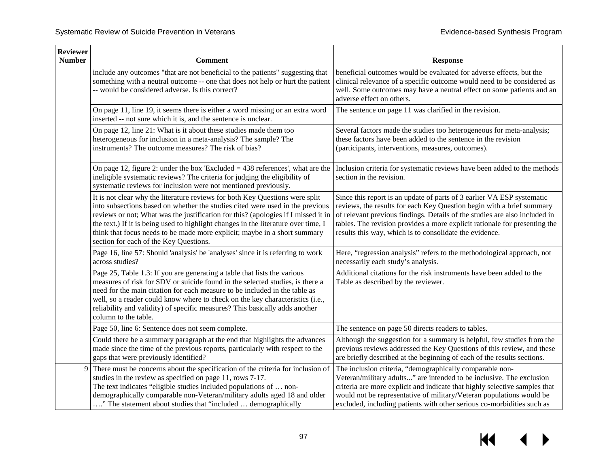| <b>Reviewer</b><br><b>Number</b> | <b>Comment</b>                                                                                                                                                                                                                                                                                                                                                                                                                                                  | <b>Response</b>                                                                                                                                                                                                                                                                                                                                                        |
|----------------------------------|-----------------------------------------------------------------------------------------------------------------------------------------------------------------------------------------------------------------------------------------------------------------------------------------------------------------------------------------------------------------------------------------------------------------------------------------------------------------|------------------------------------------------------------------------------------------------------------------------------------------------------------------------------------------------------------------------------------------------------------------------------------------------------------------------------------------------------------------------|
|                                  | include any outcomes "that are not beneficial to the patients" suggesting that<br>something with a neutral outcome -- one that does not help or hurt the patient<br>-- would be considered adverse. Is this correct?                                                                                                                                                                                                                                            | beneficial outcomes would be evaluated for adverse effects, but the<br>clinical relevance of a specific outcome would need to be considered as<br>well. Some outcomes may have a neutral effect on some patients and an<br>adverse effect on others.                                                                                                                   |
|                                  | On page 11, line 19, it seems there is either a word missing or an extra word<br>inserted -- not sure which it is, and the sentence is unclear.                                                                                                                                                                                                                                                                                                                 | The sentence on page 11 was clarified in the revision.                                                                                                                                                                                                                                                                                                                 |
|                                  | On page 12, line 21: What is it about these studies made them too<br>heterogeneous for inclusion in a meta-analysis? The sample? The<br>instruments? The outcome measures? The risk of bias?                                                                                                                                                                                                                                                                    | Several factors made the studies too heterogeneous for meta-analysis;<br>these factors have been added to the sentence in the revision<br>(participants, interventions, measures, outcomes).                                                                                                                                                                           |
|                                  | On page 12, figure 2: under the box 'Excluded $=$ 438 references', what are the<br>ineligible systematic reviews? The criteria for judging the eligibility of<br>systematic reviews for inclusion were not mentioned previously.                                                                                                                                                                                                                                | Inclusion criteria for systematic reviews have been added to the methods<br>section in the revision.                                                                                                                                                                                                                                                                   |
|                                  | It is not clear why the literature reviews for both Key Questions were split<br>into subsections based on whether the studies cited were used in the previous<br>reviews or not; What was the justification for this? (apologies if I missed it in<br>the text.) If it is being used to highlight changes in the literature over time, I<br>think that focus needs to be made more explicit; maybe in a short summary<br>section for each of the Key Questions. | Since this report is an update of parts of 3 earlier VA ESP systematic<br>reviews, the results for each Key Question begin with a brief summary<br>of relevant previous findings. Details of the studies are also included in<br>tables. The revision provides a more explicit rationale for presenting the<br>results this way, which is to consolidate the evidence. |
|                                  | Page 16, line 57: Should 'analysis' be 'analyses' since it is referring to work<br>across studies?                                                                                                                                                                                                                                                                                                                                                              | Here, "regression analysis" refers to the methodological approach, not<br>necessarily each study's analysis.                                                                                                                                                                                                                                                           |
|                                  | Page 25, Table 1.3: If you are generating a table that lists the various<br>measures of risk for SDV or suicide found in the selected studies, is there a<br>need for the main citation for each measure to be included in the table as<br>well, so a reader could know where to check on the key characteristics (i.e.,<br>reliability and validity) of specific measures? This basically adds another<br>column to the table.                                 | Additional citations for the risk instruments have been added to the<br>Table as described by the reviewer.                                                                                                                                                                                                                                                            |
|                                  | Page 50, line 6: Sentence does not seem complete.                                                                                                                                                                                                                                                                                                                                                                                                               | The sentence on page 50 directs readers to tables.                                                                                                                                                                                                                                                                                                                     |
|                                  | Could there be a summary paragraph at the end that highlights the advances<br>made since the time of the previous reports, particularly with respect to the<br>gaps that were previously identified?                                                                                                                                                                                                                                                            | Although the suggestion for a summary is helpful, few studies from the<br>previous reviews addressed the Key Questions of this review, and these<br>are briefly described at the beginning of each of the results sections.                                                                                                                                            |
| 9                                | There must be concerns about the specification of the criteria for inclusion of<br>studies in the review as specified on page 11, rows 7-17.<br>The text indicates "eligible studies included populations of  non-<br>demographically comparable non-Veteran/military adults aged 18 and older<br>" The statement about studies that "included  demographically                                                                                                 | The inclusion criteria, "demographically comparable non-<br>Veteran/military adults" are intended to be inclusive. The exclusion<br>criteria are more explicit and indicate that highly selective samples that<br>would not be representative of military/Veteran populations would be<br>excluded, including patients with other serious co-morbidities such as       |

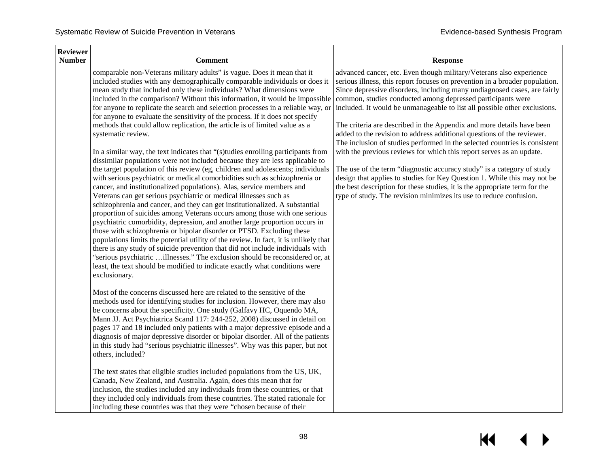| <b>Reviewer</b><br><b>Number</b> | Comment                                                                                                                                                                                                                                                                                                                                                                                                                                                                                                                                                                                                                                                                                                                                                                                                                                                                                                                                                                                                                                                                                                                                                                                                                                                                                                                                                                                                                                                                                                                                                                                                                                                                                                                                                   | <b>Response</b>                                                                                                                                                                                                                                                                                                                                                                                                                                                                                                                                                                                                                                                                                                                                                                                                                                                                                                                                                                               |
|----------------------------------|-----------------------------------------------------------------------------------------------------------------------------------------------------------------------------------------------------------------------------------------------------------------------------------------------------------------------------------------------------------------------------------------------------------------------------------------------------------------------------------------------------------------------------------------------------------------------------------------------------------------------------------------------------------------------------------------------------------------------------------------------------------------------------------------------------------------------------------------------------------------------------------------------------------------------------------------------------------------------------------------------------------------------------------------------------------------------------------------------------------------------------------------------------------------------------------------------------------------------------------------------------------------------------------------------------------------------------------------------------------------------------------------------------------------------------------------------------------------------------------------------------------------------------------------------------------------------------------------------------------------------------------------------------------------------------------------------------------------------------------------------------------|-----------------------------------------------------------------------------------------------------------------------------------------------------------------------------------------------------------------------------------------------------------------------------------------------------------------------------------------------------------------------------------------------------------------------------------------------------------------------------------------------------------------------------------------------------------------------------------------------------------------------------------------------------------------------------------------------------------------------------------------------------------------------------------------------------------------------------------------------------------------------------------------------------------------------------------------------------------------------------------------------|
|                                  | comparable non-Veterans military adults" is vague. Does it mean that it<br>included studies with any demographically comparable individuals or does it<br>mean study that included only these individuals? What dimensions were<br>included in the comparison? Without this information, it would be impossible<br>for anyone to replicate the search and selection processes in a reliable way, or<br>for anyone to evaluate the sensitivity of the process. If it does not specify<br>methods that could allow replication, the article is of limited value as a<br>systematic review.<br>In a similar way, the text indicates that "(s)tudies enrolling participants from<br>dissimilar populations were not included because they are less applicable to<br>the target population of this review (eg, children and adolescents; individuals<br>with serious psychiatric or medical comorbidities such as schizophrenia or<br>cancer, and institutionalized populations). Alas, service members and<br>Veterans can get serious psychiatric or medical illnesses such as<br>schizophrenia and cancer, and they can get institutionalized. A substantial<br>proportion of suicides among Veterans occurs among those with one serious<br>psychiatric comorbidity, depression, and another large proportion occurs in<br>those with schizophrenia or bipolar disorder or PTSD. Excluding these<br>populations limits the potential utility of the review. In fact, it is unlikely that<br>there is any study of suicide prevention that did not include individuals with<br>"serious psychiatric illnesses." The exclusion should be reconsidered or, at<br>least, the text should be modified to indicate exactly what conditions were<br>exclusionary. | advanced cancer, etc. Even though military/Veterans also experience<br>serious illness, this report focuses on prevention in a broader population.<br>Since depressive disorders, including many undiagnosed cases, are fairly<br>common, studies conducted among depressed participants were<br>included. It would be unmanageable to list all possible other exclusions.<br>The criteria are described in the Appendix and more details have been<br>added to the revision to address additional questions of the reviewer.<br>The inclusion of studies performed in the selected countries is consistent<br>with the previous reviews for which this report serves as an update.<br>The use of the term "diagnostic accuracy study" is a category of study<br>design that applies to studies for Key Question 1. While this may not be<br>the best description for these studies, it is the appropriate term for the<br>type of study. The revision minimizes its use to reduce confusion. |
|                                  | Most of the concerns discussed here are related to the sensitive of the<br>methods used for identifying studies for inclusion. However, there may also<br>be concerns about the specificity. One study (Galfavy HC, Oquendo MA,<br>Mann JJ. Act Psychiatrica Scand 117: 244-252, 2008) discussed in detail on<br>pages 17 and 18 included only patients with a major depressive episode and a<br>diagnosis of major depressive disorder or bipolar disorder. All of the patients<br>in this study had "serious psychiatric illnesses". Why was this paper, but not<br>others, included?<br>The text states that eligible studies included populations from the US, UK,<br>Canada, New Zealand, and Australia. Again, does this mean that for<br>inclusion, the studies included any individuals from these countries, or that<br>they included only individuals from these countries. The stated rationale for<br>including these countries was that they were "chosen because of their                                                                                                                                                                                                                                                                                                                                                                                                                                                                                                                                                                                                                                                                                                                                                                   |                                                                                                                                                                                                                                                                                                                                                                                                                                                                                                                                                                                                                                                                                                                                                                                                                                                                                                                                                                                               |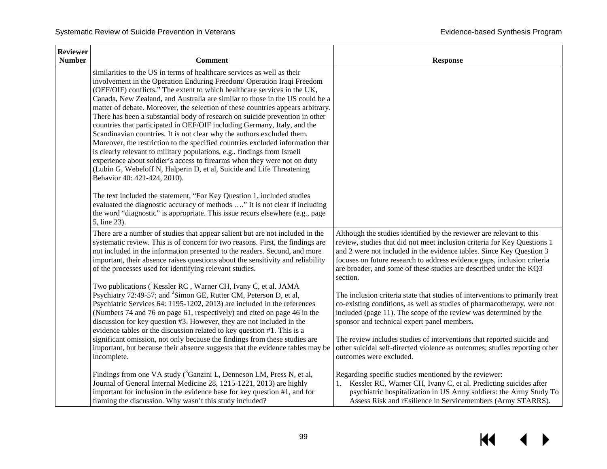| <b>Reviewer</b><br><b>Number</b> | <b>Comment</b>                                                                                                                                                                                                                                                                                                                                                                                                                                                                                                                                                                                                                                                                                                                                                                                                                                                                                                                                                                            | <b>Response</b>                                                                                                                                                                                                                                                                                                                                                                       |
|----------------------------------|-------------------------------------------------------------------------------------------------------------------------------------------------------------------------------------------------------------------------------------------------------------------------------------------------------------------------------------------------------------------------------------------------------------------------------------------------------------------------------------------------------------------------------------------------------------------------------------------------------------------------------------------------------------------------------------------------------------------------------------------------------------------------------------------------------------------------------------------------------------------------------------------------------------------------------------------------------------------------------------------|---------------------------------------------------------------------------------------------------------------------------------------------------------------------------------------------------------------------------------------------------------------------------------------------------------------------------------------------------------------------------------------|
|                                  | similarities to the US in terms of healthcare services as well as their<br>involvement in the Operation Enduring Freedom/ Operation Iraqi Freedom<br>(OEF/OIF) conflicts." The extent to which healthcare services in the UK,<br>Canada, New Zealand, and Australia are similar to those in the US could be a<br>matter of debate. Moreover, the selection of these countries appears arbitrary.<br>There has been a substantial body of research on suicide prevention in other<br>countries that participated in OEF/OIF including Germany, Italy, and the<br>Scandinavian countries. It is not clear why the authors excluded them.<br>Moreover, the restriction to the specified countries excluded information that<br>is clearly relevant to military populations, e.g., findings from Israeli<br>experience about soldier's access to firearms when they were not on duty<br>(Lubin G, Webeloff N, Halperin D, et al, Suicide and Life Threatening<br>Behavior 40: 421-424, 2010). |                                                                                                                                                                                                                                                                                                                                                                                       |
|                                  | The text included the statement, "For Key Question 1, included studies<br>evaluated the diagnostic accuracy of methods " It is not clear if including<br>the word "diagnostic" is appropriate. This issue recurs elsewhere (e.g., page<br>5, line 23).                                                                                                                                                                                                                                                                                                                                                                                                                                                                                                                                                                                                                                                                                                                                    |                                                                                                                                                                                                                                                                                                                                                                                       |
|                                  | There are a number of studies that appear salient but are not included in the<br>systematic review. This is of concern for two reasons. First, the findings are<br>not included in the information presented to the readers. Second, and more<br>important, their absence raises questions about the sensitivity and reliability<br>of the processes used for identifying relevant studies.                                                                                                                                                                                                                                                                                                                                                                                                                                                                                                                                                                                               | Although the studies identified by the reviewer are relevant to this<br>review, studies that did not meet inclusion criteria for Key Questions 1<br>and 2 were not included in the evidence tables. Since Key Question 3<br>focuses on future research to address evidence gaps, inclusion criteria<br>are broader, and some of these studies are described under the KQ3<br>section. |
|                                  | Two publications ( <sup>1</sup> Kessler RC, Warner CH, Ivany C, et al. JAMA<br>Psychiatry 72:49-57; and <sup>2</sup> Simon GE, Rutter CM, Peterson D, et al,<br>Psychiatric Services 64: 1195-1202, 2013) are included in the references<br>(Numbers 74 and 76 on page 61, respectively) and cited on page 46 in the<br>discussion for key question #3. However, they are not included in the<br>evidence tables or the discussion related to key question #1. This is a                                                                                                                                                                                                                                                                                                                                                                                                                                                                                                                  | The inclusion criteria state that studies of interventions to primarily treat<br>co-existing conditions, as well as studies of pharmacotherapy, were not<br>included (page 11). The scope of the review was determined by the<br>sponsor and technical expert panel members.                                                                                                          |
|                                  | significant omission, not only because the findings from these studies are<br>important, but because their absence suggests that the evidence tables may be<br>incomplete.                                                                                                                                                                                                                                                                                                                                                                                                                                                                                                                                                                                                                                                                                                                                                                                                                | The review includes studies of interventions that reported suicide and<br>other suicidal self-directed violence as outcomes; studies reporting other<br>outcomes were excluded.                                                                                                                                                                                                       |
|                                  | Findings from one VA study $(3$ <sup>3</sup> Ganzini L, Denneson LM, Press N, et al,<br>Journal of General Internal Medicine 28, 1215-1221, 2013) are highly<br>important for inclusion in the evidence base for key question #1, and for<br>framing the discussion. Why wasn't this study included?                                                                                                                                                                                                                                                                                                                                                                                                                                                                                                                                                                                                                                                                                      | Regarding specific studies mentioned by the reviewer:<br>1. Kessler RC, Warner CH, Ivany C, et al. Predicting suicides after<br>psychiatric hospitalization in US Army soldiers: the Army Study To<br>Assess Risk and rEsilience in Servicemembers (Army STARRS).                                                                                                                     |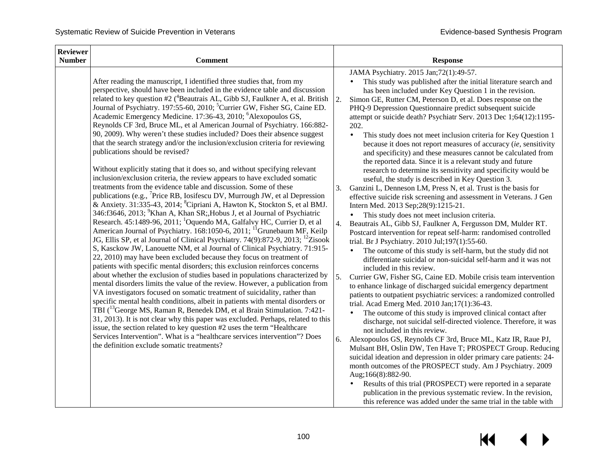| <b>Reviewer</b><br><b>Number</b> | <b>Comment</b>                                                                                                                                                                                                                                                                                                                                                                                                                                                                                                                                                                                                                                                                                                                                                                                                                                                                                                                                                                                                                                                                                                                                                                                                                                                                                                                                                                                                                                                                                                                                                                                                                                                                                                                                                                                                                                                                                                                                                                                                                                                                                                                                                                                                                                                                                                                                                                                                                                        |                            | <b>Response</b>                                                                                                                                                                                                                                                                                                                                                                                                                                                                                                                                                                                                                                                                                                                                                                                                                                                                                                                                                                                                                                                                                                                                                                                                                                                                                                                                                                                                                                                                                                                                                                                                                                                                                                                                                                                                                                                                                                                                                                                                                                                                                                                                                                                                                                                                                      |
|----------------------------------|-------------------------------------------------------------------------------------------------------------------------------------------------------------------------------------------------------------------------------------------------------------------------------------------------------------------------------------------------------------------------------------------------------------------------------------------------------------------------------------------------------------------------------------------------------------------------------------------------------------------------------------------------------------------------------------------------------------------------------------------------------------------------------------------------------------------------------------------------------------------------------------------------------------------------------------------------------------------------------------------------------------------------------------------------------------------------------------------------------------------------------------------------------------------------------------------------------------------------------------------------------------------------------------------------------------------------------------------------------------------------------------------------------------------------------------------------------------------------------------------------------------------------------------------------------------------------------------------------------------------------------------------------------------------------------------------------------------------------------------------------------------------------------------------------------------------------------------------------------------------------------------------------------------------------------------------------------------------------------------------------------------------------------------------------------------------------------------------------------------------------------------------------------------------------------------------------------------------------------------------------------------------------------------------------------------------------------------------------------------------------------------------------------------------------------------------------------|----------------------------|------------------------------------------------------------------------------------------------------------------------------------------------------------------------------------------------------------------------------------------------------------------------------------------------------------------------------------------------------------------------------------------------------------------------------------------------------------------------------------------------------------------------------------------------------------------------------------------------------------------------------------------------------------------------------------------------------------------------------------------------------------------------------------------------------------------------------------------------------------------------------------------------------------------------------------------------------------------------------------------------------------------------------------------------------------------------------------------------------------------------------------------------------------------------------------------------------------------------------------------------------------------------------------------------------------------------------------------------------------------------------------------------------------------------------------------------------------------------------------------------------------------------------------------------------------------------------------------------------------------------------------------------------------------------------------------------------------------------------------------------------------------------------------------------------------------------------------------------------------------------------------------------------------------------------------------------------------------------------------------------------------------------------------------------------------------------------------------------------------------------------------------------------------------------------------------------------------------------------------------------------------------------------------------------------|
|                                  | After reading the manuscript, I identified three studies that, from my<br>perspective, should have been included in the evidence table and discussion<br>related to key question #2 ( <sup>4</sup> Beautrais AL, Gibb SJ, Faulkner A, et al. British<br>Journal of Psychiatry. 197:55-60, 2010; <sup>5</sup> Currier GW, Fisher SG, Caine ED.<br>Academic Emergency Medicine. 17:36-43, 2010; <sup>6</sup> Alexopoulos GS,<br>Reynolds CF 3rd, Bruce ML, et al American Journal of Psychiatry. 166:882-<br>90, 2009). Why weren't these studies included? Does their absence suggest<br>that the search strategy and/or the inclusion/exclusion criteria for reviewing<br>publications should be revised?<br>Without explicitly stating that it does so, and without specifying relevant<br>inclusion/exclusion criteria, the review appears to have excluded somatic<br>treatments from the evidence table and discussion. Some of these<br>publications (e.g., <sup>7</sup> Price RB, Iosifescu DV, Murrough JW, et al Depression<br>& Anxiety. 31:335-43, 2014; <sup>8</sup> Cipriani A, Hawton K, Stockton S, et al BMJ.<br>346:f3646, 2013; <sup>9</sup> Khan A, Khan SR; Hobus J, et al Journal of Psychiatric<br>Research. 45:1489-96, 2011; <sup>1</sup> Oquendo MA, Galfalvy HC, Currier D, et al<br>American Journal of Psychiatry. 168:1050-6, 2011; <sup>11</sup> Grunebaum MF, Keilp<br>JG, Ellis SP, et al Journal of Clinical Psychiatry. 74(9):872-9, 2013; <sup>12</sup> Zisook<br>S, Kasckow JW, Lanouette NM, et al Journal of Clinical Psychiatry. 71:915-<br>22, 2010) may have been excluded because they focus on treatment of<br>patients with specific mental disorders; this exclusion reinforces concerns<br>about whether the exclusion of studies based in populations characterized by<br>mental disorders limits the value of the review. However, a publication from<br>VA investigators focused on somatic treatment of suicidality, rather than<br>specific mental health conditions, albeit in patients with mental disorders or<br>TBI ( <sup>13</sup> George MS, Raman R, Benedek DM, et al Brain Stimulation. 7:421-<br>31, 2013). It is not clear why this paper was excluded. Perhaps, related to this<br>issue, the section related to key question #2 uses the term "Healthcare<br>Services Intervention". What is a "healthcare services intervention"? Does<br>the definition exclude somatic treatments? | 2.<br>3.<br>4.<br>5.<br>6. | JAMA Psychiatry. 2015 Jan;72(1):49-57.<br>This study was published after the initial literature search and<br>has been included under Key Question 1 in the revision.<br>Simon GE, Rutter CM, Peterson D, et al. Does response on the<br>PHQ-9 Depression Questionnaire predict subsequent suicide<br>attempt or suicide death? Psychiatr Serv. 2013 Dec 1;64(12):1195-<br>202.<br>This study does not meet inclusion criteria for Key Question 1<br>because it does not report measures of accuracy (ie, sensitivity<br>and specificity) and these measures cannot be calculated from<br>the reported data. Since it is a relevant study and future<br>research to determine its sensitivity and specificity would be<br>useful, the study is described in Key Question 3.<br>Ganzini L, Denneson LM, Press N, et al. Trust is the basis for<br>effective suicide risk screening and assessment in Veterans. J Gen<br>Intern Med. 2013 Sep;28(9):1215-21.<br>This study does not meet inclusion criteria.<br>Beautrais AL, Gibb SJ, Faulkner A, Fergusson DM, Mulder RT.<br>Postcard intervention for repeat self-harm: randomised controlled<br>trial. Br J Psychiatry. 2010 Jul;197(1):55-60.<br>The outcome of this study is self-harm, but the study did not<br>differentiate suicidal or non-suicidal self-harm and it was not<br>included in this review.<br>Currier GW, Fisher SG, Caine ED. Mobile crisis team intervention<br>to enhance linkage of discharged suicidal emergency department<br>patients to outpatient psychiatric services: a randomized controlled<br>trial. Acad Emerg Med. 2010 Jan;17(1):36-43.<br>The outcome of this study is improved clinical contact after<br>discharge, not suicidal self-directed violence. Therefore, it was<br>not included in this review.<br>Alexopoulos GS, Reynolds CF 3rd, Bruce ML, Katz IR, Raue PJ,<br>Mulsant BH, Oslin DW, Ten Have T; PROSPECT Group. Reducing<br>suicidal ideation and depression in older primary care patients: 24-<br>month outcomes of the PROSPECT study. Am J Psychiatry. 2009<br>Aug;166(8):882-90.<br>Results of this trial (PROSPECT) were reported in a separate<br>publication in the previous systematic review. In the revision,<br>this reference was added under the same trial in the table with |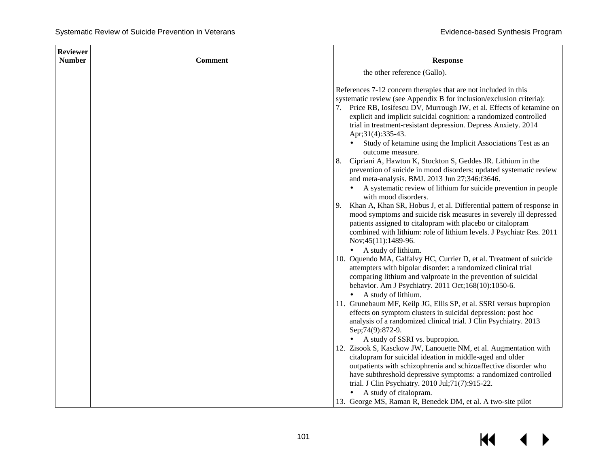| <b>Reviewer</b> |                |                                                                                                                                            |  |  |
|-----------------|----------------|--------------------------------------------------------------------------------------------------------------------------------------------|--|--|
| <b>Number</b>   | <b>Comment</b> | <b>Response</b>                                                                                                                            |  |  |
|                 |                | the other reference (Gallo).                                                                                                               |  |  |
|                 |                |                                                                                                                                            |  |  |
|                 |                | References 7-12 concern therapies that are not included in this                                                                            |  |  |
|                 |                | systematic review (see Appendix B for inclusion/exclusion criteria):                                                                       |  |  |
|                 |                | 7. Price RB, Iosifescu DV, Murrough JW, et al. Effects of ketamine on<br>explicit and implicit suicidal cognition: a randomized controlled |  |  |
|                 |                | trial in treatment-resistant depression. Depress Anxiety. 2014                                                                             |  |  |
|                 |                | Apr;31(4):335-43.                                                                                                                          |  |  |
|                 |                | Study of ketamine using the Implicit Associations Test as an                                                                               |  |  |
|                 |                | outcome measure.                                                                                                                           |  |  |
|                 |                | 8. Cipriani A, Hawton K, Stockton S, Geddes JR. Lithium in the                                                                             |  |  |
|                 |                | prevention of suicide in mood disorders: updated systematic review                                                                         |  |  |
|                 |                | and meta-analysis. BMJ. 2013 Jun 27;346:f3646.                                                                                             |  |  |
|                 |                | A systematic review of lithium for suicide prevention in people<br>with mood disorders.                                                    |  |  |
|                 |                | Khan A, Khan SR, Hobus J, et al. Differential pattern of response in<br>9.                                                                 |  |  |
|                 |                | mood symptoms and suicide risk measures in severely ill depressed                                                                          |  |  |
|                 |                | patients assigned to citalopram with placebo or citalopram                                                                                 |  |  |
|                 |                | combined with lithium: role of lithium levels. J Psychiatr Res. 2011                                                                       |  |  |
|                 |                | Nov;45(11):1489-96.                                                                                                                        |  |  |
|                 |                | A study of lithium.                                                                                                                        |  |  |
|                 |                | 10. Oquendo MA, Galfalvy HC, Currier D, et al. Treatment of suicide<br>attempters with bipolar disorder: a randomized clinical trial       |  |  |
|                 |                | comparing lithium and valproate in the prevention of suicidal                                                                              |  |  |
|                 |                | behavior. Am J Psychiatry. 2011 Oct;168(10):1050-6.                                                                                        |  |  |
|                 |                | A study of lithium.                                                                                                                        |  |  |
|                 |                | 11. Grunebaum MF, Keilp JG, Ellis SP, et al. SSRI versus bupropion                                                                         |  |  |
|                 |                | effects on symptom clusters in suicidal depression: post hoc                                                                               |  |  |
|                 |                | analysis of a randomized clinical trial. J Clin Psychiatry. 2013<br>Sep; 74(9): 872-9.                                                     |  |  |
|                 |                | A study of SSRI vs. bupropion.                                                                                                             |  |  |
|                 |                | 12. Zisook S, Kasckow JW, Lanouette NM, et al. Augmentation with                                                                           |  |  |
|                 |                | citalopram for suicidal ideation in middle-aged and older                                                                                  |  |  |
|                 |                | outpatients with schizophrenia and schizoaffective disorder who                                                                            |  |  |
|                 |                | have subthreshold depressive symptoms: a randomized controlled                                                                             |  |  |
|                 |                | trial. J Clin Psychiatry. 2010 Jul;71(7):915-22.                                                                                           |  |  |
|                 |                | A study of citalopram.                                                                                                                     |  |  |
|                 |                | 13. George MS, Raman R, Benedek DM, et al. A two-site pilot                                                                                |  |  |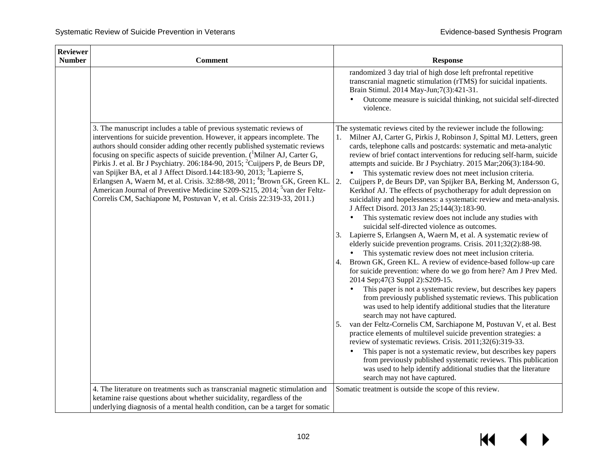| <b>Reviewer</b> |                                                                                                                                                                                                                                                                                                                                                                                                                                                                                                                                                                                                                                                                                                                                                                        |                                                                                                                                                                                                                                                                                                                                                                                                                                                                                                                                                                                                                                                                                                                                                                                                                                                                                                                                                                                                                                                                                                                                                                                                                                                                                                                                                                                                                                                                                                                                                                                                                                                                                                                                                                                                                                                                                             |
|-----------------|------------------------------------------------------------------------------------------------------------------------------------------------------------------------------------------------------------------------------------------------------------------------------------------------------------------------------------------------------------------------------------------------------------------------------------------------------------------------------------------------------------------------------------------------------------------------------------------------------------------------------------------------------------------------------------------------------------------------------------------------------------------------|---------------------------------------------------------------------------------------------------------------------------------------------------------------------------------------------------------------------------------------------------------------------------------------------------------------------------------------------------------------------------------------------------------------------------------------------------------------------------------------------------------------------------------------------------------------------------------------------------------------------------------------------------------------------------------------------------------------------------------------------------------------------------------------------------------------------------------------------------------------------------------------------------------------------------------------------------------------------------------------------------------------------------------------------------------------------------------------------------------------------------------------------------------------------------------------------------------------------------------------------------------------------------------------------------------------------------------------------------------------------------------------------------------------------------------------------------------------------------------------------------------------------------------------------------------------------------------------------------------------------------------------------------------------------------------------------------------------------------------------------------------------------------------------------------------------------------------------------------------------------------------------------|
| <b>Number</b>   | <b>Comment</b>                                                                                                                                                                                                                                                                                                                                                                                                                                                                                                                                                                                                                                                                                                                                                         | <b>Response</b>                                                                                                                                                                                                                                                                                                                                                                                                                                                                                                                                                                                                                                                                                                                                                                                                                                                                                                                                                                                                                                                                                                                                                                                                                                                                                                                                                                                                                                                                                                                                                                                                                                                                                                                                                                                                                                                                             |
|                 |                                                                                                                                                                                                                                                                                                                                                                                                                                                                                                                                                                                                                                                                                                                                                                        | randomized 3 day trial of high dose left prefrontal repetitive<br>transcranial magnetic stimulation (rTMS) for suicidal inpatients.<br>Brain Stimul. 2014 May-Jun; 7(3): 421-31.<br>Outcome measure is suicidal thinking, not suicidal self-directed<br>violence.                                                                                                                                                                                                                                                                                                                                                                                                                                                                                                                                                                                                                                                                                                                                                                                                                                                                                                                                                                                                                                                                                                                                                                                                                                                                                                                                                                                                                                                                                                                                                                                                                           |
|                 | 3. The manuscript includes a table of previous systematic reviews of<br>interventions for suicide prevention. However, it appears incomplete. The<br>authors should consider adding other recently published systematic reviews<br>focusing on specific aspects of suicide prevention. $\binom{1}{1}$ Milner AJ, Carter G,<br>Pirkis J. et al. Br J Psychiatry. 206:184-90, 2015; <sup>2</sup> Cuijpers P, de Beurs DP,<br>van Spijker BA, et al J Affect Disord.144:183-90, 2013; <sup>3</sup> Lapierre S,<br>Erlangsen A, Waern M, et al. Crisis. 32:88-98, 2011; <sup>4</sup> Brown GK, Green KL.<br>American Journal of Preventive Medicine S209-S215, 2014; <sup>5</sup> van der Feltz-<br>Correlis CM, Sachiapone M, Postuvan V, et al. Crisis 22:319-33, 2011.) | The systematic reviews cited by the reviewer include the following:<br>1. Milner AJ, Carter G, Pirkis J, Robinson J, Spittal MJ. Letters, green<br>cards, telephone calls and postcards: systematic and meta-analytic<br>review of brief contact interventions for reducing self-harm, suicide<br>attempts and suicide. Br J Psychiatry. 2015 Mar;206(3):184-90.<br>This systematic review does not meet inclusion criteria.<br>2.<br>Cuijpers P, de Beurs DP, van Spijker BA, Berking M, Andersson G,<br>Kerkhof AJ. The effects of psychotherapy for adult depression on<br>suicidality and hopelessness: a systematic review and meta-analysis.<br>J Affect Disord. 2013 Jan 25;144(3):183-90.<br>This systematic review does not include any studies with<br>suicidal self-directed violence as outcomes.<br>3. Lapierre S, Erlangsen A, Waern M, et al. A systematic review of<br>elderly suicide prevention programs. Crisis. 2011;32(2):88-98.<br>This systematic review does not meet inclusion criteria.<br>4. Brown GK, Green KL. A review of evidence-based follow-up care<br>for suicide prevention: where do we go from here? Am J Prev Med.<br>2014 Sep;47(3 Suppl 2):S209-15.<br>This paper is not a systematic review, but describes key papers<br>from previously published systematic reviews. This publication<br>was used to help identify additional studies that the literature<br>search may not have captured.<br>van der Feltz-Cornelis CM, Sarchiapone M, Postuvan V, et al. Best<br>5.<br>practice elements of multilevel suicide prevention strategies: a<br>review of systematic reviews. Crisis. 2011;32(6):319-33.<br>This paper is not a systematic review, but describes key papers<br>from previously published systematic reviews. This publication<br>was used to help identify additional studies that the literature<br>search may not have captured. |
|                 | 4. The literature on treatments such as transcranial magnetic stimulation and<br>ketamine raise questions about whether suicidality, regardless of the<br>underlying diagnosis of a mental health condition, can be a target for somatic                                                                                                                                                                                                                                                                                                                                                                                                                                                                                                                               | Somatic treatment is outside the scope of this review.                                                                                                                                                                                                                                                                                                                                                                                                                                                                                                                                                                                                                                                                                                                                                                                                                                                                                                                                                                                                                                                                                                                                                                                                                                                                                                                                                                                                                                                                                                                                                                                                                                                                                                                                                                                                                                      |

#### $\overline{\mathbf{M}}$ ▶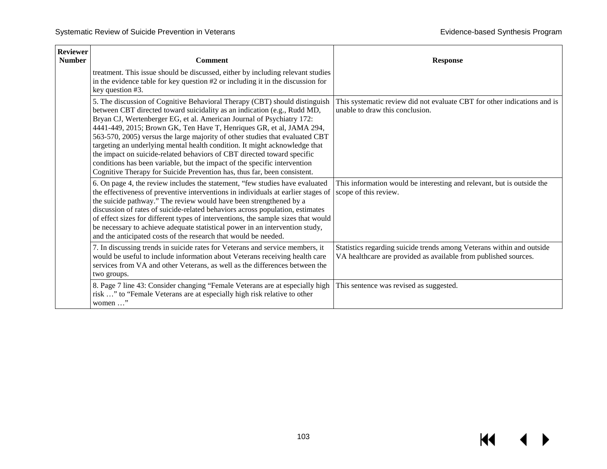| <b>Reviewer</b><br><b>Number</b> | <b>Comment</b>                                                                                                                                                                                                                                                                                                                                                                                                                                                                                                                                                                                                                                                                                            | <b>Response</b>                                                                                                                          |
|----------------------------------|-----------------------------------------------------------------------------------------------------------------------------------------------------------------------------------------------------------------------------------------------------------------------------------------------------------------------------------------------------------------------------------------------------------------------------------------------------------------------------------------------------------------------------------------------------------------------------------------------------------------------------------------------------------------------------------------------------------|------------------------------------------------------------------------------------------------------------------------------------------|
|                                  | treatment. This issue should be discussed, either by including relevant studies<br>in the evidence table for key question #2 or including it in the discussion for<br>key question #3.                                                                                                                                                                                                                                                                                                                                                                                                                                                                                                                    |                                                                                                                                          |
|                                  | 5. The discussion of Cognitive Behavioral Therapy (CBT) should distinguish<br>between CBT directed toward suicidality as an indication (e.g., Rudd MD,<br>Bryan CJ, Wertenberger EG, et al. American Journal of Psychiatry 172:<br>4441-449, 2015; Brown GK, Ten Have T, Henriques GR, et al, JAMA 294,<br>563-570, 2005) versus the large majority of other studies that evaluated CBT<br>targeting an underlying mental health condition. It might acknowledge that<br>the impact on suicide-related behaviors of CBT directed toward specific<br>conditions has been variable, but the impact of the specific intervention<br>Cognitive Therapy for Suicide Prevention has, thus far, been consistent. | This systematic review did not evaluate CBT for other indications and is<br>unable to draw this conclusion.                              |
|                                  | 6. On page 4, the review includes the statement, "few studies have evaluated<br>the effectiveness of preventive interventions in individuals at earlier stages of<br>the suicide pathway." The review would have been strengthened by a<br>discussion of rates of suicide-related behaviors across population, estimates<br>of effect sizes for different types of interventions, the sample sizes that would<br>be necessary to achieve adequate statistical power in an intervention study,<br>and the anticipated costs of the research that would be needed.                                                                                                                                          | This information would be interesting and relevant, but is outside the<br>scope of this review.                                          |
|                                  | 7. In discussing trends in suicide rates for Veterans and service members, it<br>would be useful to include information about Veterans receiving health care<br>services from VA and other Veterans, as well as the differences between the<br>two groups.                                                                                                                                                                                                                                                                                                                                                                                                                                                | Statistics regarding suicide trends among Veterans within and outside<br>VA healthcare are provided as available from published sources. |
|                                  | 8. Page 7 line 43: Consider changing "Female Veterans are at especially high<br>risk " to "Female Veterans are at especially high risk relative to other<br>women "                                                                                                                                                                                                                                                                                                                                                                                                                                                                                                                                       | This sentence was revised as suggested.                                                                                                  |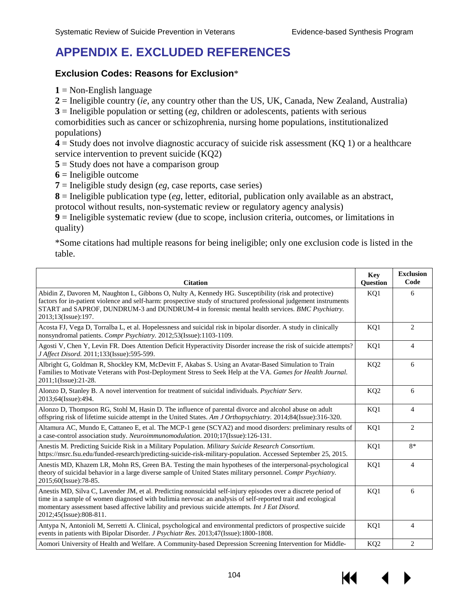# **APPENDIX E. EXCLUDED REFERENCES**

#### **Exclusion Codes: Reasons for Exclusion**\*

**1** = Non-English language

**2** = Ineligible country (*ie*, any country other than the US, UK, Canada, New Zealand, Australia)

**3** = Ineligible population or setting (*eg*, children or adolescents, patients with serious

comorbidities such as cancer or schizophrenia, nursing home populations, institutionalized populations)

**4** = Study does not involve diagnostic accuracy of suicide risk assessment (KQ 1) or a healthcare service intervention to prevent suicide (KQ2)

**5** = Study does not have a comparison group

**6** = Ineligible outcome

**7** = Ineligible study design (*eg*, case reports, case series)

**8** = Ineligible publication type (*eg*, letter, editorial, publication only available as an abstract,

protocol without results, non-systematic review or regulatory agency analysis)

 $\dot{9}$  = Ineligible systematic review (due to scope, inclusion criteria, outcomes, or limitations in quality)

\*Some citations had multiple reasons for being ineligible; only one exclusion code is listed in the table.

| <b>Citation</b>                                                                                                                                                                                                                                                                                                                                            | <b>Key</b><br>Question | <b>Exclusion</b><br>Code |
|------------------------------------------------------------------------------------------------------------------------------------------------------------------------------------------------------------------------------------------------------------------------------------------------------------------------------------------------------------|------------------------|--------------------------|
| Abidin Z, Davoren M, Naughton L, Gibbons O, Nulty A, Kennedy HG. Susceptibility (risk and protective)<br>factors for in-patient violence and self-harm: prospective study of structured professional judgement instruments<br>START and SAPROF, DUNDRUM-3 and DUNDRUM-4 in forensic mental health services. BMC Psychiatry.<br>2013;13(Issue):197.         | KQ1                    | 6                        |
| Acosta FJ, Vega D, Torralba L, et al. Hopelessness and suicidal risk in bipolar disorder. A study in clinically<br>nonsyndromal patients. Compr Psychiatry. 2012;53(Issue):1103-1109.                                                                                                                                                                      | KQ1                    | 2                        |
| Agosti V, Chen Y, Levin FR. Does Attention Deficit Hyperactivity Disorder increase the risk of suicide attempts?<br>J Affect Disord. 2011;133(Issue):595-599.                                                                                                                                                                                              | KQ1                    | $\overline{4}$           |
| Albright G, Goldman R, Shockley KM, McDevitt F, Akabas S. Using an Avatar-Based Simulation to Train<br>Families to Motivate Veterans with Post-Deployment Stress to Seek Help at the VA. Games for Health Journal.<br>2011;1(Issue):21-28.                                                                                                                 | KQ <sub>2</sub>        | 6                        |
| Alonzo D, Stanley B. A novel intervention for treatment of suicidal individuals. Psychiatr Serv.<br>2013;64(Issue):494.                                                                                                                                                                                                                                    | KQ <sub>2</sub>        | 6                        |
| Alonzo D, Thompson RG, Stohl M, Hasin D. The influence of parental divorce and alcohol abuse on adult<br>offspring risk of lifetime suicide attempt in the United States. Am J Orthopsychiatry. 2014;84(Issue):316-320.                                                                                                                                    | KQ1                    | $\overline{4}$           |
| Altamura AC, Mundo E, Cattaneo E, et al. The MCP-1 gene (SCYA2) and mood disorders: preliminary results of<br>a case-control association study. Neuroimmunomodulation. 2010;17(Issue):126-131.                                                                                                                                                             | KQ1                    | 2                        |
| Anestis M. Predicting Suicide Risk in a Military Population. Military Suicide Research Consortium.<br>https://msrc.fsu.edu/funded-research/predicting-suicide-risk-military-population. Accessed September 25, 2015.                                                                                                                                       | KQ1                    | $8*$                     |
| Anestis MD, Khazem LR, Mohn RS, Green BA. Testing the main hypotheses of the interpersonal-psychological<br>theory of suicidal behavior in a large diverse sample of United States military personnel. Compr Psychiatry.<br>2015;60(Issue):78-85.                                                                                                          | KQ1                    | $\overline{4}$           |
| Anestis MD, Silva C, Lavender JM, et al. Predicting nonsuicidal self-injury episodes over a discrete period of<br>time in a sample of women diagnosed with bulimia nervosa: an analysis of self-reported trait and ecological<br>momentary assessment based affective lability and previous suicide attempts. Int J Eat Disord.<br>2012;45(Issue):808-811. | KQ1                    | 6                        |
| Antypa N, Antonioli M, Serretti A. Clinical, psychological and environmental predictors of prospective suicide<br>events in patients with Bipolar Disorder. <i>J Psychiatr Res.</i> 2013;47(Issue):1800-1808.                                                                                                                                              | KQ1                    | $\overline{4}$           |
| Aomori University of Health and Welfare. A Community-based Depression Screening Intervention for Middle-                                                                                                                                                                                                                                                   | KQ <sub>2</sub>        | 2                        |

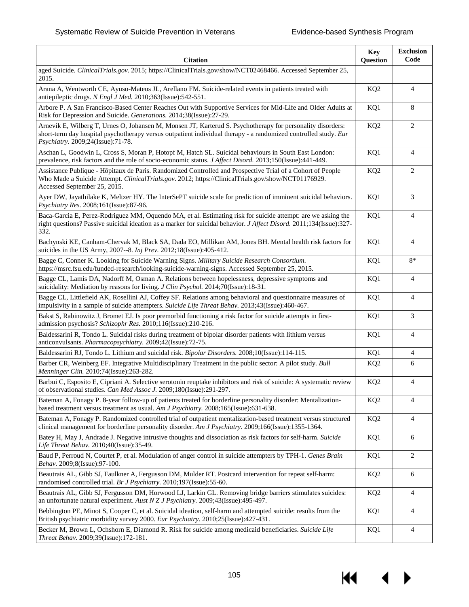14

 $\blacktriangleright$ 

| <b>Citation</b>                                                                                                                                                                                                                                                    | <b>Key</b><br>Question | <b>Exclusion</b><br>Code |
|--------------------------------------------------------------------------------------------------------------------------------------------------------------------------------------------------------------------------------------------------------------------|------------------------|--------------------------|
| aged Suicide. ClinicalTrials.gov.2015; https://ClinicalTrials.gov/show/NCT02468466. Accessed September 25,<br>2015.                                                                                                                                                |                        |                          |
| Arana A, Wentworth CE, Ayuso-Mateos JL, Arellano FM. Suicide-related events in patients treated with<br>antiepileptic drugs. N Engl J Med. 2010;363(Issue):542-551.                                                                                                | KQ <sub>2</sub>        | $\overline{4}$           |
| Arbore P. A San Francisco-Based Center Reaches Out with Supportive Services for Mid-Life and Older Adults at<br>Risk for Depression and Suicide. Generations. 2014;38(Issue):27-29.                                                                                | KQ1                    | 8                        |
| Arnevik E, Wilberg T, Urnes O, Johansen M, Monsen JT, Karterud S. Psychotherapy for personality disorders:<br>short-term day hospital psychotherapy versus outpatient individual therapy - a randomized controlled study. Eur<br>Psychiatry. 2009;24(Issue):71-78. | KQ <sub>2</sub>        | 2                        |
| Aschan L, Goodwin L, Cross S, Moran P, Hotopf M, Hatch SL. Suicidal behaviours in South East London:<br>prevalence, risk factors and the role of socio-economic status. J Affect Disord. 2013;150(Issue):441-449.                                                  | KQ1                    | $\overline{4}$           |
| Assistance Publique - Hôpitaux de Paris. Randomized Controlled and Prospective Trial of a Cohort of People<br>Who Made a Suicide Attempt. ClinicalTrials.gov. 2012; https://ClinicalTrials.gov/show/NCT01176929.<br>Accessed September 25, 2015.                   | KQ <sub>2</sub>        | 2                        |
| Ayer DW, Jayathilake K, Meltzer HY. The InterSePT suicide scale for prediction of imminent suicidal behaviors.<br>Psychiatry Res. 2008;161(Issue):87-96.                                                                                                           | KQ1                    | 3                        |
| Baca-Garcia E, Perez-Rodriguez MM, Oquendo MA, et al. Estimating risk for suicide attempt: are we asking the<br>right questions? Passive suicidal ideation as a marker for suicidal behavior. J Affect Disord. 2011;134(Issue):327-<br>332.                        | KQ1                    | 4                        |
| Bachynski KE, Canham-Chervak M, Black SA, Dada EO, Millikan AM, Jones BH. Mental health risk factors for<br>suicides in the US Army, 2007--8. Inj Prev. 2012;18(Issue):405-412.                                                                                    | KQ1                    | $\overline{4}$           |
| Bagge C, Conner K. Looking for Suicide Warning Signs. Military Suicide Research Consortium.<br>https://msrc.fsu.edu/funded-research/looking-suicide-warning-signs. Accessed September 25, 2015.                                                                    | KQ1                    | $8*$                     |
| Bagge CL, Lamis DA, Nadorff M, Osman A. Relations between hopelessness, depressive symptoms and<br>suicidality: Mediation by reasons for living. J Clin Psychol. 2014;70(Issue):18-31.                                                                             | KQ1                    | $\overline{4}$           |
| Bagge CL, Littlefield AK, Rosellini AJ, Coffey SF. Relations among behavioral and questionnaire measures of<br>impulsivity in a sample of suicide attempters. Suicide Life Threat Behav. 2013;43(Issue):460-467.                                                   | KQ1                    | $\overline{4}$           |
| Bakst S, Rabinowitz J, Bromet EJ. Is poor premorbid functioning a risk factor for suicide attempts in first-<br>admission psychosis? Schizophr Res. 2010;116(Issue):210-216.                                                                                       | KQ1                    | 3                        |
| Baldessarini R, Tondo L. Suicidal risks during treatment of bipolar disorder patients with lithium versus<br>anticonvulsants. Pharmacopsychiatry. 2009;42(Issue):72-75.                                                                                            | KQ1                    | $\overline{4}$           |
| Baldessarini RJ, Tondo L. Lithium and suicidal risk. Bipolar Disorders. 2008;10(Issue):114-115.                                                                                                                                                                    | KQ1                    | $\overline{4}$           |
| Barber CR, Weinberg EF. Integrative Multidisciplinary Treatment in the public sector: A pilot study. Bull<br>Menninger Clin. 2010;74(Issue):263-282.                                                                                                               | KQ <sub>2</sub>        | 6                        |
| Barbui C, Esposito E, Cipriani A. Selective serotonin reuptake inhibitors and risk of suicide: A systematic review<br>of observational studies. Can Med Assoc J. 2009;180(Issue):291-297.                                                                          | KQ <sub>2</sub>        | 4                        |
| Bateman A, Fonagy P. 8-year follow-up of patients treated for borderline personality disorder: Mentalization-<br>based treatment versus treatment as usual. Am J Psychiatry. 2008;165(Issue):631-638.                                                              | KQ <sub>2</sub>        | 4                        |
| Bateman A, Fonagy P. Randomized controlled trial of outpatient mentalization-based treatment versus structured<br>clinical management for borderline personality disorder. Am J Psychiatry. 2009;166(Issue):1355-1364.                                             | KQ <sub>2</sub>        | 4                        |
| Batey H, May J, Andrade J. Negative intrusive thoughts and dissociation as risk factors for self-harm. Suicide<br>Life Threat Behav. 2010;40(Issue):35-49.                                                                                                         | KQ1                    | 6                        |
| Baud P, Perroud N, Courtet P, et al. Modulation of anger control in suicide attempters by TPH-1. Genes Brain<br>Behav. 2009;8(Issue):97-100.                                                                                                                       | KQ1                    | 2                        |
| Beautrais AL, Gibb SJ, Faulkner A, Fergusson DM, Mulder RT. Postcard intervention for repeat self-harm:<br>randomised controlled trial. Br J Psychiatry. 2010;197(Issue):55-60.                                                                                    | KQ <sub>2</sub>        | 6                        |
| Beautrais AL, Gibb SJ, Fergusson DM, Horwood LJ, Larkin GL. Removing bridge barriers stimulates suicides:<br>an unfortunate natural experiment. Aust N Z J Psychiatry. 2009;43(Issue):495-497.                                                                     | KQ <sub>2</sub>        | 4                        |
| Bebbington PE, Minot S, Cooper C, et al. Suicidal ideation, self-harm and attempted suicide: results from the<br>British psychiatric morbidity survey 2000. Eur Psychiatry. 2010;25(Issue):427-431.                                                                | KQ1                    | 4                        |
| Becker M, Brown L, Ochshorn E, Diamond R. Risk for suicide among medicaid beneficiaries. Suicide Life<br>Threat Behav. 2009;39(Issue):172-181.                                                                                                                     | KQ1                    | 4                        |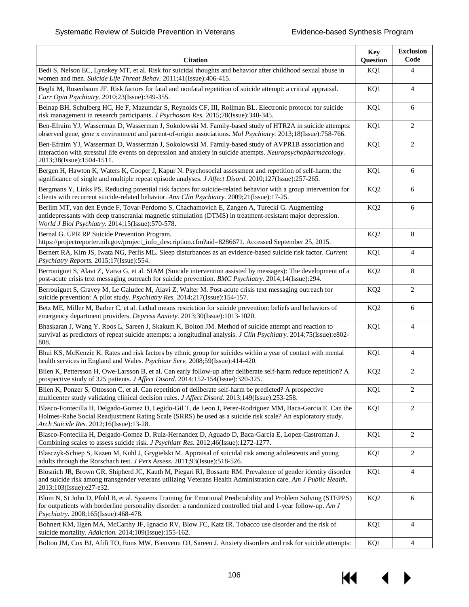| <b>Citation</b>                                                                                                                                                                                                                                                         | <b>Key</b><br>Question | <b>Exclusion</b><br>Code |
|-------------------------------------------------------------------------------------------------------------------------------------------------------------------------------------------------------------------------------------------------------------------------|------------------------|--------------------------|
| Bedi S, Nelson EC, Lynskey MT, et al. Risk for suicidal thoughts and behavior after childhood sexual abuse in<br>women and men. Suicide Life Threat Behav. 2011;41(Issue):406-415.                                                                                      | KQ1                    | $\overline{4}$           |
| Beghi M, Rosenbaum JF. Risk factors for fatal and nonfatal repetition of suicide attempt: a critical appraisal.<br>Curr Opin Psychiatry. 2010;23(Issue):349-355.                                                                                                        | KQ1                    | $\overline{4}$           |
| Belnap BH, Schulberg HC, He F, Mazumdar S, Reynolds CF, III, Rollman BL. Electronic protocol for suicide<br>risk management in research participants. J Psychosom Res. 2015;78(Issue):340-345.                                                                          | KQ1                    | 6                        |
| Ben-Efraim YJ, Wasserman D, Wasserman J, Sokolowski M. Family-based study of HTR2A in suicide attempts:<br>observed gene, gene x environment and parent-of-origin associations. Mol Psychiatry. 2013;18(Issue):758-766.                                                 | KQ1                    | 2                        |
| Ben-Efraim YJ, Wasserman D, Wasserman J, Sokolowski M. Family-based study of AVPR1B association and<br>interaction with stressful life events on depression and anxiety in suicide attempts. Neuropsychopharmacology.<br>2013;38(Issue):1504-1511.                      | KQ1                    | 2                        |
| Bergen H, Hawton K, Waters K, Cooper J, Kapur N. Psychosocial assessment and repetition of self-harm: the<br>significance of single and multiple repeat episode analyses. J Affect Disord. 2010;127(Issue):257-265.                                                     | KQ1                    | 6                        |
| Bergmans Y, Links PS. Reducing potential risk factors for suicide-related behavior with a group intervention for<br>clients with recurrent suicide-related behavior. Ann Clin Psychiatry. 2009;21(Issue):17-25.                                                         | KQ <sub>2</sub>        | 6                        |
| Berlim MT, van den Eynde F, Tovar-Perdomo S, Chachamovich E, Zangen A, Turecki G. Augmenting<br>antidepressants with deep transcranial magnetic stimulation (DTMS) in treatment-resistant major depression.<br>World J Biol Psychiatry. 2014;15(Issue):570-578.         | KQ <sub>2</sub>        | 6                        |
| Bernal G. UPR RP Suicide Prevention Program.<br>https://projectreporter.nih.gov/project_info_description.cfm?aid=8286671. Accessed September 25, 2015.                                                                                                                  | KQ <sub>2</sub>        | 8                        |
| Bernert RA, Kim JS, Iwata NG, Perlis ML. Sleep disturbances as an evidence-based suicide risk factor. Current<br>Psychiatry Reports. 2015;17(Issue):554.                                                                                                                | KQ1                    | $\overline{4}$           |
| Berrouiguet S, Alavi Z, Vaiva G, et al. SIAM (Suicide intervention assisted by messages): The development of a<br>post-acute crisis text messaging outreach for suicide prevention. BMC Psychiatry. 2014;14(Issue):294.                                                 | KQ <sub>2</sub>        | 8                        |
| Berrouiguet S, Gravey M, Le Galudec M, Alavi Z, Walter M. Post-acute crisis text messaging outreach for<br>suicide prevention: A pilot study. Psychiatry Res. 2014;217(Issue):154-157.                                                                                  | KQ <sub>2</sub>        | $\overline{2}$           |
| Betz ME, Miller M, Barber C, et al. Lethal means restriction for suicide prevention: beliefs and behaviors of<br>emergency department providers. Depress Anxiety. 2013;30(Issue):1013-1020.                                                                             | KQ <sub>2</sub>        | 6                        |
| Bhaskaran J, Wang Y, Roos L, Sareen J, Skakum K, Bolton JM. Method of suicide attempt and reaction to<br>survival as predictors of repeat suicide attempts: a longitudinal analysis. J Clin Psychiatry. 2014;75(Issue):e802-<br>808.                                    | KQ1                    | $\overline{4}$           |
| Bhui KS, McKenzie K. Rates and risk factors by ethnic group for suicides within a year of contact with mental<br>health services in England and Wales. Psychiatr Serv. 2008;59(Issue):414-420.                                                                          | KQ1                    | $\overline{4}$           |
| Bilen K, Pettersson H, Owe-Larsson B, et al. Can early follow-up after deliberate self-harm reduce repetition? A<br>prospective study of 325 patients. J Affect Disord. 2014;152-154(Issue):320-325.                                                                    | KQ <sub>2</sub>        | $\overline{2}$           |
| Bilen K, Ponzer S, Ottosson C, et al. Can repetition of deliberate self-harm be predicted? A prospective<br>multicenter study validating clinical decision rules. J Affect Disord. 2013;149(Issue):253-258.                                                             | KQ1                    | 2                        |
| Blasco-Fontecilla H, Delgado-Gomez D, Legido-Gil T, de Leon J, Perez-Rodriguez MM, Baca-Garcia E. Can the<br>Holmes-Rahe Social Readjustment Rating Scale (SRRS) be used as a suicide risk scale? An exploratory study.<br>Arch Suicide Res. 2012;16(Issue):13-28.      | KQ1                    | $\overline{2}$           |
| Blasco-Fontecilla H, Delgado-Gomez D, Ruiz-Hernandez D, Aguado D, Baca-Garcia E, Lopez-Castroman J.<br>Combining scales to assess suicide risk. J Psychiatr Res. 2012;46(Issue):1272-1277.                                                                              | KQ1                    | 2                        |
| Blasczyk-Schiep S, Kazen M, Kuhl J, Grygielski M. Appraisal of suicidal risk among adolescents and young<br>adults through the Rorschach test. J Pers Assess. 2011;93(Issue):518-526.                                                                                   | KQ1                    | 2                        |
| Blosnich JR, Brown GR, Shipherd JC, Kauth M, Piegari RI, Bossarte RM. Prevalence of gender identity disorder<br>and suicide risk among transgender veterans utilizing Veterans Health Administration care. Am J Public Health.<br>2013;103(Issue):e27-e32.              | KQ1                    | 4                        |
| Blum N, St John D, Pfohl B, et al. Systems Training for Emotional Predictability and Problem Solving (STEPPS)<br>for outpatients with borderline personality disorder: a randomized controlled trial and 1-year follow-up. Am J<br>Psychiatry. 2008;165(Issue):468-478. | KQ <sub>2</sub>        | 6                        |
| Bohnert KM, Ilgen MA, McCarthy JF, Ignacio RV, Blow FC, Katz IR. Tobacco use disorder and the risk of<br>suicide mortality. Addiction. 2014;109(Issue):155-162.                                                                                                         | KQ1                    | 4                        |
| Bolton JM, Cox BJ, Afifi TO, Enns MW, Bienvenu OJ, Sareen J. Anxiety disorders and risk for suicide attempts:                                                                                                                                                           | KQ1                    | $\overline{4}$           |

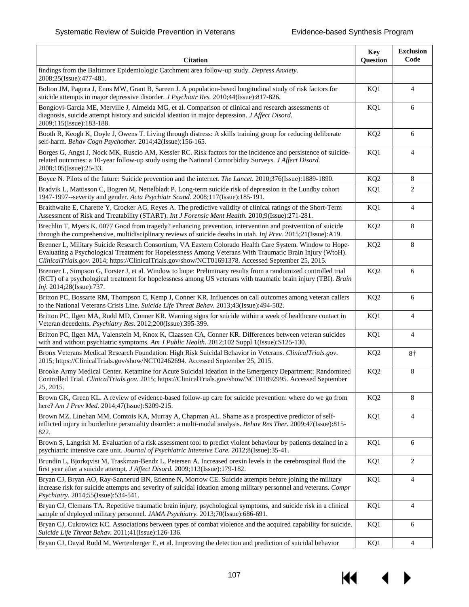| <b>Citation</b>                                                                                                                                                                                                                                                                                                             | <b>Key</b><br>Question | <b>Exclusion</b><br>Code |
|-----------------------------------------------------------------------------------------------------------------------------------------------------------------------------------------------------------------------------------------------------------------------------------------------------------------------------|------------------------|--------------------------|
| findings from the Baltimore Epidemiologic Catchment area follow-up study. Depress Anxiety.<br>2008;25(Issue):477-481.                                                                                                                                                                                                       |                        |                          |
| Bolton JM, Pagura J, Enns MW, Grant B, Sareen J. A population-based longitudinal study of risk factors for<br>suicide attempts in major depressive disorder. J Psychiatr Res. 2010;44(Issue):817-826.                                                                                                                       | KQ1                    | $\overline{4}$           |
| Bongiovi-Garcia ME, Merville J, Almeida MG, et al. Comparison of clinical and research assessments of<br>diagnosis, suicide attempt history and suicidal ideation in major depression. J Affect Disord.<br>2009;115(Issue):183-188.                                                                                         | KQ1                    | 6                        |
| Booth R, Keogh K, Doyle J, Owens T. Living through distress: A skills training group for reducing deliberate<br>self-harm. Behav Cogn Psychother. 2014;42(Issue):156-165.                                                                                                                                                   | KQ <sub>2</sub>        | 6                        |
| Borges G, Angst J, Nock MK, Ruscio AM, Kessler RC. Risk factors for the incidence and persistence of suicide-<br>related outcomes: a 10-year follow-up study using the National Comorbidity Surveys. J Affect Disord.<br>2008;105(Issue):25-33.                                                                             | KQ1                    | 4                        |
| Boyce N. Pilots of the future: Suicide prevention and the internet. The Lancet. 2010;376(Issue):1889-1890.                                                                                                                                                                                                                  | KQ <sub>2</sub>        | 8                        |
| Bradvik L, Mattisson C, Bogren M, Nettelbladt P. Long-term suicide risk of depression in the Lundby cohort<br>1947-1997--severity and gender. Acta Psychiatr Scand. 2008;117(Issue):185-191.                                                                                                                                | KQ1                    | 2                        |
| Braithwaite E, Charette Y, Crocker AG, Reyes A. The predictive validity of clinical ratings of the Short-Term<br>Assessment of Risk and Treatability (START). Int J Forensic Ment Health. 2010;9(Issue):271-281.                                                                                                            | KQ1                    | $\overline{4}$           |
| Brechlin T, Myers K. 0077 Good from tragedy? enhancing prevention, intervention and postvention of suicide<br>through the comprehensive, multidisciplinary reviews of suicide deaths in utah. Inj Prev. 2015;21(Issue):A19.                                                                                                 | KQ <sub>2</sub>        | 8                        |
| Brenner L, Military Suicide Research Consortium, VA Eastern Colorado Health Care System. Window to Hope-<br>Evaluating a Psychological Treatment for Hopelessness Among Veterans With Traumatic Brain Injury (WtoH).<br>ClinicalTrials.gov. 2014; https://ClinicalTrials.gov/show/NCT01691378. Accessed September 25, 2015. | KQ <sub>2</sub>        | 8                        |
| Brenner L, Simpson G, Forster J, et al. Window to hope: Preliminary results from a randomized controlled trial<br>(RCT) of a psychological treatment for hopelessness among US veterans with traumatic brain injury (TBI). Brain<br>Inj. 2014;28(Issue):737.                                                                | KQ <sub>2</sub>        | 6                        |
| Britton PC, Bossarte RM, Thompson C, Kemp J, Conner KR. Influences on call outcomes among veteran callers<br>to the National Veterans Crisis Line. Suicide Life Threat Behav. 2013;43(Issue):494-502.                                                                                                                       | KQ <sub>2</sub>        | 6                        |
| Britton PC, Ilgen MA, Rudd MD, Conner KR. Warning signs for suicide within a week of healthcare contact in<br>Veteran decedents. Psychiatry Res. 2012;200(Issue):395-399.                                                                                                                                                   | KQ1                    | $\overline{4}$           |
| Britton PC, Ilgen MA, Valenstein M, Knox K, Claassen CA, Conner KR. Differences between veteran suicides<br>with and without psychiatric symptoms. Am J Public Health. 2012;102 Suppl 1(Issue):S125-130.                                                                                                                    | KQ1                    | $\overline{4}$           |
| Bronx Veterans Medical Research Foundation. High Risk Suicidal Behavior in Veterans. ClinicalTrials.gov.<br>2015; https://ClinicalTrials.gov/show/NCT02462694. Accessed September 25, 2015.                                                                                                                                 | KQ <sub>2</sub>        | 8†                       |
| Brooke Army Medical Center. Ketamine for Acute Suicidal Ideation in the Emergency Department: Randomized<br>Controlled Trial. ClinicalTrials.gov. 2015; https://ClinicalTrials.gov/show/NCT01892995. Accessed September<br>25, 2015.                                                                                        | KQ <sub>2</sub>        | 8                        |
| Brown GK, Green KL. A review of evidence-based follow-up care for suicide prevention: where do we go from<br>here? Am J Prev Med. 2014;47(Issue):S209-215.                                                                                                                                                                  | KQ <sub>2</sub>        | 8                        |
| Brown MZ, Linehan MM, Comtois KA, Murray A, Chapman AL. Shame as a prospective predictor of self-<br>inflicted injury in borderline personality disorder: a multi-modal analysis. Behav Res Ther. 2009;47(Issue):815-<br>822.                                                                                               | KQ1                    | $\overline{4}$           |
| Brown S, Langrish M. Evaluation of a risk assessment tool to predict violent behaviour by patients detained in a<br>psychiatric intensive care unit. Journal of Psychiatric Intensive Care. 2012;8(Issue):35-41.                                                                                                            | KQ1                    | 6                        |
| Brundin L, Bjorkqvist M, Traskman-Bendz L, Petersen A. Increased orexin levels in the cerebrospinal fluid the<br>first year after a suicide attempt. J Affect Disord. 2009;113(Issue):179-182.                                                                                                                              | KQ1                    | 2                        |
| Bryan CJ, Bryan AO, Ray-Sannerud BN, Etienne N, Morrow CE. Suicide attempts before joining the military<br>increase risk for suicide attempts and severity of suicidal ideation among military personnel and veterans. Compr<br>Psychiatry. 2014;55(Issue):534-541.                                                         | KQ1                    | $\overline{4}$           |
| Bryan CJ, Clemans TA. Repetitive traumatic brain injury, psychological symptoms, and suicide risk in a clinical<br>sample of deployed military personnel. JAMA Psychiatry. 2013;70(Issue):686-691.                                                                                                                          | KQ1                    | 4                        |
| Bryan CJ, Cukrowicz KC. Associations between types of combat violence and the acquired capability for suicide.<br>Suicide Life Threat Behav. 2011;41(Issue):126-136.                                                                                                                                                        | KQ1                    | 6                        |
| Bryan CJ, David Rudd M, Wertenberger E, et al. Improving the detection and prediction of suicidal behavior                                                                                                                                                                                                                  | KQ1                    | $\overline{4}$           |

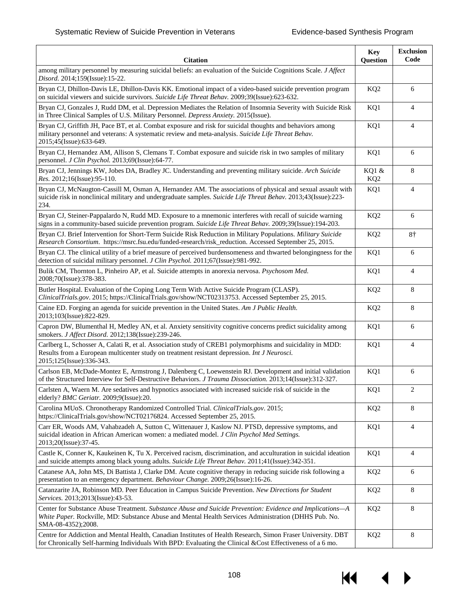| <b>Citation</b>                                                                                                                                                                                                                            | <b>Key</b><br>Question   | <b>Exclusion</b><br>Code |
|--------------------------------------------------------------------------------------------------------------------------------------------------------------------------------------------------------------------------------------------|--------------------------|--------------------------|
| among military personnel by measuring suicidal beliefs: an evaluation of the Suicide Cognitions Scale. J Affect<br>Disord. 2014;159(Issue):15-22.                                                                                          |                          |                          |
| Bryan CJ, Dhillon-Davis LE, Dhillon-Davis KK. Emotional impact of a video-based suicide prevention program<br>on suicidal viewers and suicide survivors. Suicide Life Threat Behav. 2009;39(Issue):623-632.                                | KQ <sub>2</sub>          | 6                        |
| Bryan CJ, Gonzales J, Rudd DM, et al. Depression Mediates the Relation of Insomnia Severity with Suicide Risk<br>in Three Clinical Samples of U.S. Military Personnel. Depress Anxiety. 2015(Issue).                                       | KQ1                      | $\overline{4}$           |
| Bryan CJ, Griffith JH, Pace BT, et al. Combat exposure and risk for suicidal thoughts and behaviors among<br>military personnel and veterans: A systematic review and meta-analysis. Suicide Life Threat Behav.<br>2015;45(Issue):633-649. | KQ1                      | $\overline{4}$           |
| Bryan CJ, Hernandez AM, Allison S, Clemans T. Combat exposure and suicide risk in two samples of military<br>personnel. J Clin Psychol. 2013;69(Issue):64-77.                                                                              | KQ1                      | 6                        |
| Bryan CJ, Jennings KW, Jobes DA, Bradley JC. Understanding and preventing military suicide. Arch Suicide<br>Res. 2012;16(Issue):95-110.                                                                                                    | KQ1 &<br>KQ <sub>2</sub> | 8                        |
| Bryan CJ, McNaugton-Cassill M, Osman A, Hernandez AM. The associations of physical and sexual assault with<br>suicide risk in nonclinical military and undergraduate samples. Suicide Life Threat Behav. 2013;43(Issue):223-<br>234.       | KQ1                      | $\overline{4}$           |
| Bryan CJ, Steiner-Pappalardo N, Rudd MD. Exposure to a mnemonic interferes with recall of suicide warning<br>signs in a community-based suicide prevention program. Suicide Life Threat Behav. 2009;39(Issue):194-203.                     | KQ <sub>2</sub>          | 6                        |
| Bryan CJ. Brief Intervention for Short-Term Suicide Risk Reduction in Military Populations. Military Suicide<br>Research Consortium. https://msrc.fsu.edu/funded-research/risk_reduction. Accessed September 25, 2015.                     | KQ <sub>2</sub>          | 8†                       |
| Bryan CJ. The clinical utility of a brief measure of perceived burdensomeness and thwarted belongingness for the<br>detection of suicidal military personnel. J Clin Psychol. 2011;67(Issue):981-992.                                      | KQ1                      | 6                        |
| Bulik CM, Thornton L, Pinheiro AP, et al. Suicide attempts in anorexia nervosa. Psychosom Med.<br>2008;70(Issue):378-383.                                                                                                                  | KQ1                      | $\overline{4}$           |
| Butler Hospital. Evaluation of the Coping Long Term With Active Suicide Program (CLASP).<br>ClinicalTrials.gov. 2015; https://ClinicalTrials.gov/show/NCT02313753. Accessed September 25, 2015.                                            | KQ <sub>2</sub>          | 8                        |
| Caine ED. Forging an agenda for suicide prevention in the United States. Am J Public Health.<br>2013;103(Issue):822-829.                                                                                                                   | KQ <sub>2</sub>          | 8                        |
| Capron DW, Blumenthal H, Medley AN, et al. Anxiety sensitivity cognitive concerns predict suicidality among<br>smokers. J Affect Disord. 2012;138(Issue):239-246.                                                                          | KQ1                      | 6                        |
| Carlberg L, Schosser A, Calati R, et al. Association study of CREB1 polymorphisms and suicidality in MDD:<br>Results from a European multicenter study on treatment resistant depression. Int J Neurosci.<br>2015;125(Issue):336-343.      | KQ1                      | $\overline{4}$           |
| Carlson EB, McDade-Montez E, Armstrong J, Dalenberg C, Loewenstein RJ. Development and initial validation<br>of the Structured Interview for Self-Destructive Behaviors. J Trauma Dissociation. 2013;14(Issue):312-327.                    | KQ1                      | 6                        |
| Carlsten A, Waern M. Are sedatives and hypnotics associated with increased suicide risk of suicide in the<br>elderly? BMC Geriatr. 2009;9(Issue):20.                                                                                       | KQ1                      | 2                        |
| Carolina MUoS. Chronotherapy Randomized Controlled Trial. ClinicalTrials.gov. 2015;<br>https://ClinicalTrials.gov/show/NCT02176824. Accessed September 25, 2015.                                                                           | KQ <sub>2</sub>          | 8                        |
| Carr ER, Woods AM, Vahabzadeh A, Sutton C, Wittenauer J, Kaslow NJ. PTSD, depressive symptoms, and<br>suicidal ideation in African American women: a mediated model. J Clin Psychol Med Settings.<br>2013;20(Issue):37-45.                 | KQ1                      | 4                        |
| Castle K, Conner K, Kaukeinen K, Tu X. Perceived racism, discrimination, and acculturation in suicidal ideation<br>and suicide attempts among black young adults. Suicide Life Threat Behav. 2011;41(Issue):342-351.                       | KQ1                      | $\overline{4}$           |
| Catanese AA, John MS, Di Battista J, Clarke DM. Acute cognitive therapy in reducing suicide risk following a<br>presentation to an emergency department. Behaviour Change. 2009;26(Issue):16-26.                                           | KQ <sub>2</sub>          | 6                        |
| Catanzarite JA, Robinson MD. Peer Education in Campus Suicide Prevention. New Directions for Student<br>Services. 2013;2013(Issue):43-53.                                                                                                  | KQ <sub>2</sub>          | 8                        |
| Center for Substance Abuse Treatment. Substance Abuse and Suicide Prevention: Evidence and Implications-A<br>White Paper. Rockville, MD: Substance Abuse and Mental Health Services Administration (DHHS Pub. No.<br>SMA-08-4352);2008.    | KQ <sub>2</sub>          | 8                        |
| Centre for Addiction and Mental Health, Canadian Institutes of Health Research, Simon Fraser University. DBT<br>for Chronically Self-harming Individuals With BPD: Evaluating the Clinical & Cost Effectiveness of a 6 mo.                 | KQ <sub>2</sub>          | 8                        |

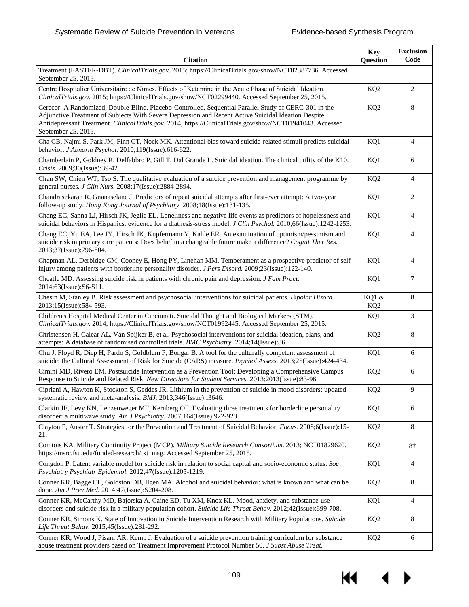| <b>Citation</b>                                                                                                                                                                                                                                                                                                                                  | <b>Key</b><br>Question   | <b>Exclusion</b><br>Code |
|--------------------------------------------------------------------------------------------------------------------------------------------------------------------------------------------------------------------------------------------------------------------------------------------------------------------------------------------------|--------------------------|--------------------------|
| Treatment (FASTER-DBT). ClinicalTrials.gov. 2015; https://ClinicalTrials.gov/show/NCT02387736. Accessed<br>September 25, 2015.                                                                                                                                                                                                                   |                          |                          |
| Centre Hospitalier Universitaire de Nīmes. Effects of Ketamine in the Acute Phase of Suicidal Ideation.<br>ClinicalTrials.gov. 2015; https://ClinicalTrials.gov/show/NCT02299440. Accessed September 25, 2015.                                                                                                                                   | KQ <sub>2</sub>          | $\overline{2}$           |
| Cerecor. A Randomized, Double-Blind, Placebo-Controlled, Sequential Parallel Study of CERC-301 in the<br>Adjunctive Treatment of Subjects With Severe Depression and Recent Active Suicidal Ideation Despite<br>Antidepressant Treatment. ClinicalTrials.gov. 2014; https://ClinicalTrials.gov/show/NCT01941043. Accessed<br>September 25, 2015. | KQ <sub>2</sub>          | 8                        |
| Cha CB, Najmi S, Park JM, Finn CT, Nock MK. Attentional bias toward suicide-related stimuli predicts suicidal<br>behavior. J Abnorm Psychol. 2010;119(Issue):616-622.                                                                                                                                                                            | KQ1                      | $\overline{4}$           |
| Chamberlain P, Goldney R, Delfabbro P, Gill T, Dal Grande L. Suicidal ideation. The clinical utility of the K10.<br>Crisis. 2009;30(Issue):39-42.                                                                                                                                                                                                | KQ1                      | 6                        |
| Chan SW, Chien WT, Tso S. The qualitative evaluation of a suicide prevention and management programme by<br>general nurses. J Clin Nurs. 2008;17(Issue):2884-2894.                                                                                                                                                                               | KQ <sub>2</sub>          | $\overline{4}$           |
| Chandrasekaran R, Gnanaselane J. Predictors of repeat suicidal attempts after first-ever attempt: A two-year<br>follow-up study. Hong Kong Journal of Psychiatry. 2008;18(Issue):131-135.                                                                                                                                                        | KQ1                      | $\overline{2}$           |
| Chang EC, Sanna LJ, Hirsch JK, Jeglic EL. Loneliness and negative life events as predictors of hopelessness and<br>suicidal behaviors in Hispanics: evidence for a diathesis-stress model. J Clin Psychol. 2010;66(Issue):1242-1253.                                                                                                             | KQ1                      | $\overline{4}$           |
| Chang EC, Yu EA, Lee JY, Hirsch JK, Kupfermann Y, Kahle ER. An examination of optimism/pessimism and<br>suicide risk in primary care patients: Does belief in a changeable future make a difference? Cognit Ther Res.<br>2013;37(Issue):796-804.                                                                                                 | KQ1                      | $\overline{4}$           |
| Chapman AL, Derbidge CM, Cooney E, Hong PY, Linehan MM. Temperament as a prospective predictor of self-<br>injury among patients with borderline personality disorder. J Pers Disord. 2009;23(Issue):122-140.                                                                                                                                    | KQ1                      | $\overline{4}$           |
| Cheatle MD. Assessing suicide risk in patients with chronic pain and depression. <i>J Fam Pract</i> .<br>2014;63(Issue):S6-S11.                                                                                                                                                                                                                  | KQ1                      | $\overline{7}$           |
| Chesin M, Stanley B. Risk assessment and psychosocial interventions for suicidal patients. Bipolar Disord.<br>2013;15(Issue):584-593.                                                                                                                                                                                                            | KQ1 &<br>KQ <sub>2</sub> | 8                        |
| Children's Hospital Medical Center in Cincinnati. Suicidal Thought and Biological Markers (STM).<br>ClinicalTrials.gov. 2014; https://ClinicalTrials.gov/show/NCT01992445. Accessed September 25, 2015.                                                                                                                                          | KQ1                      | 3                        |
| Christensen H, Calear AL, Van Spijker B, et al. Psychosocial interventions for suicidal ideation, plans, and<br>attempts: A database of randomised controlled trials. BMC Psychiatry. 2014;14(Issue):86.                                                                                                                                         | KQ <sub>2</sub>          | 8                        |
| Chu J, Floyd R, Diep H, Pardo S, Goldblum P, Bongar B. A tool for the culturally competent assessment of<br>suicide: the Cultural Assessment of Risk for Suicide (CARS) measure. Psychol Assess. 2013;25(Issue):424-434.                                                                                                                         | KQ1                      | 6                        |
| Cimini MD, Rivero EM. Postsuicide Intervention as a Prevention Tool: Developing a Comprehensive Campus<br>Response to Suicide and Related Risk. New Directions for Student Services. 2013;2013(Issue):83-96.                                                                                                                                     | KQ <sub>2</sub>          | 6                        |
| Cipriani A, Hawton K, Stockton S, Geddes JR. Lithium in the prevention of suicide in mood disorders: updated<br>systematic review and meta-analysis. BMJ. 2013;346(Issue):f3646.                                                                                                                                                                 | KQ <sub>2</sub>          | 9                        |
| Clarkin JF, Levy KN, Lenzenweger MF, Kernberg OF. Evaluating three treatments for borderline personality<br>disorder: a multiwave study. Am J Psychiatry. 2007;164(Issue):922-928.                                                                                                                                                               | KQ1                      | 6                        |
| Clayton P, Auster T. Strategies for the Prevention and Treatment of Suicidal Behavior. Focus. 2008;6(Issue):15-<br>21.                                                                                                                                                                                                                           | KQ <sub>2</sub>          | 8                        |
| Comtois KA. Military Continuity Project (MCP). Military Suicide Research Consortium. 2013; NCT01829620.<br>https://msrc.fsu.edu/funded-research/txt_msg. Accessed September 25, 2015.                                                                                                                                                            | KQ <sub>2</sub>          | $8+$                     |
| Congdon P. Latent variable model for suicide risk in relation to social capital and socio-economic status. Soc<br>Psychiatry Psychiatr Epidemiol. 2012;47(Issue):1205-1219.                                                                                                                                                                      | KQ1                      | 4                        |
| Conner KR, Bagge CL, Goldston DB, Ilgen MA. Alcohol and suicidal behavior: what is known and what can be<br>done. Am J Prev Med. 2014;47(Issue):S204-208.                                                                                                                                                                                        | KQ <sub>2</sub>          | 8                        |
| Conner KR, McCarthy MD, Bajorska A, Caine ED, Tu XM, Knox KL. Mood, anxiety, and substance-use<br>disorders and suicide risk in a military population cohort. Suicide Life Threat Behav. 2012;42(Issue):699-708.                                                                                                                                 | KQ1                      | $\overline{4}$           |
| Conner KR, Simons K. State of Innovation in Suicide Intervention Research with Military Populations. Suicide<br>Life Threat Behav. 2015;45(Issue):281-292.                                                                                                                                                                                       | KQ <sub>2</sub>          | 8                        |
| Conner KR, Wood J, Pisani AR, Kemp J. Evaluation of a suicide prevention training curriculum for substance<br>abuse treatment providers based on Treatment Improvement Protocol Number 50. J Subst Abuse Treat.                                                                                                                                  | KQ <sub>2</sub>          | 6                        |

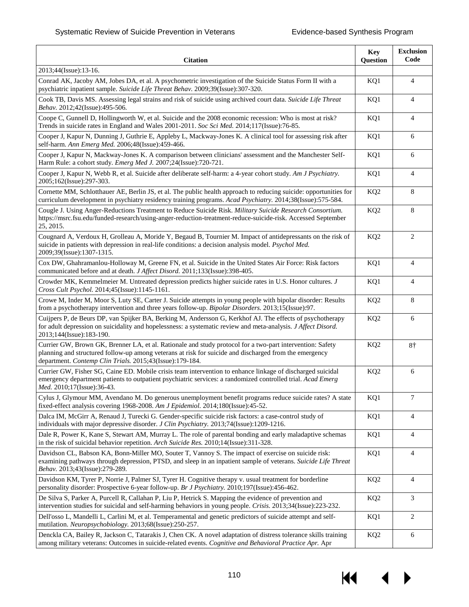| <b>Citation</b>                                                                                                                                                                                                                                                                 | <b>Key</b><br>Question | <b>Exclusion</b><br>Code |
|---------------------------------------------------------------------------------------------------------------------------------------------------------------------------------------------------------------------------------------------------------------------------------|------------------------|--------------------------|
| 2013;44(Issue):13-16.                                                                                                                                                                                                                                                           |                        |                          |
| Conrad AK, Jacoby AM, Jobes DA, et al. A psychometric investigation of the Suicide Status Form II with a<br>psychiatric inpatient sample. Suicide Life Threat Behav. 2009;39(Issue):307-320.                                                                                    | KQ1                    | $\overline{4}$           |
| Cook TB, Davis MS. Assessing legal strains and risk of suicide using archived court data. Suicide Life Threat<br>Behav. 2012;42(Issue):495-506.                                                                                                                                 | KQ1                    | $\overline{4}$           |
| Coope C, Gunnell D, Hollingworth W, et al. Suicide and the 2008 economic recession: Who is most at risk?<br>Trends in suicide rates in England and Wales 2001-2011. Soc Sci Med. 2014;117(Issue):76-85.                                                                         | KQ1                    | $\overline{4}$           |
| Cooper J, Kapur N, Dunning J, Guthrie E, Appleby L, Mackway-Jones K. A clinical tool for assessing risk after<br>self-harm. Ann Emerg Med. 2006;48(Issue):459-466.                                                                                                              | KQ1                    | 6                        |
| Cooper J, Kapur N, Mackway-Jones K. A comparison between clinicians' assessment and the Manchester Self-<br>Harm Rule: a cohort study. Emerg Med J. 2007;24(Issue):720-721.                                                                                                     | KQ1                    | 6                        |
| Cooper J, Kapur N, Webb R, et al. Suicide after deliberate self-harm: a 4-year cohort study. Am J Psychiatry.<br>2005;162(Issue):297-303.                                                                                                                                       | KQ1                    | $\overline{4}$           |
| Cornette MM, Schlotthauer AE, Berlin JS, et al. The public health approach to reducing suicide: opportunities for<br>curriculum development in psychiatry residency training programs. Acad Psychiatry. 2014;38(Issue):575-584.                                                 | KQ <sub>2</sub>        | 8                        |
| Cougle J. Using Anger-Reductions Treatment to Reduce Suicide Risk. Military Suicide Research Consortium.<br>https://msrc.fsu.edu/funded-research/using-anger-reduction-treatment-reduce-suicide-risk. Accessed September<br>25, 2015.                                           | KQ <sub>2</sub>        | 8                        |
| Cougnard A, Verdoux H, Grolleau A, Moride Y, Begaud B, Tournier M. Impact of antidepressants on the risk of<br>suicide in patients with depression in real-life conditions: a decision analysis model. Psychol Med.<br>2009;39(Issue):1307-1315.                                | KQ <sub>2</sub>        | 2                        |
| Cox DW, Ghahramanlou-Holloway M, Greene FN, et al. Suicide in the United States Air Force: Risk factors<br>communicated before and at death. J Affect Disord. 2011;133(Issue):398-405.                                                                                          | KQ1                    | 4                        |
| Crowder MK, Kemmelmeier M. Untreated depression predicts higher suicide rates in U.S. Honor cultures. J<br>Cross Cult Psychol. 2014;45(Issue):1145-1161.                                                                                                                        | KQ1                    | 4                        |
| Crowe M, Inder M, Moor S, Luty SE, Carter J. Suicide attempts in young people with bipolar disorder: Results<br>from a psychotherapy intervention and three years follow-up. Bipolar Disorders. 2013;15(Issue):97.                                                              | KQ <sub>2</sub>        | 8                        |
| Cuijpers P, de Beurs DP, van Spijker BA, Berking M, Andersson G, Kerkhof AJ. The effects of psychotherapy<br>for adult depression on suicidality and hopelessness: a systematic review and meta-analysis. J Affect Disord.<br>2013;144(Issue):183-190.                          | KQ <sub>2</sub>        | 6                        |
| Currier GW, Brown GK, Brenner LA, et al. Rationale and study protocol for a two-part intervention: Safety<br>planning and structured follow-up among veterans at risk for suicide and discharged from the emergency<br>department. Contemp Clin Trials. 2015;43(Issue):179-184. | KQ <sub>2</sub>        | $8+$                     |
| Currier GW, Fisher SG, Caine ED. Mobile crisis team intervention to enhance linkage of discharged suicidal<br>emergency department patients to outpatient psychiatric services: a randomized controlled trial. Acad Emerg<br>Med. 2010;17(Issue):36-43.                         | KQ <sub>2</sub>        | 6                        |
| Cylus J, Glymour MM, Avendano M. Do generous unemployment benefit programs reduce suicide rates? A state<br>fixed-effect analysis covering 1968-2008. Am J Epidemiol. 2014;180(Issue):45-52.                                                                                    | KQ1                    | 7                        |
| Dalca IM, McGirr A, Renaud J, Turecki G. Gender-specific suicide risk factors: a case-control study of<br>individuals with major depressive disorder. J Clin Psychiatry. 2013;74(Issue):1209-1216.                                                                              | KQ1                    | 4                        |
| Dale R, Power K, Kane S, Stewart AM, Murray L. The role of parental bonding and early maladaptive schemas<br>in the risk of suicidal behavior repetition. Arch Suicide Res. 2010;14(Issue):311-328.                                                                             | KQ1                    | 4                        |
| Davidson CL, Babson KA, Bonn-Miller MO, Souter T, Vannoy S. The impact of exercise on suicide risk:<br>examining pathways through depression, PTSD, and sleep in an inpatient sample of veterans. Suicide Life Threat<br>Behav. 2013;43(Issue):279-289.                         | KQ1                    | $\overline{4}$           |
| Davidson KM, Tyrer P, Norrie J, Palmer SJ, Tyrer H. Cognitive therapy v. usual treatment for borderline<br>personality disorder: Prospective 6-year follow-up. Br J Psychiatry. 2010;197(Issue):456-462.                                                                        | KQ <sub>2</sub>        | 4                        |
| De Silva S, Parker A, Purcell R, Callahan P, Liu P, Hetrick S. Mapping the evidence of prevention and<br>intervention studies for suicidal and self-harming behaviors in young people. Crisis. 2013;34(Issue):223-232.                                                          | KQ <sub>2</sub>        | 3                        |
| Dell'osso L, Mandelli L, Carlini M, et al. Temperamental and genetic predictors of suicide attempt and self-<br>mutilation. Neuropsychobiology. 2013;68(Issue):250-257.                                                                                                         | KQ1                    | $\overline{c}$           |
| Denckla CA, Bailey R, Jackson C, Tatarakis J, Chen CK. A novel adaptation of distress tolerance skills training<br>among military veterans: Outcomes in suicide-related events. Cognitive and Behavioral Practice Apr. Apr                                                      | KQ <sub>2</sub>        | 6                        |

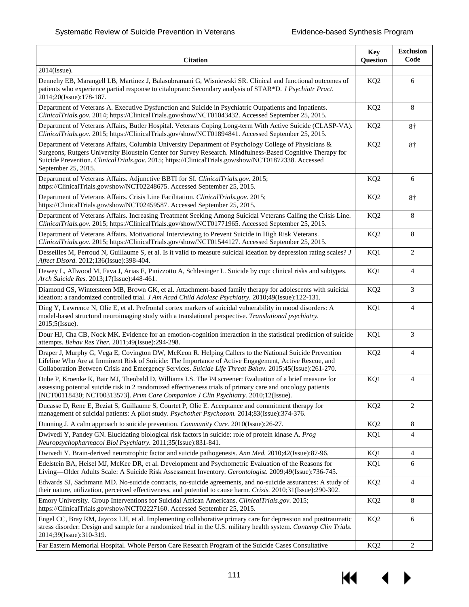| <b>Citation</b>                                                                                                                                                                                                                                                                                                                                  | <b>Key</b><br>Question | <b>Exclusion</b><br>Code |
|--------------------------------------------------------------------------------------------------------------------------------------------------------------------------------------------------------------------------------------------------------------------------------------------------------------------------------------------------|------------------------|--------------------------|
| 2014(Issue).                                                                                                                                                                                                                                                                                                                                     |                        |                          |
| Dennehy EB, Marangell LB, Martinez J, Balasubramani G, Wisniewski SR. Clinical and functional outcomes of<br>patients who experience partial response to citalopram: Secondary analysis of STAR*D. J Psychiatr Pract.<br>2014;20(Issue):178-187.                                                                                                 | KQ <sub>2</sub>        | 6                        |
| Department of Veterans A. Executive Dysfunction and Suicide in Psychiatric Outpatients and Inpatients.<br>ClinicalTrials.gov. 2014; https://ClinicalTrials.gov/show/NCT01043432. Accessed September 25, 2015.                                                                                                                                    | KQ <sub>2</sub>        | 8                        |
| Department of Veterans Affairs, Butler Hospital. Veterans Coping Long-term With Active Suicide (CLASP-VA).<br>ClinicalTrials.gov. 2015; https://ClinicalTrials.gov/show/NCT01894841. Accessed September 25, 2015.                                                                                                                                | KQ <sub>2</sub>        | $8+$                     |
| Department of Veterans Affairs, Columbia University Department of Psychology College of Physicians &<br>Surgeons, Rutgers University Bloustein Center for Survey Research. Mindfulness-Based Cognitive Therapy for<br>Suicide Prevention. ClinicalTrials.gov. 2015; https://ClinicalTrials.gov/show/NCT01872338. Accessed<br>September 25, 2015. | KQ <sub>2</sub>        | $8+$                     |
| Department of Veterans Affairs. Adjunctive BBTI for SI. ClinicalTrials.gov. 2015;<br>https://ClinicalTrials.gov/show/NCT02248675. Accessed September 25, 2015.                                                                                                                                                                                   | KQ <sub>2</sub>        | 6                        |
| Department of Veterans Affairs. Crisis Line Facilitation. ClinicalTrials.gov. 2015;<br>https://ClinicalTrials.gov/show/NCT02459587. Accessed September 25, 2015.                                                                                                                                                                                 | KQ <sub>2</sub>        | 8†                       |
| Department of Veterans Affairs. Increasing Treatment Seeking Among Suicidal Veterans Calling the Crisis Line.<br>ClinicalTrials.gov. 2015; https://ClinicalTrials.gov/show/NCT01771965. Accessed September 25, 2015.                                                                                                                             | KQ <sub>2</sub>        | 8                        |
| Department of Veterans Affairs. Motivational Interviewing to Prevent Suicide in High Risk Veterans.<br>ClinicalTrials.gov. 2015; https://ClinicalTrials.gov/show/NCT01544127. Accessed September 25, 2015.                                                                                                                                       | KQ <sub>2</sub>        | 8                        |
| Desseilles M, Perroud N, Guillaume S, et al. Is it valid to measure suicidal ideation by depression rating scales? J<br>Affect Disord. 2012;136(Issue):398-404.                                                                                                                                                                                  | KQ1                    | 2                        |
| Dewey L, Allwood M, Fava J, Arias E, Pinizzotto A, Schlesinger L. Suicide by cop: clinical risks and subtypes.<br>Arch Suicide Res. 2013;17(Issue):448-461.                                                                                                                                                                                      | KQ1                    | 4                        |
| Diamond GS, Wintersteen MB, Brown GK, et al. Attachment-based family therapy for adolescents with suicidal<br>ideation: a randomized controlled trial. J Am Acad Child Adolesc Psychiatry. 2010;49(Issue):122-131.                                                                                                                               | KQ <sub>2</sub>        | 3                        |
| Ding Y, Lawrence N, Olie E, et al. Prefrontal cortex markers of suicidal vulnerability in mood disorders: A<br>model-based structural neuroimaging study with a translational perspective. Translational psychiatry.<br>2015;5(Issue).                                                                                                           | KQ1                    | $\overline{4}$           |
| Dour HJ, Cha CB, Nock MK. Evidence for an emotion-cognition interaction in the statistical prediction of suicide<br>attempts. Behav Res Ther. 2011;49(Issue):294-298.                                                                                                                                                                            | KQ1                    | 3                        |
| Draper J, Murphy G, Vega E, Covington DW, McKeon R. Helping Callers to the National Suicide Prevention<br>Lifeline Who Are at Imminent Risk of Suicide: The Importance of Active Engagement, Active Rescue, and<br>Collaboration Between Crisis and Emergency Services. Suicide Life Threat Behav. 2015;45(Issue):261-270.                       | KQ <sub>2</sub>        | $\overline{4}$           |
| Dube P, Kroenke K, Bair MJ, Theobald D, Williams LS. The P4 screener: Evaluation of a brief measure for<br>assessing potential suicide risk in 2 randomized effectiveness trials of primary care and oncology patients<br>[NCT00118430; NCT00313573]. Prim Care Companion J Clin Psychiatry. 2010;12(Issue).                                     | KQ1                    | $\overline{4}$           |
| Ducasse D, Rene E, Beziat S, Guillaume S, Courtet P, Olie E. Acceptance and commitment therapy for<br>management of suicidal patients: A pilot study. Psychother Psychosom. 2014;83(Issue):374-376.                                                                                                                                              | KQ <sub>2</sub>        | 2                        |
| Dunning J. A calm approach to suicide prevention. Community Care. 2010(Issue):26-27.                                                                                                                                                                                                                                                             | KQ <sub>2</sub>        | 8                        |
| Dwivedi Y, Pandey GN. Elucidating biological risk factors in suicide: role of protein kinase A. Prog<br>Neuropsychopharmacol Biol Psychiatry. 2011;35(Issue):831-841.                                                                                                                                                                            | KQ1                    | $\overline{4}$           |
| Dwivedi Y. Brain-derived neurotrophic factor and suicide pathogenesis. Ann Med. 2010;42(Issue):87-96.                                                                                                                                                                                                                                            | KQ1                    | $\overline{4}$           |
| Edelstein BA, Heisel MJ, McKee DR, et al. Development and Psychometric Evaluation of the Reasons for<br>Living-Older Adults Scale: A Suicide Risk Assessment Inventory. Gerontologist. 2009;49(Issue):736-745.                                                                                                                                   | KQ1                    | 6                        |
| Edwards SJ, Sachmann MD. No-suicide contracts, no-suicide agreements, and no-suicide assurances: A study of<br>their nature, utilization, perceived effectiveness, and potential to cause harm. Crisis. 2010;31(Issue):290-302.                                                                                                                  | KQ <sub>2</sub>        | 4                        |
| Emory University. Group Interventions for Suicidal African Americans. ClinicalTrials.gov. 2015;<br>https://ClinicalTrials.gov/show/NCT02227160. Accessed September 25, 2015.                                                                                                                                                                     | KQ <sub>2</sub>        | 8                        |
| Engel CC, Bray RM, Jaycox LH, et al. Implementing collaborative primary care for depression and posttraumatic<br>stress disorder: Design and sample for a randomized trial in the U.S. military health system. Contemp Clin Trials.<br>2014;39(Issue):310-319.                                                                                   | KQ <sub>2</sub>        | 6                        |
| Far Eastern Memorial Hospital. Whole Person Care Research Program of the Suicide Cases Consultative                                                                                                                                                                                                                                              | KQ <sub>2</sub>        | 2                        |

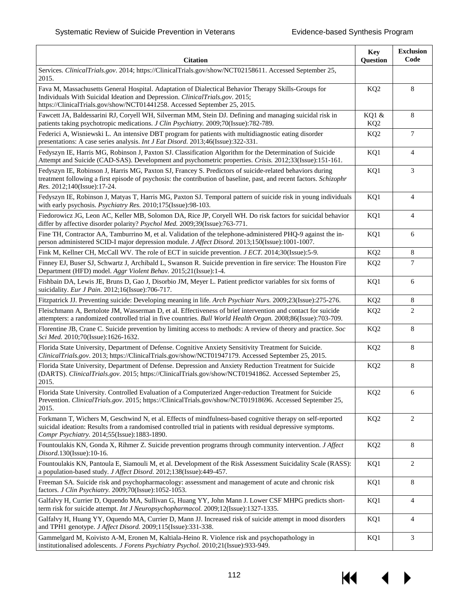| <b>Citation</b>                                                                                                                                                                                                                                                           | <b>Key</b><br>Question   | <b>Exclusion</b><br>Code |
|---------------------------------------------------------------------------------------------------------------------------------------------------------------------------------------------------------------------------------------------------------------------------|--------------------------|--------------------------|
| Services. ClinicalTrials.gov. 2014; https://ClinicalTrials.gov/show/NCT02158611. Accessed September 25,<br>2015.                                                                                                                                                          |                          |                          |
| Fava M, Massachusetts General Hospital. Adaptation of Dialectical Behavior Therapy Skills-Groups for<br>Individuals With Suicidal Ideation and Depression. ClinicalTrials.gov. 2015;<br>https://ClinicalTrials.gov/show/NCT01441258. Accessed September 25, 2015.         | KQ <sub>2</sub>          | 8                        |
| Fawcett JA, Baldessarini RJ, Coryell WH, Silverman MM, Stein DJ. Defining and managing suicidal risk in<br>patients taking psychotropic medications. J Clin Psychiatry. 2009;70(Issue):782-789.                                                                           | KQ1 &<br>KQ <sub>2</sub> | 8                        |
| Federici A, Wisniewski L. An intensive DBT program for patients with multidiagnostic eating disorder<br>presentations: A case series analysis. Int J Eat Disord. 2013;46(Issue):322-331.                                                                                  | KQ <sub>2</sub>          | $\tau$                   |
| Fedyszyn IE, Harris MG, Robinson J, Paxton SJ. Classification Algorithm for the Determination of Suicide<br>Attempt and Suicide (CAD-SAS). Development and psychometric properties. Crisis. 2012;33(Issue):151-161.                                                       | KQ1                      | $\overline{4}$           |
| Fedyszyn IE, Robinson J, Harris MG, Paxton SJ, Francey S. Predictors of suicide-related behaviors during<br>treatment following a first episode of psychosis: the contribution of baseline, past, and recent factors. Schizophr<br>Res. 2012;140(Issue):17-24.            | KQ1                      | 3                        |
| Fedyszyn IE, Robinson J, Matyas T, Harris MG, Paxton SJ. Temporal pattern of suicide risk in young individuals<br>with early psychosis. Psychiatry Res. 2010;175(Issue):98-103.                                                                                           | KQ1                      | 4                        |
| Fiedorowicz JG, Leon AC, Keller MB, Solomon DA, Rice JP, Coryell WH. Do risk factors for suicidal behavior<br>differ by affective disorder polarity? Psychol Med. 2009;39(Issue):763-771.                                                                                 | KQ1                      | 4                        |
| Fine TH, Contractor AA, Tamburrino M, et al. Validation of the telephone-administered PHQ-9 against the in-<br>person administered SCID-I major depression module. J Affect Disord. 2013;150(Issue):1001-1007.                                                            | KQ1                      | 6                        |
| Fink M, Kellner CH, McCall WV. The role of ECT in suicide prevention. <i>J ECT</i> . 2014;30(Issue):5-9.                                                                                                                                                                  | KQ <sub>2</sub>          | 8                        |
| Finney EJ, Buser SJ, Schwartz J, Archibald L, Swanson R. Suicide prevention in fire service: The Houston Fire<br>Department (HFD) model. Aggr Violent Behav. 2015;21(Issue):1-4.                                                                                          | KQ <sub>2</sub>          | $\tau$                   |
| Fishbain DA, Lewis JE, Bruns D, Gao J, Disorbio JM, Meyer L. Patient predictor variables for six forms of<br>suicidality. Eur J Pain. 2012;16(Issue):706-717.                                                                                                             | KQ1                      | 6                        |
| Fitzpatrick JJ. Preventing suicide: Developing meaning in life. Arch Psychiatr Nurs. 2009;23(Issue):275-276.                                                                                                                                                              | KQ <sub>2</sub>          | 8                        |
| Fleischmann A, Bertolote JM, Wasserman D, et al. Effectiveness of brief intervention and contact for suicide<br>attempters: a randomized controlled trial in five countries. Bull World Health Organ. 2008;86(Issue):703-709.                                             | KQ <sub>2</sub>          | 2                        |
| Florentine JB, Crane C. Suicide prevention by limiting access to methods: A review of theory and practice. Soc<br>Sci Med. 2010;70(Issue):1626-1632.                                                                                                                      | KQ <sub>2</sub>          | 8                        |
| Florida State University, Department of Defense. Cognitive Anxiety Sensitivity Treatment for Suicide.<br>ClinicalTrials.gov. 2013; https://ClinicalTrials.gov/show/NCT01947179. Accessed September 25, 2015.                                                              | KQ <sub>2</sub>          | 8                        |
| Florida State University, Department of Defense. Depression and Anxiety Reduction Treatment for Suicide<br>(DARTS). ClinicalTrials.gov. 2015; https://ClinicalTrials.gov/show/NCT01941862. Accessed September 25,<br>2015.                                                | KQ <sub>2</sub>          | 8                        |
| Florida State University. Controlled Evaluation of a Computerized Anger-reduction Treatment for Suicide<br>Prevention. ClinicalTrials.gov. 2015; https://ClinicalTrials.gov/show/NCT01918696. Accessed September 25,<br>2015.                                             | KQ <sub>2</sub>          | 6                        |
| Forkmann T, Wichers M, Geschwind N, et al. Effects of mindfulness-based cognitive therapy on self-reported<br>suicidal ideation: Results from a randomised controlled trial in patients with residual depressive symptoms.<br>Compr Psychiatry. 2014;55(Issue):1883-1890. | KQ <sub>2</sub>          | $\overline{c}$           |
| Fountoulakis KN, Gonda X, Rihmer Z. Suicide prevention programs through community intervention. J Affect<br>Disord.130(Issue):10-16.                                                                                                                                      | KQ <sub>2</sub>          | 8                        |
| Fountoulakis KN, Pantoula E, Siamouli M, et al. Development of the Risk Assessment Suicidality Scale (RASS):<br>a population-based study. J Affect Disord. 2012;138(Issue):449-457.                                                                                       | KQ1                      | 2                        |
| Freeman SA. Suicide risk and psychopharmacology: assessment and management of acute and chronic risk<br>factors. J Clin Psychiatry. 2009;70(Issue):1052-1053.                                                                                                             | KQ1                      | 8                        |
| Galfalvy H, Currier D, Oquendo MA, Sullivan G, Huang YY, John Mann J. Lower CSF MHPG predicts short-<br>term risk for suicide attempt. Int J Neuropsychopharmacol. 2009;12(Issue):1327-1335.                                                                              | KQ1                      | 4                        |
| Galfalvy H, Huang YY, Oquendo MA, Currier D, Mann JJ. Increased risk of suicide attempt in mood disorders<br>and TPH1 genotype. J Affect Disord. 2009;115(Issue):331-338.                                                                                                 | KQ1                      | 4                        |
| Gammelgard M, Koivisto A-M, Eronen M, Kaltiala-Heino R. Violence risk and psychopathology in<br>institutionalised adolescents. J Forens Psychiatry Psychol. 2010;21(Issue):933-949.                                                                                       | KQ1                      | 3                        |

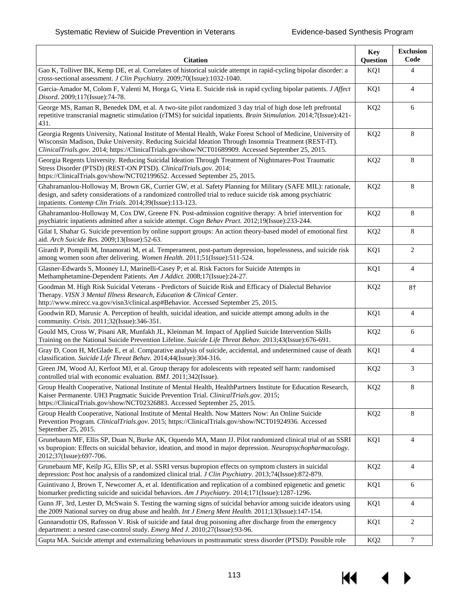| <b>Citation</b>                                                                                                                                                                                                                                                                                                               | <b>Key</b><br>Question | <b>Exclusion</b><br>Code |
|-------------------------------------------------------------------------------------------------------------------------------------------------------------------------------------------------------------------------------------------------------------------------------------------------------------------------------|------------------------|--------------------------|
| Gao K, Tolliver BK, Kemp DE, et al. Correlates of historical suicide attempt in rapid-cycling bipolar disorder: a<br>cross-sectional assessment. J Clin Psychiatry. 2009;70(Issue):1032-1040.                                                                                                                                 | KQ1                    | 4                        |
| Garcia-Amador M, Colom F, Valenti M, Horga G, Vieta E. Suicide risk in rapid cycling bipolar patients. J Affect<br>Disord. 2009;117(Issue):74-78.                                                                                                                                                                             | KQ1                    | $\overline{4}$           |
| George MS, Raman R, Benedek DM, et al. A two-site pilot randomized 3 day trial of high dose left prefrontal<br>repetitive transcranial magnetic stimulation (rTMS) for suicidal inpatients. Brain Stimulation. 2014;7(Issue):421-<br>431.                                                                                     | KQ <sub>2</sub>        | 6                        |
| Georgia Regents University, National Institute of Mental Health, Wake Forest School of Medicine, University of<br>Wisconsin Madison, Duke University. Reducing Suicidal Ideation Through Insomnia Treatment (REST-IT).<br>ClinicalTrials.gov. 2014; https://ClinicalTrials.gov/show/NCT01689909. Accessed September 25, 2015. | KQ <sub>2</sub>        | 8                        |
| Georgia Regents University. Reducing Suicidal Ideation Through Treatment of Nightmares-Post Traumatic<br>Stress Disorder (PTSD) (REST-ON PTSD). ClinicalTrials.gov. 2014;<br>https://ClinicalTrials.gov/show/NCT02199652. Accessed September 25, 2015.                                                                        | KQ <sub>2</sub>        | 8                        |
| Ghahramanlou-Holloway M, Brown GK, Currier GW, et al. Safety Planning for Military (SAFE MIL): rationale,<br>design, and safety considerations of a randomized controlled trial to reduce suicide risk among psychiatric<br>inpatients. Contemp Clin Trials. 2014;39(Issue):113-123.                                          | KQ <sub>2</sub>        | 8                        |
| Ghahramanlou-Holloway M, Cox DW, Greene FN. Post-admission cognitive therapy: A brief intervention for<br>psychiatric inpatients admitted after a suicide attempt. Cogn Behav Pract. 2012;19(Issue):233-244.                                                                                                                  | KQ <sub>2</sub>        | 8                        |
| Gilat I, Shahar G. Suicide prevention by online support groups: An action theory-based model of emotional first<br>aid. Arch Suicide Res. 2009;13(Issue):52-63.                                                                                                                                                               | KQ <sub>2</sub>        | 8                        |
| Girardi P, Pompili M, Innamorati M, et al. Temperament, post-partum depression, hopelessness, and suicide risk<br>among women soon after delivering. Women Health. 2011;51(Issue):511-524.                                                                                                                                    | KQ1                    | 2                        |
| Glasner-Edwards S, Mooney LJ, Marinelli-Casey P, et al. Risk Factors for Suicide Attempts in<br>Methamphetamine-Dependent Patients. Am J Addict. 2008;17(Issue):24-27.                                                                                                                                                        | KQ1                    | $\overline{4}$           |
| Goodman M. High Risk Suicidal Veterans - Predictors of Suicide Risk and Efficacy of Dialectal Behavior<br>Therapy. VISN 3 Mental Illness Research, Education & Clinical Center.<br>http://www.mirecc.va.gov/visn3/clinical.asp#Behavior. Accessed September 25, 2015.                                                         | KQ <sub>2</sub>        | 8†                       |
| Goodwin RD, Marusic A. Perception of health, suicidal ideation, and suicide attempt among adults in the<br>community. Crisis. 2011;32(Issue):346-351.                                                                                                                                                                         | KQ1                    | $\overline{4}$           |
| Gould MS, Cross W, Pisani AR, Munfakh JL, Kleinman M. Impact of Applied Suicide Intervention Skills<br>Training on the National Suicide Prevention Lifeline. Suicide Life Threat Behav. 2013;43(Issue):676-691.                                                                                                               | KQ <sub>2</sub>        | 6                        |
| Gray D, Coon H, McGlade E, et al. Comparative analysis of suicide, accidental, and undetermined cause of death<br>classification. Suicide Life Threat Behav. 2014;44(Issue):304-316.                                                                                                                                          | KQ1                    | $\overline{4}$           |
| Green JM, Wood AJ, Kerfoot MJ, et al. Group therapy for adolescents with repeated self harm: randomised<br>controlled trial with economic evaluation. BMJ. 2011;342(Issue).                                                                                                                                                   | KQ <sub>2</sub>        | 3                        |
| Group Health Cooperative, National Institute of Mental Health, HealthPartners Institute for Education Research,<br>Kaiser Permanente. UH3 Pragmatic Suicide Prevention Trial. ClinicalTrials.gov. 2015;<br>https://ClinicalTrials.gov/show/NCT02326883. Accessed September 25, 2015.                                          | KQ <sub>2</sub>        | 8                        |
| Group Health Cooperative, National Institute of Mental Health. Now Matters Now: An Online Suicide<br>Prevention Program. ClinicalTrials.gov. 2015; https://ClinicalTrials.gov/show/NCT01924936. Accessed<br>September 25, 2015.                                                                                               | KQ <sub>2</sub>        | 8                        |
| Grunebaum MF, Ellis SP, Duan N, Burke AK, Oquendo MA, Mann JJ. Pilot randomized clinical trial of an SSRI<br>vs bupropion: Effects on suicidal behavior, ideation, and mood in major depression. Neuropsychopharmacology.<br>2012;37(Issue):697-706.                                                                          | KQ1                    | $\overline{4}$           |
| Grunebaum MF, Keilp JG, Ellis SP, et al. SSRI versus bupropion effects on symptom clusters in suicidal<br>depression: Post hoc analysis of a randomized clinical trial. J Clin Psychiatry. 2013;74(Issue):872-879.                                                                                                            | KQ <sub>2</sub>        | $\overline{4}$           |
| Guintivano J, Brown T, Newcomer A, et al. Identification and replication of a combined epigenetic and genetic<br>biomarker predicting suicide and suicidal behaviors. Am J Psychiatry. 2014;171(Issue):1287-1296.                                                                                                             | KQ1                    | 6                        |
| Gunn JF, 3rd, Lester D, McSwain S. Testing the warning signs of suicidal behavior among suicide ideators using<br>the 2009 National survey on drug abuse and health. Int J Emerg Ment Health. 2011;13(Issue):147-154.                                                                                                         | KQ1                    | $\overline{4}$           |
| Gunnarsdottir OS, Rafnsson V. Risk of suicide and fatal drug poisoning after discharge from the emergency<br>department: a nested case-control study. Emerg Med J. 2010;27(Issue):93-96.                                                                                                                                      | KQ1                    | 2                        |
| Gupta MA. Suicide attempt and externalizing behaviours in posttraumatic stress disorder (PTSD): Possible role                                                                                                                                                                                                                 | KQ <sub>2</sub>        | 7                        |

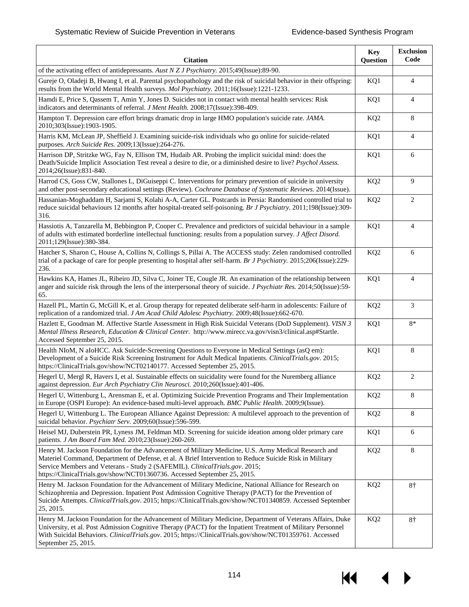| <b>Citation</b>                                                                                                                                                                                                                                                                                                                                                             | <b>Key</b><br>Question | <b>Exclusion</b><br>Code |
|-----------------------------------------------------------------------------------------------------------------------------------------------------------------------------------------------------------------------------------------------------------------------------------------------------------------------------------------------------------------------------|------------------------|--------------------------|
| of the activating effect of antidepressants. Aust N Z J Psychiatry. 2015;49(Issue):89-90.                                                                                                                                                                                                                                                                                   |                        |                          |
| Gureje O, Oladeji B, Hwang I, et al. Parental psychopathology and the risk of suicidal behavior in their offspring:<br>results from the World Mental Health surveys. Mol Psychiatry. 2011;16(Issue):1221-1233.                                                                                                                                                              | KQ1                    | 4                        |
| Hamdi E, Price S, Qassem T, Amin Y, Jones D. Suicides not in contact with mental health services: Risk<br>indicators and determinants of referral. <i>J Ment Health.</i> 2008;17(Issue):398-409.                                                                                                                                                                            | KQ1                    | 4                        |
| Hampton T. Depression care effort brings dramatic drop in large HMO population's suicide rate. JAMA.<br>2010;303(Issue):1903-1905.                                                                                                                                                                                                                                          | KQ <sub>2</sub>        | 8                        |
| Harris KM, McLean JP, Sheffield J. Examining suicide-risk individuals who go online for suicide-related<br>purposes. Arch Suicide Res. 2009;13(Issue):264-276.                                                                                                                                                                                                              | KQ1                    | $\overline{4}$           |
| Harrison DP, Stritzke WG, Fay N, Ellison TM, Hudaib AR. Probing the implicit suicidal mind: does the<br>Death/Suicide Implicit Association Test reveal a desire to die, or a diminished desire to live? Psychol Assess.<br>2014;26(Issue):831-840.                                                                                                                          | KQ1                    | 6                        |
| Harrod CS, Goss CW, Stallones L, DiGuiseppi C. Interventions for primary prevention of suicide in university<br>and other post-secondary educational settings (Review). Cochrane Database of Systematic Reviews. 2014(Issue).                                                                                                                                               | KQ <sub>2</sub>        | 9                        |
| Hassanian-Moghaddam H, Sarjami S, Kolahi A-A, Carter GL. Postcards in Persia: Randomised controlled trial to<br>reduce suicidal behaviours 12 months after hospital-treated self-poisoning. Br J Psychiatry. 2011;198(Issue):309-<br>316.                                                                                                                                   | KQ <sub>2</sub>        | $\overline{c}$           |
| Hassiotis A, Tanzarella M, Bebbington P, Cooper C. Prevalence and predictors of suicidal behaviour in a sample<br>of adults with estimated borderline intellectual functioning: results from a population survey. J Affect Disord.<br>2011;129(Issue):380-384.                                                                                                              | KQ1                    | $\overline{4}$           |
| Hatcher S, Sharon C, House A, Collins N, Collings S, Pillai A. The ACCESS study: Zelen randomised controlled<br>trial of a package of care for people presenting to hospital after self-harm. Br J Psychiatry. 2015;206(Issue):229-<br>236.                                                                                                                                 | KQ <sub>2</sub>        | 6                        |
| Hawkins KA, Hames JL, Ribeiro JD, Silva C, Joiner TE, Cougle JR. An examination of the relationship between<br>anger and suicide risk through the lens of the interpersonal theory of suicide. J Psychiatr Res. 2014;50(Issue):59-<br>65.                                                                                                                                   | KQ1                    | 4                        |
| Hazell PL, Martin G, McGill K, et al. Group therapy for repeated deliberate self-harm in adolescents: Failure of<br>replication of a randomized trial. J Am Acad Child Adolesc Psychiatry. 2009;48(Issue):662-670.                                                                                                                                                          | KQ <sub>2</sub>        | 3                        |
| Hazlett E, Goodman M. Affective Startle Assessment in High Risk Suicidal Veterans (DoD Supplement). VISN 3<br>Mental Illness Research, Education & Clinical Center. http://www.mirecc.va.gov/visn3/clinical.asp#Startle.<br>Accessed September 25, 2015.                                                                                                                    | KQ1                    | $8*$                     |
| Health NIoM, N aIoHCC. Ask Suicide-Screening Questions to Everyone in Medical Settings (asQ em):<br>Development of a Suicide Risk Screening Instrument for Adult Medical Inpatients. ClinicalTrials.gov. 2015;<br>https://ClinicalTrials.gov/show/NCT02140177. Accessed September 25, 2015.                                                                                 | KQ1                    | 8                        |
| Hegerl U, Mergl R, Havers I, et al. Sustainable effects on suicidality were found for the Nuremberg alliance<br>against depression. Eur Arch Psychiatry Clin Neurosci. 2010;260(Issue):401-406.                                                                                                                                                                             | KQ <sub>2</sub>        | $\overline{c}$           |
| Hegerl U, Wittenburg L, Arensman E, et al. Optimizing Suicide Prevention Programs and Their Implementation<br>in Europe (OSPI Europe): An evidence-based multi-level approach. BMC Public Health. 2009;9(Issue).                                                                                                                                                            | KQ <sub>2</sub>        | 8                        |
| Hegerl U, Wittenburg L. The European Alliance Against Depression: A multilevel approach to the prevention of<br>suicidal behavior. Psychiatr Serv. 2009;60(Issue):596-599.                                                                                                                                                                                                  | KQ <sub>2</sub>        | 8                        |
| Heisel MJ, Duberstein PR, Lyness JM, Feldman MD. Screening for suicide ideation among older primary care<br>patients. J Am Board Fam Med. 2010;23(Issue):260-269.                                                                                                                                                                                                           | KQ1                    | 6                        |
| Henry M. Jackson Foundation for the Advancement of Military Medicine, U.S. Army Medical Research and<br>Materiel Command, Department of Defense, et al. A Brief Intervention to Reduce Suicide Risk in Military<br>Service Members and Veterans - Study 2 (SAFEMIL). ClinicalTrials.gov. 2015;<br>https://ClinicalTrials.gov/show/NCT01360736. Accessed September 25, 2015. | KQ <sub>2</sub>        | 8                        |
| Henry M. Jackson Foundation for the Advancement of Military Medicine, National Alliance for Research on<br>Schizophrenia and Depression. Inpatient Post Admission Cognitive Therapy (PACT) for the Prevention of<br>Suicide Attempts. ClinicalTrials.gov. 2015; https://ClinicalTrials.gov/show/NCT01340859. Accessed September<br>25, 2015.                                | KQ <sub>2</sub>        | 8†                       |
| Henry M. Jackson Foundation for the Advancement of Military Medicine, Department of Veterans Affairs, Duke<br>University, et al. Post Admission Cognitive Therapy (PACT) for the Inpatient Treatment of Military Personnel<br>With Suicidal Behaviors. ClinicalTrials.gov. 2015; https://ClinicalTrials.gov/show/NCT01359761. Accessed<br>September 25, 2015.               | KQ <sub>2</sub>        | 8†                       |

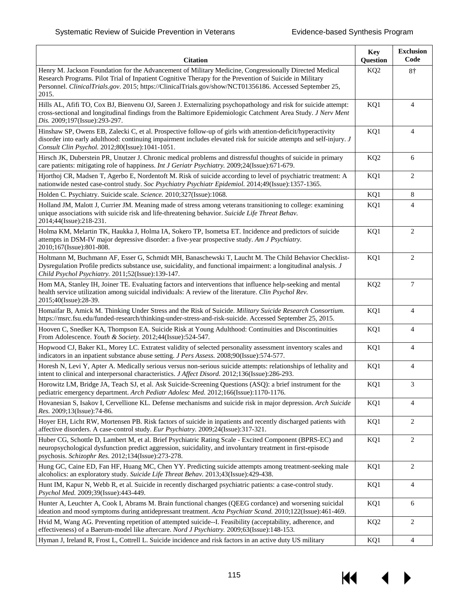| <b>Citation</b>                                                                                                                                                                                                                                                                                                                        | <b>Key</b><br>Question | <b>Exclusion</b><br>Code |
|----------------------------------------------------------------------------------------------------------------------------------------------------------------------------------------------------------------------------------------------------------------------------------------------------------------------------------------|------------------------|--------------------------|
| Henry M. Jackson Foundation for the Advancement of Military Medicine, Congressionally Directed Medical<br>Research Programs. Pilot Trial of Inpatient Cognitive Therapy for the Prevention of Suicide in Military<br>Personnel. ClinicalTrials.gov. 2015; https://ClinicalTrials.gov/show/NCT01356186. Accessed September 25,<br>2015. | KQ <sub>2</sub>        | $8+$                     |
| Hills AL, Afifi TO, Cox BJ, Bienvenu OJ, Sareen J. Externalizing psychopathology and risk for suicide attempt:<br>cross-sectional and longitudinal findings from the Baltimore Epidemiologic Catchment Area Study. J Nerv Ment<br>Dis. 2009;197(Issue):293-297.                                                                        | KQ1                    | $\overline{4}$           |
| Hinshaw SP, Owens EB, Zalecki C, et al. Prospective follow-up of girls with attention-deficit/hyperactivity<br>disorder into early adulthood: continuing impairment includes elevated risk for suicide attempts and self-injury. J<br>Consult Clin Psychol. 2012;80(Issue):1041-1051.                                                  | KQ1                    | $\overline{4}$           |
| Hirsch JK, Duberstein PR, Unutzer J. Chronic medical problems and distressful thoughts of suicide in primary<br>care patients: mitigating role of happiness. Int J Geriatr Psychiatry. 2009;24(Issue):671-679.                                                                                                                         | KQ <sub>2</sub>        | 6                        |
| Hjorthoj CR, Madsen T, Agerbo E, Nordentoft M. Risk of suicide according to level of psychiatric treatment: A<br>nationwide nested case-control study. Soc Psychiatry Psychiatr Epidemiol. 2014;49(Issue):1357-1365.                                                                                                                   | KQ1                    | $\overline{c}$           |
| Holden C. Psychiatry. Suicide scale. Science. 2010;327(Issue):1068.                                                                                                                                                                                                                                                                    | KQ1                    | 8                        |
| Holland JM, Malott J, Currier JM. Meaning made of stress among veterans transitioning to college: examining<br>unique associations with suicide risk and life-threatening behavior. Suicide Life Threat Behav.<br>2014;44(Issue):218-231.                                                                                              | KQ1                    | $\overline{4}$           |
| Holma KM, Melartin TK, Haukka J, Holma IA, Sokero TP, Isometsa ET. Incidence and predictors of suicide<br>attempts in DSM-IV major depressive disorder: a five-year prospective study. Am J Psychiatry.<br>2010;167(Issue):801-808.                                                                                                    | KQ1                    | $\overline{2}$           |
| Holtmann M, Buchmann AF, Esser G, Schmidt MH, Banaschewski T, Laucht M. The Child Behavior Checklist-<br>Dysregulation Profile predicts substance use, suicidality, and functional impairment: a longitudinal analysis. J<br>Child Psychol Psychiatry. 2011;52(Issue):139-147.                                                         | KQ1                    | $\overline{c}$           |
| Hom MA, Stanley IH, Joiner TE. Evaluating factors and interventions that influence help-seeking and mental<br>health service utilization among suicidal individuals: A review of the literature. Clin Psychol Rev.<br>2015;40(Issue):28-39.                                                                                            | KQ <sub>2</sub>        | 7                        |
| Homaifar B, Amick M. Thinking Under Stress and the Risk of Suicide. Military Suicide Research Consortium.<br>https://msrc.fsu.edu/funded-research/thinking-under-stress-and-risk-suicide. Accessed September 25, 2015.                                                                                                                 | KQ1                    | $\overline{4}$           |
| Hooven C, Snedker KA, Thompson EA. Suicide Risk at Young Adulthood: Continuities and Discontinuities<br>From Adolescence. Youth & Society. 2012;44(Issue):524-547.                                                                                                                                                                     | KQ1                    | $\overline{4}$           |
| Hopwood CJ, Baker KL, Morey LC. Extratest validity of selected personality assessment inventory scales and<br>indicators in an inpatient substance abuse setting. J Pers Assess. 2008;90(Issue):574-577.                                                                                                                               | KQ1                    | $\overline{4}$           |
| Horesh N, Levi Y, Apter A. Medically serious versus non-serious suicide attempts: relationships of lethality and<br>intent to clinical and interpersonal characteristics. J Affect Disord. 2012;136(Issue):286-293.                                                                                                                    | KQ1                    | $\overline{4}$           |
| Horowitz LM, Bridge JA, Teach SJ, et al. Ask Suicide-Screening Questions (ASQ): a brief instrument for the<br>pediatric emergency department. Arch Pediatr Adolesc Med. 2012;166(Issue):1170-1176.                                                                                                                                     | KQ1                    | 3                        |
| Hovanesian S, Isakov I, Cervellione KL. Defense mechanisms and suicide risk in major depression. Arch Suicide<br>Res. 2009;13(Issue):74-86.                                                                                                                                                                                            | KQ1                    | $\overline{4}$           |
| Hoyer EH, Licht RW, Mortensen PB. Risk factors of suicide in inpatients and recently discharged patients with<br>affective disorders. A case-control study. Eur Psychiatry. 2009;24(Issue):317-321.                                                                                                                                    | KQ1                    | $\overline{2}$           |
| Huber CG, Schottle D, Lambert M, et al. Brief Psychiatric Rating Scale - Excited Component (BPRS-EC) and<br>neuropsychological dysfunction predict aggression, suicidality, and involuntary treatment in first-episode<br>psychosis. Schizophr Res. 2012;134(Issue):273-278.                                                           | KQ1                    | $\overline{c}$           |
| Hung GC, Caine ED, Fan HF, Huang MC, Chen YY. Predicting suicide attempts among treatment-seeking male<br>alcoholics: an exploratory study. Suicide Life Threat Behav. 2013;43(Issue):429-438.                                                                                                                                         | KQ1                    | $\overline{2}$           |
| Hunt IM, Kapur N, Webb R, et al. Suicide in recently discharged psychiatric patients: a case-control study.<br>Psychol Med. 2009;39(Issue):443-449.                                                                                                                                                                                    | KQ1                    | $\overline{4}$           |
| Hunter A, Leuchter A, Cook I, Abrams M. Brain functional changes (QEEG cordance) and worsening suicidal<br>ideation and mood symptoms during antidepressant treatment. Acta Psychiatr Scand. 2010;122(Issue):461-469.                                                                                                                  | KQ1                    | 6                        |
| Hvid M, Wang AG. Preventing repetition of attempted suicide--I. Feasibility (acceptability, adherence, and<br>effectiveness) of a Baerum-model like aftercare. Nord J Psychiatry. 2009;63(Issue):148-153.                                                                                                                              | KQ <sub>2</sub>        | $\overline{2}$           |
| Hyman J, Ireland R, Frost L, Cottrell L. Suicide incidence and risk factors in an active duty US military                                                                                                                                                                                                                              | KQ1                    | 4                        |

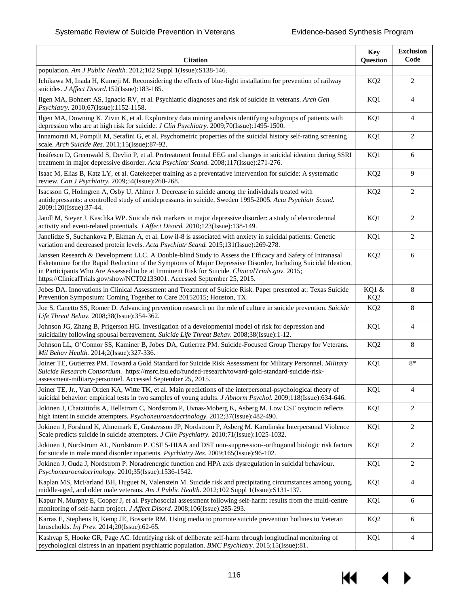| <b>Citation</b>                                                                                                                                                                                                                                                                                                                                                                                          | <b>Key</b><br>Question   | <b>Exclusion</b><br>Code |
|----------------------------------------------------------------------------------------------------------------------------------------------------------------------------------------------------------------------------------------------------------------------------------------------------------------------------------------------------------------------------------------------------------|--------------------------|--------------------------|
| population. Am J Public Health. 2012;102 Suppl 1(Issue):S138-146.                                                                                                                                                                                                                                                                                                                                        |                          |                          |
| Ichikawa M, Inada H, Kumeji M. Reconsidering the effects of blue-light installation for prevention of railway<br>suicides. J Affect Disord. 152(Issue): 183-185.                                                                                                                                                                                                                                         | KQ <sub>2</sub>          | 2                        |
| Ilgen MA, Bohnert AS, Ignacio RV, et al. Psychiatric diagnoses and risk of suicide in veterans. Arch Gen<br>Psychiatry. 2010;67(Issue):1152-1158.                                                                                                                                                                                                                                                        | KQ1                      | $\overline{4}$           |
| Ilgen MA, Downing K, Zivin K, et al. Exploratory data mining analysis identifying subgroups of patients with<br>depression who are at high risk for suicide. J Clin Psychiatry. 2009;70(Issue):1495-1500.                                                                                                                                                                                                | KQ1                      | $\overline{4}$           |
| Innamorati M, Pompili M, Serafini G, et al. Psychometric properties of the suicidal history self-rating screening<br>scale. Arch Suicide Res. 2011;15(Issue):87-92.                                                                                                                                                                                                                                      | KQ1                      | 2                        |
| Iosifescu D, Greenwald S, Devlin P, et al. Pretreatment frontal EEG and changes in suicidal ideation during SSRI<br>treatment in major depressive disorder. Acta Psychiatr Scand. 2008;117(Issue):271-276.                                                                                                                                                                                               | KQ1                      | 6                        |
| Isaac M, Elias B, Katz LY, et al. Gatekeeper training as a preventative intervention for suicide: A systematic<br>review. Can J Psychiatry. 2009;54(Issue):260-268.                                                                                                                                                                                                                                      | KQ <sub>2</sub>          | 9                        |
| Isacsson G, Holmgren A, Osby U, Ahlner J. Decrease in suicide among the individuals treated with<br>antidepressants: a controlled study of antidepressants in suicide, Sweden 1995-2005. Acta Psychiatr Scand.<br>2009;120(Issue):37-44.                                                                                                                                                                 | KQ <sub>2</sub>          | $\overline{c}$           |
| Jandl M, Steyer J, Kaschka WP. Suicide risk markers in major depressive disorder: a study of electrodermal<br>activity and event-related potentials. J Affect Disord. 2010;123(Issue):138-149.                                                                                                                                                                                                           | KQ1                      | 2                        |
| Janelidze S, Suchankova P, Ekman A, et al. Low il-8 is associated with anxiety in suicidal patients: Genetic<br>variation and decreased protein levels. Acta Psychiatr Scand. 2015;131(Issue):269-278.                                                                                                                                                                                                   | KQ1                      | 2                        |
| Janssen Research & Development LLC. A Double-blind Study to Assess the Efficacy and Safety of Intranasal<br>Esketamine for the Rapid Reduction of the Symptoms of Major Depressive Disorder, Including Suicidal Ideation,<br>in Participants Who Are Assessed to be at Imminent Risk for Suicide. ClinicalTrials.gov. 2015;<br>https://ClinicalTrials.gov/show/NCT02133001. Accessed September 25, 2015. | KQ <sub>2</sub>          | 6                        |
| Jobes DA. Innovations in Clinical Assessment and Treatment of Suicide Risk. Paper presented at: Texas Suicide<br>Prevention Symposium: Coming Together to Care 20152015; Houston, TX.                                                                                                                                                                                                                    | KQ1 &<br>KQ <sub>2</sub> | 8                        |
| Joe S, Canetto SS, Romer D. Advancing prevention research on the role of culture in suicide prevention. Suicide<br>Life Threat Behav. 2008;38(Issue):354-362.                                                                                                                                                                                                                                            | KQ <sub>2</sub>          | 8                        |
| Johnson JG, Zhang B, Prigerson HG. Investigation of a developmental model of risk for depression and<br>suicidality following spousal bereavement. Suicide Life Threat Behav. 2008;38(Issue):1-12.                                                                                                                                                                                                       | KQ1                      | $\overline{4}$           |
| Johnson LL, O'Connor SS, Kaminer B, Jobes DA, Gutierrez PM. Suicide-Focused Group Therapy for Veterans.<br>Mil Behav Health. 2014;2(Issue):327-336.                                                                                                                                                                                                                                                      | KQ <sub>2</sub>          | 8                        |
| Joiner TE, Gutierrez PM. Toward a Gold Standard for Suicide Risk Assessment for Military Personnel. Military<br>Suicide Research Consortium. https://msrc.fsu.edu/funded-research/toward-gold-standard-suicide-risk-<br>assessment-military-personnel. Accessed September 25, 2015.                                                                                                                      | KQ1                      | $8*$                     |
| Joiner TE, Jr., Van Orden KA, Witte TK, et al. Main predictions of the interpersonal-psychological theory of<br>suicidal behavior: empirical tests in two samples of young adults. J Abnorm Psychol. 2009;118(Issue):634-646.                                                                                                                                                                            | KQ1                      |                          |
| Jokinen J, Chatzittofis A, Hellstrom C, Nordstrom P, Uvnas-Moberg K, Asberg M. Low CSF oxytocin reflects<br>high intent in suicide attempters. Psychoneuroendocrinology. 2012;37(Issue):482-490.                                                                                                                                                                                                         | KQ1                      | $\overline{2}$           |
| Jokinen J, Forslund K, Ahnemark E, Gustavsson JP, Nordstrom P, Asberg M. Karolinska Interpersonal Violence<br>Scale predicts suicide in suicide attempters. J Clin Psychiatry. 2010;71(Issue):1025-1032.                                                                                                                                                                                                 | KQ1                      | $\overline{c}$           |
| Jokinen J, Nordstrom AL, Nordstrom P. CSF 5-HIAA and DST non-suppression--orthogonal biologic risk factors<br>for suicide in male mood disorder inpatients. <i>Psychiatry Res.</i> 2009;165(Issue):96-102.                                                                                                                                                                                               | KQ1                      | $\overline{c}$           |
| Jokinen J, Ouda J, Nordstrom P. Noradrenergic function and HPA axis dysregulation in suicidal behaviour.<br>Psychoneuroendocrinology. 2010;35(Issue):1536-1542.                                                                                                                                                                                                                                          | KQ1                      | $\overline{c}$           |
| Kaplan MS, McFarland BH, Huguet N, Valenstein M. Suicide risk and precipitating circumstances among young,<br>middle-aged, and older male veterans. Am J Public Health. 2012;102 Suppl 1(Issue):S131-137.                                                                                                                                                                                                | KQ1                      | 4                        |
| Kapur N, Murphy E, Cooper J, et al. Psychosocial assessment following self-harm: results from the multi-centre<br>monitoring of self-harm project. J Affect Disord. 2008;106(Issue):285-293.                                                                                                                                                                                                             | KQ1                      | 6                        |
| Karras E, Stephens B, Kemp JE, Bossarte RM. Using media to promote suicide prevention hotlines to Veteran<br>households. Inj Prev. 2014;20(Issue):62-65.                                                                                                                                                                                                                                                 | KQ <sub>2</sub>          | 6                        |
| Kashyap S, Hooke GR, Page AC. Identifying risk of deliberate self-harm through longitudinal monitoring of<br>psychological distress in an inpatient psychiatric population. BMC Psychiatry. 2015;15(Issue):81.                                                                                                                                                                                           | KQ1                      | $\overline{4}$           |

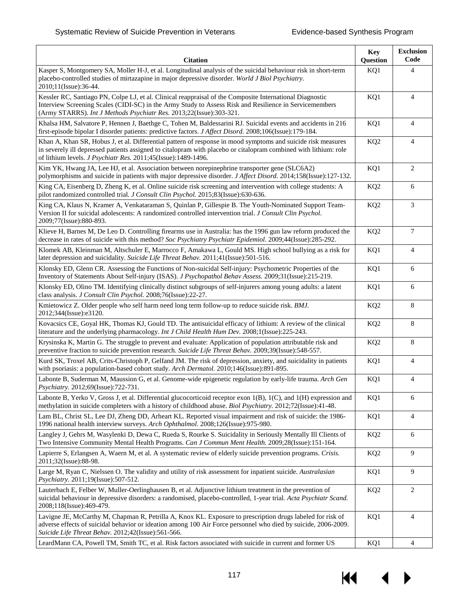| <b>Citation</b>                                                                                                                                                                                                                                                                                   | <b>Key</b><br>Question | <b>Exclusion</b><br>Code |
|---------------------------------------------------------------------------------------------------------------------------------------------------------------------------------------------------------------------------------------------------------------------------------------------------|------------------------|--------------------------|
| Kasper S, Montgomery SA, Moller H-J, et al. Longitudinal analysis of the suicidal behaviour risk in short-term<br>placebo-controlled studies of mirtazapine in major depressive disorder. World J Biol Psychiatry.<br>2010;11(Issue):36-44.                                                       | KQ1                    | $\overline{4}$           |
| Kessler RC, Santiago PN, Colpe LJ, et al. Clinical reappraisal of the Composite International Diagnostic<br>Interview Screening Scales (CIDI-SC) in the Army Study to Assess Risk and Resilience in Servicemembers<br>(Army STARRS). Int J Methods Psychiatr Res. 2013;22(Issue):303-321.         | KQ1                    | $\overline{4}$           |
| Khalsa HM, Salvatore P, Hennen J, Baethge C, Tohen M, Baldessarini RJ. Suicidal events and accidents in 216<br>first-episode bipolar I disorder patients: predictive factors. J Affect Disord. 2008;106(Issue):179-184.                                                                           | KQ1                    | $\overline{4}$           |
| Khan A, Khan SR, Hobus J, et al. Differential pattern of response in mood symptoms and suicide risk measures<br>in severely ill depressed patients assigned to citalopram with placebo or citalopram combined with lithium: role<br>of lithium levels. J Psychiatr Res. 2011;45(Issue):1489-1496. | KQ <sub>2</sub>        | $\overline{4}$           |
| Kim YK, Hwang JA, Lee HJ, et al. Association between norepinephrine transporter gene (SLC6A2)<br>polymorphisms and suicide in patients with major depressive disorder. J Affect Disord. 2014;158(Issue):127-132.                                                                                  | KQ1                    | $\mathbf{2}$             |
| King CA, Eisenberg D, Zheng K, et al. Online suicide risk screening and intervention with college students: A<br>pilot randomized controlled trial. J Consult Clin Psychol. 2015;83(Issue):630-636.                                                                                               | KQ <sub>2</sub>        | 6                        |
| King CA, Klaus N, Kramer A, Venkataraman S, Quinlan P, Gillespie B. The Youth-Nominated Support Team-<br>Version II for suicidal adolescents: A randomized controlled intervention trial. J Consult Clin Psychol.<br>2009;77(Issue):880-893.                                                      | KQ <sub>2</sub>        | 3                        |
| Klieve H, Barnes M, De Leo D. Controlling firearms use in Australia: has the 1996 gun law reform produced the<br>decrease in rates of suicide with this method? Soc Psychiatry Psychiatr Epidemiol. 2009;44(Issue):285-292.                                                                       | KQ <sub>2</sub>        | $\tau$                   |
| Klomek AB, Kleinman M, Altschuler E, Marrocco F, Amakawa L, Gould MS. High school bullying as a risk for<br>later depression and suicidality. Suicide Life Threat Behav. 2011;41(Issue):501-516.                                                                                                  | KQ1                    | $\overline{4}$           |
| Klonsky ED, Glenn CR. Assessing the Functions of Non-suicidal Self-injury: Psychometric Properties of the<br>Inventory of Statements About Self-injury (ISAS). J Psychopathol Behav Assess. 2009;31(Issue):215-219.                                                                               | KQ1                    | 6                        |
| Klonsky ED, Olino TM. Identifying clinically distinct subgroups of self-injurers among young adults: a latent<br>class analysis. J Consult Clin Psychol. 2008;76(Issue):22-27.                                                                                                                    | KQ1                    | 6                        |
| Kmietowicz Z. Older people who self harm need long term follow-up to reduce suicide risk. BMJ.<br>2012;344(Issue):e3120.                                                                                                                                                                          | KQ <sub>2</sub>        | 8                        |
| Kovacsics CE, Goyal HK, Thomas KJ, Gould TD. The antisuicidal efficacy of lithium: A review of the clinical<br>literature and the underlying pharmacology. Int J Child Health Hum Dev. 2008;1(Issue):225-243.                                                                                     | KQ <sub>2</sub>        | 8                        |
| Krysinska K, Martin G. The struggle to prevent and evaluate: Application of population attributable risk and<br>preventive fraction to suicide prevention research. Suicide Life Threat Behav. 2009;39(Issue):548-557.                                                                            | KQ <sub>2</sub>        | 8                        |
| Kurd SK, Troxel AB, Crits-Christoph P, Gelfand JM. The risk of depression, anxiety, and suicidality in patients<br>with psoriasis: a population-based cohort study. Arch Dermatol. 2010;146(Issue):891-895.                                                                                       | KQ1                    | $\overline{4}$           |
| Labonte B, Suderman M, Maussion G, et al. Genome-wide epigenetic regulation by early-life trauma. Arch Gen<br>Psychiatry. 2012;69(Issue):722-731.                                                                                                                                                 | KQ1                    | $\overline{4}$           |
| Labonte B, Yerko V, Gross J, et al. Differential glucocorticoid receptor exon 1(B), 1(C), and 1(H) expression and<br>methylation in suicide completers with a history of childhood abuse. Biol Psychiatry. 2012;72(Issue):41-48.                                                                  | KQ1                    | 6                        |
| Lam BL, Christ SL, Lee DJ, Zheng DD, Arheart KL. Reported visual impairment and risk of suicide: the 1986-<br>1996 national health interview surveys. Arch Ophthalmol. 2008;126(Issue):975-980.                                                                                                   | KQ1                    | 4                        |
| Langley J, Gehrs M, Wasylenki D, Dewa C, Rueda S, Rourke S. Suicidality in Seriously Mentally Ill Clients of<br>Two Intensive Community Mental Health Programs. Can J Commun Ment Health. 2009;28(Issue):151-164.                                                                                 | KQ <sub>2</sub>        | 6                        |
| Lapierre S, Erlangsen A, Waern M, et al. A systematic review of elderly suicide prevention programs. Crisis.<br>2011;32(Issue):88-98.                                                                                                                                                             | KQ <sub>2</sub>        | 9                        |
| Large M, Ryan C, Nielssen O. The validity and utility of risk assessment for inpatient suicide. Australasian<br>Psychiatry. 2011;19(Issue):507-512.                                                                                                                                               | KQ1                    | 9                        |
| Lauterbach E, Felber W, Muller-Oerlinghausen B, et al. Adjunctive lithium treatment in the prevention of<br>suicidal behaviour in depressive disorders: a randomised, placebo-controlled, 1-year trial. Acta Psychiatr Scand.<br>2008;118(Issue):469-479.                                         | KQ <sub>2</sub>        | $\overline{c}$           |
| Lavigne JE, McCarthy M, Chapman R, Petrilla A, Knox KL. Exposure to prescription drugs labeled for risk of<br>adverse effects of suicidal behavior or ideation among 100 Air Force personnel who died by suicide, 2006-2009.<br>Suicide Life Threat Behav. 2012;42(Issue):561-566.                | KQ1                    | $\overline{4}$           |
| LeardMann CA, Powell TM, Smith TC, et al. Risk factors associated with suicide in current and former US                                                                                                                                                                                           | KQ1                    | $\overline{4}$           |

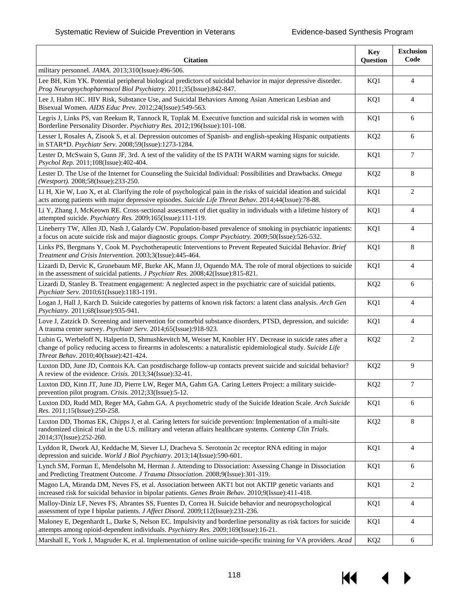| <b>Citation</b>                                                                                                                                                                                                                                                        | <b>Key</b><br>Question | <b>Exclusion</b><br>Code |
|------------------------------------------------------------------------------------------------------------------------------------------------------------------------------------------------------------------------------------------------------------------------|------------------------|--------------------------|
| military personnel. JAMA. 2013;310(Issue):496-506.                                                                                                                                                                                                                     |                        |                          |
| Lee BH, Kim YK. Potential peripheral biological predictors of suicidal behavior in major depressive disorder.<br>Prog Neuropsychopharmacol Biol Psychiatry. 2011;35(Issue):842-847.                                                                                    | KQ1                    | $\overline{4}$           |
| Lee J, Hahm HC. HIV Risk, Substance Use, and Suicidal Behaviors Among Asian American Lesbian and<br>Bisexual Women. AIDS Educ Prev. 2012;24(Issue):549-563.                                                                                                            | KQ1                    | $\overline{4}$           |
| Legris J, Links PS, van Reekum R, Tannock R, Toplak M. Executive function and suicidal risk in women with<br>Borderline Personality Disorder. Psychiatry Res. 2012;196(Issue):101-108.                                                                                 | KQ1                    | 6                        |
| Lesser I, Rosales A, Zisook S, et al. Depression outcomes of Spanish- and english-speaking Hispanic outpatients<br>in STAR*D. Psychiatr Serv. 2008;59(Issue):1273-1284.                                                                                                | KQ <sub>2</sub>        | 6                        |
| Lester D, McSwain S, Gunn JF, 3rd. A test of the validity of the IS PATH WARM warning signs for suicide.<br>Psychol Rep. 2011;108(Issue):402-404.                                                                                                                      | KQ1                    | 7                        |
| Lester D. The Use of the Internet for Counseling the Suicidal Individual: Possibilities and Drawbacks. Omega<br>(Westport). 2008;58(Issue):233-250.                                                                                                                    | KQ <sub>2</sub>        | 8                        |
| Li H, Xie W, Luo X, et al. Clarifying the role of psychological pain in the risks of suicidal ideation and suicidal<br>acts among patients with major depressive episodes. Suicide Life Threat Behav. 2014;44(Issue):78-88.                                            | KQ1                    | 2                        |
| Li Y, Zhang J, McKeown RE. Cross-sectional assessment of diet quality in individuals with a lifetime history of<br>attempted suicide. Psychiatry Res. 2009;165(Issue):111-119.                                                                                         | KQ1                    | $\overline{4}$           |
| Lineberry TW, Allen JD, Nash J, Galardy CW. Population-based prevalence of smoking in psychiatric inpatients:<br>a focus on acute suicide risk and major diagnostic groups. Compr Psychiatry. 2009;50(Issue):526-532.                                                  | KQ1                    | $\overline{4}$           |
| Links PS, Bergmans Y, Cook M. Psychotherapeutic Interventions to Prevent Repeated Suicidal Behavior. Brief<br>Treatment and Crisis Intervention. 2003;3(Issue):445-464.                                                                                                | KQ1                    | 8                        |
| Lizardi D, Dervic K, Grunebaum MF, Burke AK, Mann JJ, Oquendo MA. The role of moral objections to suicide<br>in the assessment of suicidal patients. <i>J Psychiatr Res.</i> 2008;42(Issue):815-821.                                                                   | KQ1                    | $\overline{4}$           |
| Lizardi D, Stanley B. Treatment engagement: A neglected aspect in the psychiatric care of suicidal patients.<br>Psychiatr Serv. 2010;61(Issue):1183-1191.                                                                                                              | KQ <sub>2</sub>        | 6                        |
| Logan J, Hall J, Karch D. Suicide categories by patterns of known risk factors: a latent class analysis. Arch Gen<br>Psychiatry. 2011;68(Issue):935-941.                                                                                                               | KQ1                    | $\overline{4}$           |
| Love J, Zatzick D. Screening and intervention for comorbid substance disorders, PTSD, depression, and suicide:<br>A trauma center survey. Psychiatr Serv. 2014;65(Issue):918-923.                                                                                      | KQ1                    | $\overline{4}$           |
| Lubin G, Werbeloff N, Halperin D, Shmushkevitch M, Weiser M, Knobler HY. Decrease in suicide rates after a<br>change of policy reducing access to firearms in adolescents: a naturalistic epidemiological study. Suicide Life<br>Threat Behav. 2010;40(Issue):421-424. | KQ <sub>2</sub>        | 2                        |
| Luxton DD, June JD, Comtois KA. Can postdischarge follow-up contacts prevent suicide and suicidal behavior?<br>A review of the evidence. Crisis. 2013;34(Issue):32-41.                                                                                                 | KQ <sub>2</sub>        | 9                        |
| Luxton DD, Kinn JT, June JD, Pierre LW, Reger MA, Gahm GA. Caring Letters Project: a military suicide-<br>prevention pilot program. Crisis. 2012;33(Issue):5-12.                                                                                                       | KQ <sub>2</sub>        | $\tau$                   |
| Luxton DD, Rudd MD, Reger MA, Gahm GA. A psychometric study of the Suicide Ideation Scale. Arch Suicide<br>Res. 2011;15(Issue):250-258.                                                                                                                                | KQ1                    | 6                        |
| Luxton DD, Thomas EK, Chipps J, et al. Caring letters for suicide prevention: Implementation of a multi-site<br>randomized clinical trial in the U.S. military and veteran affairs healthcare systems. Contemp Clin Trials.<br>2014;37(Issue):252-260.                 | KQ <sub>2</sub>        | 8                        |
| Lyddon R, Dwork AJ, Keddache M, Siever LJ, Dracheva S. Serotonin 2c receptor RNA editing in major<br>depression and suicide. World J Biol Psychiatry. 2013;14(Issue):590-601.                                                                                          | KQ1                    | $\overline{4}$           |
| Lynch SM, Forman E, Mendelsohn M, Herman J. Attending to Dissociation: Assessing Change in Dissociation<br>and Predicting Treatment Outcome. J Trauma Dissociation. 2008;9(Issue):301-319.                                                                             | KQ1                    | 6                        |
| Magno LA, Miranda DM, Neves FS, et al. Association between AKT1 but not AKTIP genetic variants and<br>increased risk for suicidal behavior in bipolar patients. Genes Brain Behav. 2010;9(Issue):411-418.                                                              | KQ1                    | $\overline{c}$           |
| Malloy-Diniz LF, Neves FS, Abrantes SS, Fuentes D, Correa H. Suicide behavior and neuropsychological<br>assessment of type I bipolar patients. J Affect Disord. 2009;112(Issue):231-236.                                                                               | KQ1                    | $\overline{4}$           |
| Maloney E, Degenhardt L, Darke S, Nelson EC. Impulsivity and borderline personality as risk factors for suicide<br>attempts among opioid-dependent individuals. Psychiatry Res. 2009;169(Issue):16-21.                                                                 | KQ1                    | $\overline{4}$           |
| Marshall E, York J, Magruder K, et al. Implementation of online suicide-specific training for VA providers. Acad                                                                                                                                                       | KQ <sub>2</sub>        | 6                        |

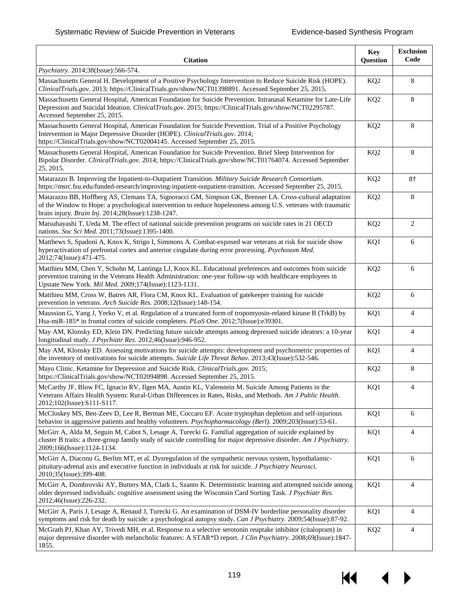| <b>Citation</b>                                                                                                                                                                                                                                                                | <b>Key</b><br>Question | <b>Exclusion</b><br>Code |
|--------------------------------------------------------------------------------------------------------------------------------------------------------------------------------------------------------------------------------------------------------------------------------|------------------------|--------------------------|
| Psychiatry. 2014;38(Issue):566-574.                                                                                                                                                                                                                                            |                        |                          |
| Massachusetts General H. Development of a Positive Psychology Intervention to Reduce Suicide Risk (HOPE).<br>ClinicalTrials.gov. 2013; https://ClinicalTrials.gov/show/NCT01398891. Accessed September 25, 2015.                                                               | KQ <sub>2</sub>        | 8                        |
| Massachusetts General Hospital, American Foundation for Suicide Prevention. Intranasal Ketamine for Late-Life<br>Depression and Suicidal Ideation. ClinicalTrials.gov. 2015; https://ClinicalTrials.gov/show/NCT02295787.<br>Accessed September 25, 2015.                      | KQ <sub>2</sub>        | 8                        |
| Massachusetts General Hospital, American Foundation for Suicide Prevention. Trial of a Positive Psychology<br>Intervention in Major Depressive Disorder (HOPE). ClinicalTrials.gov. 2014;<br>https://ClinicalTrials.gov/show/NCT02004145. Accessed September 25, 2015.         | KQ <sub>2</sub>        | 8                        |
| Massachusetts General Hospital, American Foundation for Suicide Prevention. Brief Sleep Intervention for<br>Bipolar Disorder. ClinicalTrials.gov. 2014; https://ClinicalTrials.gov/show/NCT01764074. Accessed September<br>25, 2015.                                           | KQ <sub>2</sub>        | 8                        |
| Matarazzo B. Improving the Inpatient-to-Outpatient Transition. Military Suicide Research Consortium.<br>https://msrc.fsu.edu/funded-research/improving-inpatient-outpatient-transition. Accessed September 25, 2015.                                                           | KQ <sub>2</sub>        | $8\dagger$               |
| Matarazzo BB, Hoffberg AS, Clemans TA, Signoracci GM, Simpson GK, Brenner LA. Cross-cultural adaptation<br>of the Window to Hope: a psychological intervention to reduce hopelessness among U.S. veterans with traumatic<br>brain injury. Brain Inj. 2014;28(Issue):1238-1247. | KQ <sub>2</sub>        | 8                        |
| Matsubayashi T, Ueda M. The effect of national suicide prevention programs on suicide rates in 21 OECD<br>nations. Soc Sci Med. 2011;73(Issue):1395-1400.                                                                                                                      | KQ <sub>2</sub>        | 2                        |
| Matthews S, Spadoni A, Knox K, Strigo I, Simmons A. Combat-exposed war veterans at risk for suicide show<br>hyperactivation of prefrontal cortex and anterior cingulate during error processing. Psychosom Med.<br>2012;74(Issue):471-475.                                     | KQ1                    | 6                        |
| Matthieu MM, Chen Y, Schohn M, Lantinga LJ, Knox KL. Educational preferences and outcomes from suicide<br>prevention training in the Veterans Health Administration: one-year follow-up with healthcare employees in<br>Upstate New York. Mil Med. 2009;174(Issue):1123-1131.  | KQ <sub>2</sub>        | 6                        |
| Matthieu MM, Cross W, Batres AR, Flora CM, Knox KL. Evaluation of gatekeeper training for suicide<br>prevention in veterans. Arch Suicide Res. 2008;12(Issue):148-154.                                                                                                         | KQ <sub>2</sub>        | 6                        |
| Maussion G, Yang J, Yerko V, et al. Regulation of a truncated form of tropomyosin-related kinase B (TrkB) by<br>Hsa-miR-185* in frontal cortex of suicide completers. PLoS One. 2012;7(Issue):e39301.                                                                          | KQ1                    | 4                        |
| May AM, Klonsky ED, Klein DN. Predicting future suicide attempts among depressed suicide ideators: a 10-year<br>longitudinal study. J Psychiatr Res. 2012;46(Issue):946-952.                                                                                                   | KQ1                    | $\overline{4}$           |
| May AM, Klonsky ED. Assessing motivations for suicide attempts: development and psychometric properties of<br>the inventory of motivations for suicide attempts. Suicide Life Threat Behav. 2013;43(Issue):532-546.                                                            | KQ1                    | $\overline{4}$           |
| Mayo Clinic. Ketamine for Depression and Suicide Risk. ClinicalTrials.gov. 2015;<br>https://ClinicalTrials.gov/show/NCT02094898. Accessed September 25, 2015.                                                                                                                  | KQ <sub>2</sub>        | 8                        |
| McCarthy JF, Blow FC, Ignacio RV, Ilgen MA, Austin KL, Valenstein M. Suicide Among Patients in the<br>Veterans Affairs Health System: Rural-Urban Differences in Rates, Risks, and Methods. Am J Public Health.<br>2012;102(Issue):S111-S117.                                  | KQ1                    | 4                        |
| McCloskey MS, Ben-Zeev D, Lee R, Berman ME, Coccaro EF. Acute tryptophan depletion and self-injurious<br>behavior in aggressive patients and healthy volunteers. Psychopharmacology (Berl). 2009;203(Issue):53-61.                                                             | KQ1                    | 6                        |
| McGirr A, Alda M, Seguin M, Cabot S, Lesage A, Turecki G. Familial aggregation of suicide explained by<br>cluster B traits: a three-group family study of suicide controlling for major depressive disorder. Am J Psychiatry.<br>2009;166(Issue):1124-1134.                    | KQ1                    | 4                        |
| McGirr A, Diaconu G, Berlim MT, et al. Dysregulation of the sympathetic nervous system, hypothalamic-<br>pituitary-adrenal axis and executive function in individuals at risk for suicide. J Psychiatry Neurosci.<br>2010;35(Issue):399-408.                                   | KQ1                    | 6                        |
| McGirr A, Dombrovski AY, Butters MA, Clark L, Szanto K. Deterministic learning and attempted suicide among<br>older depressed individuals: cognitive assessment using the Wisconsin Card Sorting Task. J Psychiatr Res.<br>2012;46(Issue):226-232.                             | KQ1                    | $\overline{4}$           |
| McGirr A, Paris J, Lesage A, Renaud J, Turecki G. An examination of DSM-IV borderline personality disorder<br>symptoms and risk for death by suicide: a psychological autopsy study. Can J Psychiatry. 2009;54(Issue):87-92.                                                   | KQ1                    | $\overline{4}$           |
| McGrath PJ, Khan AY, Trivedi MH, et al. Response to a selective serotonin reuptake inhibitor (citalopram) in<br>major depressive disorder with melancholic features: A STAR*D report. J Clin Psychiatry. 2008;69(Issue):1847-<br>1855.                                         | KQ <sub>2</sub>        | $\overline{4}$           |

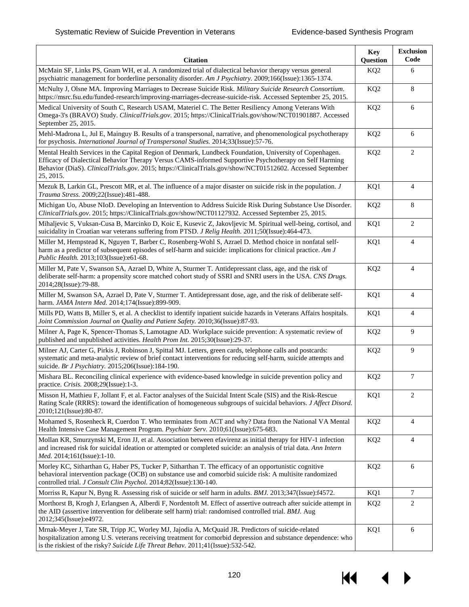| <b>Citation</b>                                                                                                                                                                                                                                                                                                                              | <b>Key</b><br>Question | <b>Exclusion</b><br>Code |
|----------------------------------------------------------------------------------------------------------------------------------------------------------------------------------------------------------------------------------------------------------------------------------------------------------------------------------------------|------------------------|--------------------------|
| McMain SF, Links PS, Gnam WH, et al. A randomized trial of dialectical behavior therapy versus general<br>psychiatric management for borderline personality disorder. Am J Psychiatry. 2009;166(Issue):1365-1374.                                                                                                                            | KQ <sub>2</sub>        | 6                        |
| McNulty J, Olsne MA. Improving Marriages to Decrease Suicide Risk. Military Suicide Research Consortium.<br>https://msrc.fsu.edu/funded-research/improving-marriages-decrease-suicide-risk. Accessed September 25, 2015.                                                                                                                     | KQ <sub>2</sub>        | 8                        |
| Medical University of South C, Research USAM, Materiel C. The Better Resiliency Among Veterans With<br>Omega-3's (BRAVO) Study. ClinicalTrials.gov. 2015; https://ClinicalTrials.gov/show/NCT01901887. Accessed<br>September 25, 2015.                                                                                                       | KQ <sub>2</sub>        | 6                        |
| Mehl-Madrona L, Jul E, Mainguy B. Results of a transpersonal, narrative, and phenomenological psychotherapy<br>for psychosis. International Journal of Transpersonal Studies. 2014;33(Issue):57-76.                                                                                                                                          | KQ <sub>2</sub>        | 6                        |
| Mental Health Services in the Capital Region of Denmark, Lundbeck Foundation, University of Copenhagen.<br>Efficacy of Dialectical Behavior Therapy Versus CAMS-informed Supportive Psychotherapy on Self Harming<br>Behavior (DiaS). ClinicalTrials.gov. 2015; https://ClinicalTrials.gov/show/NCT01512602. Accessed September<br>25, 2015. | KQ <sub>2</sub>        | 2                        |
| Mezuk B, Larkin GL, Prescott MR, et al. The influence of a major disaster on suicide risk in the population. J<br>Trauma Stress. 2009;22(Issue):481-488.                                                                                                                                                                                     | KQ1                    | $\overline{4}$           |
| Michigan Uo, Abuse NIoD. Developing an Intervention to Address Suicide Risk During Substance Use Disorder.<br>ClinicalTrials.gov. 2015; https://ClinicalTrials.gov/show/NCT01127932. Accessed September 25, 2015.                                                                                                                            | KQ <sub>2</sub>        | 8                        |
| Mihaljevic S, Vuksan-Cusa B, Marcinko D, Koic E, Kusevic Z, Jakovljevic M. Spiritual well-being, cortisol, and<br>suicidality in Croatian war veterans suffering from PTSD. J Relig Health. 2011;50(Issue):464-473.                                                                                                                          | KQ1                    | 2                        |
| Miller M, Hempstead K, Nguyen T, Barber C, Rosenberg-Wohl S, Azrael D. Method choice in nonfatal self-<br>harm as a predictor of subsequent episodes of self-harm and suicide: implications for clinical practice. Am J<br>Public Health. 2013;103(Issue):e61-68.                                                                            | KQ1                    | $\overline{4}$           |
| Miller M, Pate V, Swanson SA, Azrael D, White A, Sturmer T. Antidepressant class, age, and the risk of<br>deliberate self-harm: a propensity score matched cohort study of SSRI and SNRI users in the USA. CNS Drugs.<br>2014;28(Issue):79-88.                                                                                               | KQ <sub>2</sub>        | $\overline{4}$           |
| Miller M, Swanson SA, Azrael D, Pate V, Sturmer T. Antidepressant dose, age, and the risk of deliberate self-<br>harm. JAMA Intern Med. 2014;174(Issue):899-909.                                                                                                                                                                             | KQ1                    | $\overline{4}$           |
| Mills PD, Watts B, Miller S, et al. A checklist to identify inpatient suicide hazards in Veterans Affairs hospitals.<br>Joint Commission Journal on Quality and Patient Safety. 2010;36(Issue):87-93.                                                                                                                                        | KQ1                    | 4                        |
| Milner A, Page K, Spencer-Thomas S, Lamotagne AD. Workplace suicide prevention: A systematic review of<br>published and unpublished activities. Health Prom Int. 2015;30(Issue):29-37.                                                                                                                                                       | KQ <sub>2</sub>        | 9                        |
| Milner AJ, Carter G, Pirkis J, Robinson J, Spittal MJ. Letters, green cards, telephone calls and postcards:<br>systematic and meta-analytic review of brief contact interventions for reducing self-harm, suicide attempts and<br>suicide. Br J Psychiatry. 2015;206(Issue):184-190.                                                         | KQ <sub>2</sub>        | 9                        |
| Mishara BL. Reconciling clinical experience with evidence-based knowledge in suicide prevention policy and<br>practice. Crisis. 2008;29(Issue):1-3.                                                                                                                                                                                          | KQ <sub>2</sub>        | 7                        |
| Misson H, Mathieu F, Jollant F, et al. Factor analyses of the Suicidal Intent Scale (SIS) and the Risk-Rescue<br>Rating Scale (RRRS): toward the identification of homogeneous subgroups of suicidal behaviors. J Affect Disord.<br>2010;121(Issue):80-87.                                                                                   | KQ1                    | 2                        |
| Mohamed S, Rosenheck R, Cuerdon T. Who terminates from ACT and why? Data from the National VA Mental<br>Health Intensive Case Management Program. Psychiatr Serv. 2010;61(Issue):675-683.                                                                                                                                                    | KQ <sub>2</sub>        | 4                        |
| Mollan KR, Smurzynski M, Eron JJ, et al. Association between efavirenz as initial therapy for HIV-1 infection<br>and increased risk for suicidal ideation or attempted or completed suicide: an analysis of trial data. Ann Intern<br><i>Med.</i> 2014;161(Issue):1-10.                                                                      | KQ <sub>2</sub>        | 4                        |
| Morley KC, Sitharthan G, Haber PS, Tucker P, Sitharthan T. The efficacy of an opportunistic cognitive<br>behavioral intervention package (OCB) on substance use and comorbid suicide risk: A multisite randomized<br>controlled trial. J Consult Clin Psychol. 2014;82(Issue):130-140.                                                       | KQ <sub>2</sub>        | 6                        |
| Morriss R, Kapur N, Byng R. Assessing risk of suicide or self harm in adults. <i>BMJ</i> . 2013;347(Issue):f4572.                                                                                                                                                                                                                            | KQ1                    | 7                        |
| Morthorst B, Krogh J, Erlangsen A, Alberdi F, Nordentoft M. Effect of assertive outreach after suicide attempt in<br>the AID (assertive intervention for deliberate self harm) trial: randomised controlled trial. BMJ. Aug<br>2012;345(Issue):e4972.                                                                                        | KQ <sub>2</sub>        | $\overline{2}$           |
| Mrnak-Meyer J, Tate SR, Tripp JC, Worley MJ, Jajodia A, McQuaid JR. Predictors of suicide-related<br>hospitalization among U.S. veterans receiving treatment for comorbid depression and substance dependence: who<br>is the riskiest of the risky? Suicide Life Threat Behav. 2011;41(Issue):532-542.                                       | KQ1                    | 6                        |

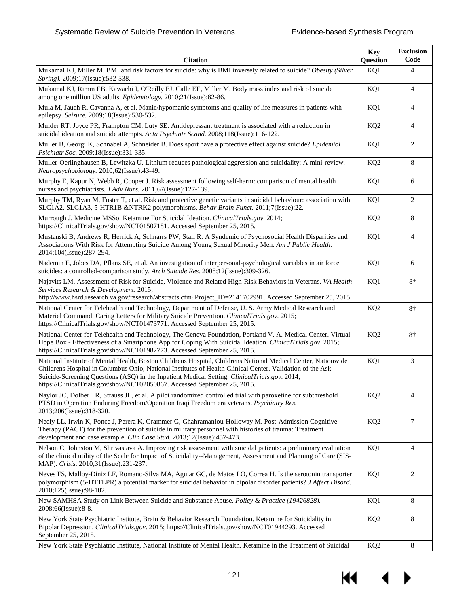| <b>Citation</b>                                                                                                                                                                                                                                                                                                                                                                                          | <b>Key</b><br>Question | <b>Exclusion</b><br>Code |
|----------------------------------------------------------------------------------------------------------------------------------------------------------------------------------------------------------------------------------------------------------------------------------------------------------------------------------------------------------------------------------------------------------|------------------------|--------------------------|
| Mukamal KJ, Miller M. BMI and risk factors for suicide: why is BMI inversely related to suicide? Obesity (Silver<br>Spring). 2009;17(Issue):532-538.                                                                                                                                                                                                                                                     | KQ1                    | $\overline{4}$           |
| Mukamal KJ, Rimm EB, Kawachi I, O'Reilly EJ, Calle EE, Miller M. Body mass index and risk of suicide<br>among one million US adults. Epidemiology. 2010;21(Issue):82-86.                                                                                                                                                                                                                                 | KQ1                    | $\overline{4}$           |
| Mula M, Jauch R, Cavanna A, et al. Manic/hypomanic symptoms and quality of life measures in patients with<br>epilepsy. Seizure. 2009;18(Issue):530-532.                                                                                                                                                                                                                                                  | KQ1                    | $\overline{4}$           |
| Mulder RT, Joyce PR, Frampton CM, Luty SE. Antidepressant treatment is associated with a reduction in<br>suicidal ideation and suicide attempts. Acta Psychiatr Scand. 2008;118(Issue):116-122.                                                                                                                                                                                                          | KQ <sub>2</sub>        | $\overline{4}$           |
| Muller B, Georgi K, Schnabel A, Schneider B. Does sport have a protective effect against suicide? Epidemiol<br>Psichiatr Soc. 2009;18(Issue):331-335.                                                                                                                                                                                                                                                    | KQ1                    | 2                        |
| Muller-Oerlinghausen B, Lewitzka U. Lithium reduces pathological aggression and suicidality: A mini-review.<br>Neuropsychobiology. 2010;62(Issue):43-49.                                                                                                                                                                                                                                                 | KQ <sub>2</sub>        | 8                        |
| Murphy E, Kapur N, Webb R, Cooper J. Risk assessment following self-harm: comparison of mental health<br>nurses and psychiatrists. J Adv Nurs. 2011;67(Issue):127-139.                                                                                                                                                                                                                                   | KQ1                    | 6                        |
| Murphy TM, Ryan M, Foster T, et al. Risk and protective genetic variants in suicidal behaviour: association with<br>SLC1A2, SLC1A3, 5-HTR1B &NTRK2 polymorphisms. Behav Brain Funct. 2011;7(Issue):22.                                                                                                                                                                                                   | KQ1                    | $\overline{c}$           |
| Murrough J, Medicine MSSo. Ketamine For Suicidal Ideation. ClinicalTrials.gov. 2014;<br>https://ClinicalTrials.gov/show/NCT01507181. Accessed September 25, 2015.                                                                                                                                                                                                                                        | KQ <sub>2</sub>        | 8                        |
| Mustanski B, Andrews R, Herrick A, Schnarrs PW, Stall R. A Syndemic of Psychosocial Health Disparities and<br>Associations With Risk for Attempting Suicide Among Young Sexual Minority Men. Am J Public Health.<br>2014;104(Issue):287-294.                                                                                                                                                             | KQ1                    | $\overline{4}$           |
| Nademin E, Jobes DA, Pflanz SE, et al. An investigation of interpersonal-psychological variables in air force<br>suicides: a controlled-comparison study. Arch Suicide Res. 2008;12(Issue):309-326.                                                                                                                                                                                                      | KQ1                    | 6                        |
| Najavits LM. Assessment of Risk for Suicide, Violence and Related High-Risk Behaviors in Veterans. VA Health<br>Services Research & Development. 2015;<br>http://www.hsrd.research.va.gov/research/abstracts.cfm?Project_ID=2141702991. Accessed September 25, 2015.                                                                                                                                     | KQ1                    | $8*$                     |
| National Center for Telehealth and Technology, Department of Defense, U.S. Army Medical Research and<br>Materiel Command. Caring Letters for Military Suicide Prevention. ClinicalTrials.gov. 2015;<br>https://ClinicalTrials.gov/show/NCT01473771. Accessed September 25, 2015.                                                                                                                         | KQ <sub>2</sub>        | $8+$                     |
| National Center for Telehealth and Technology, The Geneva Foundation, Portland V. A. Medical Center. Virtual<br>Hope Box - Effectiveness of a Smartphone App for Coping With Suicidal Ideation. ClinicalTrials.gov. 2015;<br>https://ClinicalTrials.gov/show/NCT01982773. Accessed September 25, 2015.                                                                                                   | KQ <sub>2</sub>        | $8+$                     |
| National Institute of Mental Health, Boston Childrens Hospital, Childrens National Medical Center, Nationwide<br>Childrens Hospital in Columbus Ohio, National Institutes of Health Clinical Center. Validation of the Ask<br>Suicide-Screening Questions (ASQ) in the Inpatient Medical Setting. ClinicalTrials.gov. 2014;<br>https://ClinicalTrials.gov/show/NCT02050867. Accessed September 25, 2015. | KQ1                    | 3                        |
| Naylor JC, Dolber TR, Strauss JL, et al. A pilot randomized controlled trial with paroxetine for subthreshold<br>PTSD in Operation Enduring Freedom/Operation Iraqi Freedom era veterans. Psychiatry Res.<br>2013;206(Issue):318-320.                                                                                                                                                                    | KQ <sub>2</sub>        | $\overline{4}$           |
| Neely LL, Irwin K, Ponce J, Perera K, Grammer G, Ghahramanlou-Holloway M. Post-Admission Cognitive<br>Therapy (PACT) for the prevention of suicide in military personnel with histories of trauma: Treatment<br>development and case example. Clin Case Stud. 2013;12(Issue):457-473.                                                                                                                    | KQ <sub>2</sub>        | 7                        |
| Nelson C, Johnston M, Shrivastava A. Improving risk assessment with suicidal patients: a preliminary evaluation<br>of the clinical utility of the Scale for Impact of Suicidality--Management, Assessment and Planning of Care (SIS-<br>MAP). Crisis. 2010;31(Issue):231-237.                                                                                                                            | KQ1                    | $\overline{4}$           |
| Neves FS, Malloy-Diniz LF, Romano-Silva MA, Aguiar GC, de Matos LO, Correa H. Is the serotonin transporter<br>polymorphism (5-HTTLPR) a potential marker for suicidal behavior in bipolar disorder patients? J Affect Disord.<br>2010;125(Issue):98-102.                                                                                                                                                 | KQ1                    | 2                        |
| New SAMHSA Study on Link Between Suicide and Substance Abuse. Policy & Practice (19426828).<br>2008;66(Issue):8-8.                                                                                                                                                                                                                                                                                       | KQ1                    | 8                        |
| New York State Psychiatric Institute, Brain & Behavior Research Foundation. Ketamine for Suicidality in<br>Bipolar Depression. ClinicalTrials.gov. 2015; https://ClinicalTrials.gov/show/NCT01944293. Accessed<br>September 25, 2015.                                                                                                                                                                    | KQ <sub>2</sub>        | 8                        |
| New York State Psychiatric Institute, National Institute of Mental Health. Ketamine in the Treatment of Suicidal                                                                                                                                                                                                                                                                                         | KQ <sub>2</sub>        | 8                        |

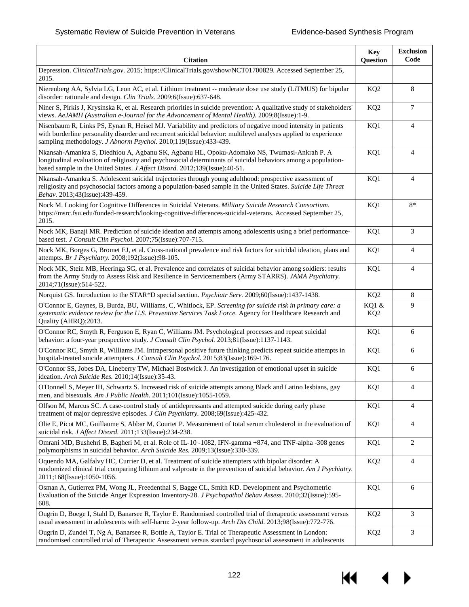| <b>Citation</b>                                                                                                                                                                                                                                                                                     | <b>Key</b><br>Question   | <b>Exclusion</b><br>Code |
|-----------------------------------------------------------------------------------------------------------------------------------------------------------------------------------------------------------------------------------------------------------------------------------------------------|--------------------------|--------------------------|
| Depression. ClinicalTrials.gov. 2015; https://ClinicalTrials.gov/show/NCT01700829. Accessed September 25,<br>2015.                                                                                                                                                                                  |                          |                          |
| Nierenberg AA, Sylvia LG, Leon AC, et al. Lithium treatment -- moderate dose use study (LiTMUS) for bipolar<br>disorder: rationale and design. Clin Trials. 2009;6(Issue):637-648.                                                                                                                  | KQ <sub>2</sub>          | 8                        |
| Niner S, Pirkis J, Krysinska K, et al. Research priorities in suicide prevention: A qualitative study of stakeholders'<br>views. AeJAMH (Australian e-Journal for the Advancement of Mental Health). 2009;8(Issue):1-9.                                                                             | KQ <sub>2</sub>          | $\tau$                   |
| Nisenbaum R, Links PS, Eynan R, Heisel MJ. Variability and predictors of negative mood intensity in patients<br>with borderline personality disorder and recurrent suicidal behavior: multilevel analyses applied to experience<br>sampling methodology. J Abnorm Psychol. 2010;119(Issue):433-439. | KQ1                      | $\overline{4}$           |
| Nkansah-Amankra S, Diedhiou A, Agbanu SK, Agbanu HL, Opoku-Adomako NS, Twumasi-Ankrah P. A<br>longitudinal evaluation of religiosity and psychosocial determinants of suicidal behaviors among a population-<br>based sample in the United States. J Affect Disord. 2012;139(Issue):40-51.          | KQ1                      | $\overline{4}$           |
| Nkansah-Amankra S. Adolescent suicidal trajectories through young adulthood: prospective assessment of<br>religiosity and psychosocial factors among a population-based sample in the United States. Suicide Life Threat<br>Behav. 2013;43(Issue):439-459.                                          | KQ1                      | $\overline{4}$           |
| Nock M. Looking for Cognitive Differences in Suicidal Veterans. Military Suicide Research Consortium.<br>https://msrc.fsu.edu/funded-research/looking-cognitive-differences-suicidal-veterans. Accessed September 25,<br>2015.                                                                      | KQ1                      | $8*$                     |
| Nock MK, Banaji MR. Prediction of suicide ideation and attempts among adolescents using a brief performance-<br>based test. J Consult Clin Psychol. 2007;75(Issue):707-715.                                                                                                                         | KQ1                      | 3                        |
| Nock MK, Borges G, Bromet EJ, et al. Cross-national prevalence and risk factors for suicidal ideation, plans and<br>attempts. Br J Psychiatry. 2008;192(Issue):98-105.                                                                                                                              | KQ1                      | $\overline{4}$           |
| Nock MK, Stein MB, Heeringa SG, et al. Prevalence and correlates of suicidal behavior among soldiers: results<br>from the Army Study to Assess Risk and Resilience in Servicemembers (Army STARRS). JAMA Psychiatry.<br>2014;71(Issue):514-522.                                                     | KQ1                      | $\overline{4}$           |
| Norquist GS. Introduction to the STAR*D special section. Psychiatr Serv. 2009;60(Issue):1437-1438.                                                                                                                                                                                                  | KQ <sub>2</sub>          | 8                        |
| O'Connor E, Gaynes, B, Burda, BU, Williams, C, Whitlock, EP. Screening for suicide risk in primary care: a<br>systematic evidence review for the U.S. Preventive Services Task Force. Agency for Healthcare Research and<br>Quality (AHRQ);2013.                                                    | KQ1 &<br>KQ <sub>2</sub> | 9                        |
| O'Connor RC, Smyth R, Ferguson E, Ryan C, Williams JM. Psychological processes and repeat suicidal<br>behavior: a four-year prospective study. J Consult Clin Psychol. 2013;81(Issue):1137-1143.                                                                                                    | KQ1                      | 6                        |
| O'Connor RC, Smyth R, Williams JM. Intrapersonal positive future thinking predicts repeat suicide attempts in<br>hospital-treated suicide attempters. J Consult Clin Psychol. 2015;83(Issue):169-176.                                                                                               | KQ1                      | 6                        |
| O'Connor SS, Jobes DA, Lineberry TW, Michael Bostwick J. An investigation of emotional upset in suicide<br>ideation. Arch Suicide Res. 2010;14(Issue):35-43.                                                                                                                                        | KQ1                      | 6                        |
| O'Donnell S, Meyer IH, Schwartz S. Increased risk of suicide attempts among Black and Latino lesbians, gay<br>men, and bisexuals. Am J Public Health. 2011;101(Issue):1055-1059.                                                                                                                    | KQ1                      | 4                        |
| Olfson M, Marcus SC. A case-control study of antidepressants and attempted suicide during early phase<br>treatment of major depressive episodes. J Clin Psychiatry. 2008;69(Issue):425-432.                                                                                                         | KQ1                      | 4                        |
| Olie E, Picot MC, Guillaume S, Abbar M, Courtet P. Measurement of total serum cholesterol in the evaluation of<br>suicidal risk. J Affect Disord. 2011;133(Issue):234-238.                                                                                                                          | KQ1                      | 4                        |
| Omrani MD, Bushehri B, Bagheri M, et al. Role of IL-10 -1082, IFN-gamma +874, and TNF-alpha -308 genes<br>polymorphisms in suicidal behavior. Arch Suicide Res. 2009;13(Issue):330-339.                                                                                                             | KQ1                      | 2                        |
| Oquendo MA, Galfalvy HC, Currier D, et al. Treatment of suicide attempters with bipolar disorder: A<br>randomized clinical trial comparing lithium and valproate in the prevention of suicidal behavior. Am J Psychiatry.<br>2011;168(Issue):1050-1056.                                             | KQ <sub>2</sub>          | $\overline{4}$           |
| Osman A, Gutierrez PM, Wong JL, Freedenthal S, Bagge CL, Smith KD. Development and Psychometric<br>Evaluation of the Suicide Anger Expression Inventory-28. J Psychopathol Behav Assess. 2010;32(Issue):595-<br>608.                                                                                | KQ1                      | 6                        |
| Ougrin D, Boege I, Stahl D, Banarsee R, Taylor E. Randomised controlled trial of therapeutic assessment versus<br>usual assessment in adolescents with self-harm: 2-year follow-up. Arch Dis Child. 2013;98(Issue):772-776.                                                                         | KQ <sub>2</sub>          | 3                        |
| Ougrin D, Zundel T, Ng A, Banarsee R, Bottle A, Taylor E. Trial of Therapeutic Assessment in London:<br>randomised controlled trial of Therapeutic Assessment versus standard psychosocial assessment in adolescents                                                                                | KQ <sub>2</sub>          | $\mathfrak{Z}$           |

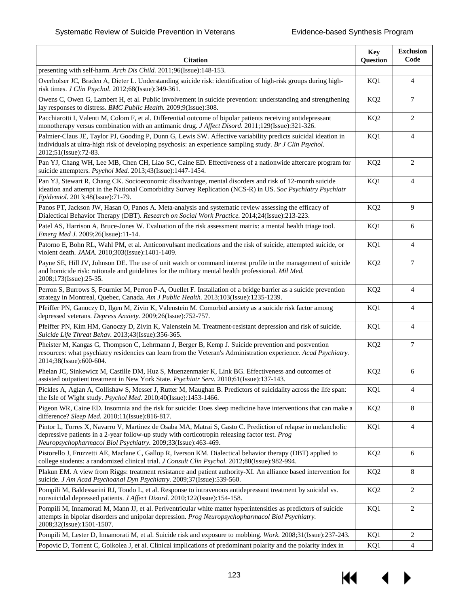| <b>Citation</b>                                                                                                                                                                                                                                                                 | <b>Key</b><br>Question | <b>Exclusion</b><br>Code |
|---------------------------------------------------------------------------------------------------------------------------------------------------------------------------------------------------------------------------------------------------------------------------------|------------------------|--------------------------|
| presenting with self-harm. Arch Dis Child. 2011;96(Issue):148-153.                                                                                                                                                                                                              |                        |                          |
| Overholser JC, Braden A, Dieter L. Understanding suicide risk: identification of high-risk groups during high-<br>risk times. J Clin Psychol. 2012;68(Issue):349-361.                                                                                                           | KQ1                    | $\overline{4}$           |
| Owens C, Owen G, Lambert H, et al. Public involvement in suicide prevention: understanding and strengthening<br>lay responses to distress. BMC Public Health. 2009;9(Issue):308.                                                                                                | KQ <sub>2</sub>        | 7                        |
| Pacchiarotti I, Valenti M, Colom F, et al. Differential outcome of bipolar patients receiving antidepressant<br>monotherapy versus combination with an antimanic drug. J Affect Disord. 2011;129(Issue):321-326.                                                                | KQ <sub>2</sub>        | 2                        |
| Palmier-Claus JE, Taylor PJ, Gooding P, Dunn G, Lewis SW. Affective variability predicts suicidal ideation in<br>individuals at ultra-high risk of developing psychosis: an experience sampling study. Br J Clin Psychol.<br>2012;51(Issue):72-83.                              | KQ1                    | $\overline{4}$           |
| Pan YJ, Chang WH, Lee MB, Chen CH, Liao SC, Caine ED. Effectiveness of a nationwide aftercare program for<br>suicide attempters. Psychol Med. 2013;43(Issue):1447-1454.                                                                                                         | KQ <sub>2</sub>        | 2                        |
| Pan YJ, Stewart R, Chang CK. Socioeconomic disadvantage, mental disorders and risk of 12-month suicide<br>ideation and attempt in the National Comorbidity Survey Replication (NCS-R) in US. Soc Psychiatry Psychiatr<br>Epidemiol. 2013;48(Issue):71-79.                       | KQ1                    | $\overline{4}$           |
| Panos PT, Jackson JW, Hasan O, Panos A. Meta-analysis and systematic review assessing the efficacy of<br>Dialectical Behavior Therapy (DBT). Research on Social Work Practice. 2014;24(Issue):213-223.                                                                          | KQ <sub>2</sub>        | 9                        |
| Patel AS, Harrison A, Bruce-Jones W. Evaluation of the risk assessment matrix: a mental health triage tool.<br>Emerg Med J. 2009;26(Issue):11-14.                                                                                                                               | KQ1                    | 6                        |
| Patorno E, Bohn RL, Wahl PM, et al. Anticonvulsant medications and the risk of suicide, attempted suicide, or<br>violent death. JAMA. 2010;303(Issue):1401-1409.                                                                                                                | KQ1                    | $\overline{4}$           |
| Payne SE, Hill JV, Johnson DE. The use of unit watch or command interest profile in the management of suicide<br>and homicide risk: rationale and guidelines for the military mental health professional. Mil Med.<br>2008;173(Issue):25-35.                                    | KQ <sub>2</sub>        | $\tau$                   |
| Perron S, Burrows S, Fournier M, Perron P-A, Ouellet F. Installation of a bridge barrier as a suicide prevention<br>strategy in Montreal, Quebec, Canada. Am J Public Health. 2013;103(Issue):1235-1239.                                                                        | KQ <sub>2</sub>        | $\overline{4}$           |
| Pfeiffer PN, Ganoczy D, Ilgen M, Zivin K, Valenstein M. Comorbid anxiety as a suicide risk factor among<br>depressed veterans. Depress Anxiety. 2009;26(Issue):752-757.                                                                                                         | KQ1                    | 4                        |
| Pfeiffer PN, Kim HM, Ganoczy D, Zivin K, Valenstein M. Treatment-resistant depression and risk of suicide.<br>Suicide Life Threat Behav. 2013;43(Issue):356-365.                                                                                                                | KQ1                    | $\overline{4}$           |
| Pheister M, Kangas G, Thompson C, Lehrmann J, Berger B, Kemp J. Suicide prevention and postvention<br>resources: what psychiatry residencies can learn from the Veteran's Administration experience. Acad Psychiatry.<br>2014;38(Issue):600-604.                                | KQ <sub>2</sub>        | 7                        |
| Phelan JC, Sinkewicz M, Castille DM, Huz S, Muenzenmaier K, Link BG. Effectiveness and outcomes of<br>assisted outpatient treatment in New York State. Psychiatr Serv. 2010;61(Issue):137-143.                                                                                  | KQ <sub>2</sub>        | 6                        |
| Pickles A, Aglan A, Collishaw S, Messer J, Rutter M, Maughan B. Predictors of suicidality across the life span:<br>the Isle of Wight study. <i>Psychol Med.</i> 2010;40(Issue):1453-1466.                                                                                       | KQ1                    | 4                        |
| Pigeon WR, Caine ED. Insomnia and the risk for suicide: Does sleep medicine have interventions that can make a<br>difference? Sleep Med. 2010;11(Issue):816-817.                                                                                                                | KQ <sub>2</sub>        | 8                        |
| Pintor L, Torres X, Navarro V, Martinez de Osaba MA, Matrai S, Gasto C. Prediction of relapse in melancholic<br>depressive patients in a 2-year follow-up study with corticotropin releasing factor test. Prog<br>Neuropsychopharmacol Biol Psychiatry. 2009;33(Issue):463-469. | KQ1                    | $\overline{4}$           |
| Pistorello J, Fruzzetti AE, Maclane C, Gallop R, Iverson KM. Dialectical behavior therapy (DBT) applied to<br>college students: a randomized clinical trial. J Consult Clin Psychol. 2012;80(Issue):982-994.                                                                    | KQ <sub>2</sub>        | 6                        |
| Plakun EM. A view from Riggs: treatment resistance and patient authority-XI. An alliance based intervention for<br>suicide. J Am Acad Psychoanal Dyn Psychiatry. 2009;37(Issue):539-560.                                                                                        | KQ <sub>2</sub>        | 8                        |
| Pompili M, Baldessarini RJ, Tondo L, et al. Response to intravenous antidepressant treatment by suicidal vs.<br>nonsuicidal depressed patients. J Affect Disord. 2010;122(Issue):154-158.                                                                                       | KQ <sub>2</sub>        | 2                        |
| Pompili M, Innamorati M, Mann JJ, et al. Periventricular white matter hyperintensities as predictors of suicide<br>attempts in bipolar disorders and unipolar depression. Prog Neuropsychopharmacol Biol Psychiatry.<br>2008;32(Issue):1501-1507.                               | KQ1                    | $\overline{c}$           |
| Pompili M, Lester D, Innamorati M, et al. Suicide risk and exposure to mobbing. Work. 2008;31(Issue):237-243.                                                                                                                                                                   | KQ1                    | 2                        |
| Popovic D, Torrent C, Goikolea J, et al. Clinical implications of predominant polarity and the polarity index in                                                                                                                                                                | KQ1                    | $\overline{4}$           |

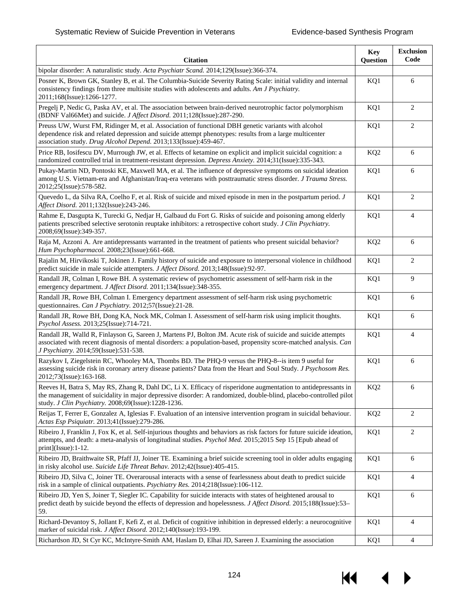**K** 

▶

| <b>Citation</b>                                                                                                                                                                                                                                                                          | <b>Key</b><br>Question | <b>Exclusion</b><br>Code |
|------------------------------------------------------------------------------------------------------------------------------------------------------------------------------------------------------------------------------------------------------------------------------------------|------------------------|--------------------------|
| bipolar disorder: A naturalistic study. Acta Psychiatr Scand. 2014;129(Issue):366-374.                                                                                                                                                                                                   |                        |                          |
| Posner K, Brown GK, Stanley B, et al. The Columbia-Suicide Severity Rating Scale: initial validity and internal<br>consistency findings from three multisite studies with adolescents and adults. Am J Psychiatry.<br>2011;168(Issue):1266-1277.                                         | KQ1                    | 6                        |
| Pregelj P, Nedic G, Paska AV, et al. The association between brain-derived neurotrophic factor polymorphism<br>(BDNF Val66Met) and suicide. J Affect Disord. 2011;128(Issue):287-290.                                                                                                    | KQ1                    | 2                        |
| Preuss UW, Wurst FM, Ridinger M, et al. Association of functional DBH genetic variants with alcohol<br>dependence risk and related depression and suicide attempt phenotypes: results from a large multicenter<br>association study. Drug Alcohol Depend. 2013;133(Issue):459-467.       | KQ1                    | $\overline{c}$           |
| Price RB, Iosifescu DV, Murrough JW, et al. Effects of ketamine on explicit and implicit suicidal cognition: a<br>randomized controlled trial in treatment-resistant depression. Depress Anxiety. 2014;31(Issue):335-343.                                                                | KQ <sub>2</sub>        | 6                        |
| Pukay-Martin ND, Pontoski KE, Maxwell MA, et al. The influence of depressive symptoms on suicidal ideation<br>among U.S. Vietnam-era and Afghanistan/Iraq-era veterans with posttraumatic stress disorder. J Trauma Stress.<br>2012;25(Issue):578-582.                                   | KQ1                    | 6                        |
| Quevedo L, da Silva RA, Coelho F, et al. Risk of suicide and mixed episode in men in the postpartum period. J<br>Affect Disord. 2011;132(Issue):243-246.                                                                                                                                 | KQ1                    | 2                        |
| Rahme E, Dasgupta K, Turecki G, Nedjar H, Galbaud du Fort G. Risks of suicide and poisoning among elderly<br>patients prescribed selective serotonin reuptake inhibitors: a retrospective cohort study. J Clin Psychiatry.<br>2008;69(Issue):349-357.                                    | KQ1                    | 4                        |
| Raja M, Azzoni A. Are antidepressants warranted in the treatment of patients who present suicidal behavior?<br>Hum Psychopharmacol. 2008;23(Issue):661-668.                                                                                                                              | KQ <sub>2</sub>        | 6                        |
| Rajalin M, Hirvikoski T, Jokinen J. Family history of suicide and exposure to interpersonal violence in childhood<br>predict suicide in male suicide attempters. J Affect Disord. 2013;148(Issue):92-97.                                                                                 | KQ1                    | $\overline{c}$           |
| Randall JR, Colman I, Rowe BH. A systematic review of psychometric assessment of self-harm risk in the<br>emergency department. J Affect Disord. 2011;134(Issue):348-355.                                                                                                                | KQ1                    | 9                        |
| Randall JR, Rowe BH, Colman I. Emergency department assessment of self-harm risk using psychometric<br>questionnaires. Can J Psychiatry. 2012;57(Issue):21-28.                                                                                                                           | KQ1                    | 6                        |
| Randall JR, Rowe BH, Dong KA, Nock MK, Colman I. Assessment of self-harm risk using implicit thoughts.<br>Psychol Assess. 2013;25(Issue):714-721.                                                                                                                                        | KQ1                    | 6                        |
| Randall JR, Walld R, Finlayson G, Sareen J, Martens PJ, Bolton JM. Acute risk of suicide and suicide attempts<br>associated with recent diagnosis of mental disorders: a population-based, propensity score-matched analysis. Can<br>J Psychiatry. 2014;59(Issue):531-538.               | KQ1                    | $\overline{4}$           |
| Razykov I, Ziegelstein RC, Whooley MA, Thombs BD. The PHQ-9 versus the PHQ-8--is item 9 useful for<br>assessing suicide risk in coronary artery disease patients? Data from the Heart and Soul Study. J Psychosom Res.<br>2012;73(Issue):163-168.                                        | KQ1                    | 6                        |
| Reeves H, Batra S, May RS, Zhang R, Dahl DC, Li X. Efficacy of risperidone augmentation to antidepressants in<br>the management of suicidality in major depressive disorder: A randomized, double-blind, placebo-controlled pilot<br>study. J Clin Psychiatry. 2008;69(Issue):1228-1236. | KQ <sub>2</sub>        | 6                        |
| Reijas T, Ferrer E, Gonzalez A, Iglesias F. Evaluation of an intensive intervention program in suicidal behaviour.<br>Actas Esp Psiquiatr. 2013;41(Issue):279-286.                                                                                                                       | KQ <sub>2</sub>        | $\overline{c}$           |
| Ribeiro J, Franklin J, Fox K, et al. Self-injurious thoughts and behaviors as risk factors for future suicide ideation,<br>attempts, and death: a meta-analysis of longitudinal studies. Psychol Med. 2015;2015 Sep 15 [Epub ahead of<br>$print](Issue):1-12.$                           | KQ1                    | $\overline{c}$           |
| Ribeiro JD, Braithwaite SR, Pfaff JJ, Joiner TE. Examining a brief suicide screening tool in older adults engaging<br>in risky alcohol use. Suicide Life Threat Behav. 2012;42(Issue):405-415.                                                                                           | KQ1                    | 6                        |
| Ribeiro JD, Silva C, Joiner TE. Overarousal interacts with a sense of fearlessness about death to predict suicide<br>risk in a sample of clinical outpatients. <i>Psychiatry Res.</i> 2014;218(Issue):106-112.                                                                           | KQ1                    | $\overline{4}$           |
| Ribeiro JD, Yen S, Joiner T, Siegler IC. Capability for suicide interacts with states of heightened arousal to<br>predict death by suicide beyond the effects of depression and hopelessness. <i>J Affect Disord</i> . 2015;188(Issue):53–<br>59.                                        | KQ1                    | 6                        |
| Richard-Devantoy S, Jollant F, Kefi Z, et al. Deficit of cognitive inhibition in depressed elderly: a neurocognitive<br>marker of suicidal risk. J Affect Disord. 2012;140(Issue):193-199.                                                                                               | KQ1                    | $\overline{4}$           |
| Richardson JD, St Cyr KC, McIntyre-Smith AM, Haslam D, Elhai JD, Sareen J. Examining the association                                                                                                                                                                                     | KQ1                    | 4                        |

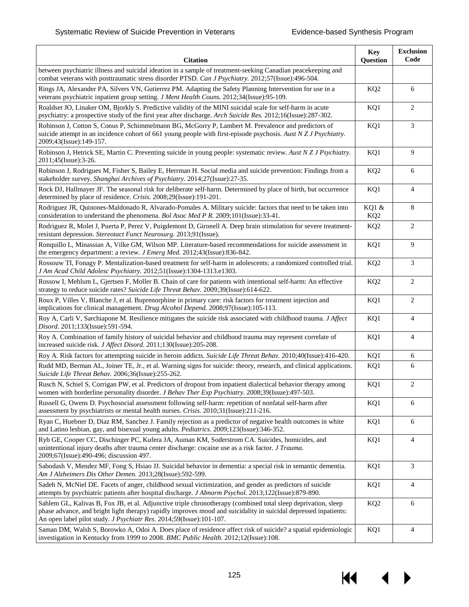KI

▶

| <b>Citation</b>                                                                                                                                                                                                                                                                                          | <b>Key</b><br>Question   | <b>Exclusion</b><br>Code |
|----------------------------------------------------------------------------------------------------------------------------------------------------------------------------------------------------------------------------------------------------------------------------------------------------------|--------------------------|--------------------------|
| between psychiatric illness and suicidal ideation in a sample of treatment-seeking Canadian peacekeeping and<br>combat veterans with posttraumatic stress disorder PTSD. Can J Psychiatry. 2012;57(Issue):496-504.                                                                                       |                          |                          |
| Rings JA, Alexander PA, Silvers VN, Gutierrez PM. Adapting the Safety Planning Intervention for use in a<br>veterans psychiatric inpatient group setting. J Ment Health Couns. 2012;34(Issue):95-109.                                                                                                    | KQ <sub>2</sub>          | 6                        |
| Roaldset JO, Linaker OM, Bjorkly S. Predictive validity of the MINI suicidal scale for self-harm in acute<br>psychiatry: a prospective study of the first year after discharge. Arch Suicide Res. 2012;16(Issue):287-302.                                                                                | KQ1                      | 2                        |
| Robinson J, Cotton S, Conus P, Schimmelmann BG, McGorry P, Lambert M. Prevalence and predictors of<br>suicide attempt in an incidence cohort of 661 young people with first-episode psychosis. Aust N Z J Psychiatry.<br>2009;43(Issue):149-157.                                                         | KQ1                      | 3                        |
| Robinson J, Hetrick SE, Martin C. Preventing suicide in young people: systematic review. Aust N Z J Psychiatry.<br>2011;45(Issue):3-26.                                                                                                                                                                  | KQ1                      | 9                        |
| Robinson J, Rodrigues M, Fisher S, Bailey E, Herrman H. Social media and suicide prevention: Findings from a<br>stakeholder survey. Shanghai Archives of Psychiatry. 2014;27(Issue):27-35.                                                                                                               | KQ <sub>2</sub>          | 6                        |
| Rock DJ, Hallmayer JF. The seasonal risk for deliberate self-harm. Determined by place of birth, but occurrence<br>determined by place of residence. Crisis. 2008;29(Issue):191-201.                                                                                                                     | KQ1                      | $\overline{4}$           |
| Rodriguez JR, Quinones-Maldonado R, Alvarado-Pomales A. Military suicide: factors that need to be taken into<br>consideration to understand the phenomena. Bol Asoc Med P R. 2009;101(Issue):33-41.                                                                                                      | KQ1 &<br>KQ <sub>2</sub> | 8                        |
| Rodriguez R, Molet J, Puerta P, Perez V, Puigdemont D, Gironell A. Deep brain stimulation for severe treatment-<br>resistant depression. Stereotact Funct Neurosurg. 2013;91(Issue).                                                                                                                     | KQ <sub>2</sub>          | 2                        |
| Ronquillo L, Minassian A, Vilke GM, Wilson MP. Literature-based recommendations for suicide assessment in<br>the emergency department: a review. <i>J Emerg Med.</i> 2012;43(Issue):836-842.                                                                                                             | KQ1                      | 9                        |
| Rossouw TI, Fonagy P. Mentalization-based treatment for self-harm in adolescents: a randomized controlled trial.<br>J Am Acad Child Adolesc Psychiatry. 2012;51(Issue):1304-1313.e1303.                                                                                                                  | KQ <sub>2</sub>          | 3                        |
| Rossow I, Mehlum L, Gjertsen F, Moller B. Chain of care for patients with intentional self-harm: An effective<br>strategy to reduce suicide rates? Suicide Life Threat Behav. 2009;39(Issue):614-622.                                                                                                    | KQ <sub>2</sub>          | 2                        |
| Roux P, Villes V, Blanche J, et al. Buprenorphine in primary care: risk factors for treatment injection and<br>implications for clinical management. Drug Alcohol Depend. 2008;97(Issue):105-113.                                                                                                        | KQ1                      | 2                        |
| Roy A, Carli V, Sarchiapone M. Resilience mitigates the suicide risk associated with childhood trauma. J Affect<br>Disord. 2011;133(Issue):591-594.                                                                                                                                                      | KQ1                      | $\overline{4}$           |
| Roy A. Combination of family history of suicidal behavior and childhood trauma may represent correlate of<br>increased suicide risk. J Affect Disord. 2011;130(Issue):205-208.                                                                                                                           | KQ1                      | $\overline{4}$           |
| Roy A. Risk factors for attempting suicide in heroin addicts. Suicide Life Threat Behav. 2010;40(Issue):416-420.                                                                                                                                                                                         | KQ1                      | 6                        |
| Rudd MD, Berman AL, Joiner TE, Jr., et al. Warning signs for suicide: theory, research, and clinical applications.<br>Suicide Life Threat Behav. 2006;36(Issue):255-262.                                                                                                                                 | KQ1                      | 6                        |
| Rusch N, Schiel S, Corrigan PW, et al. Predictors of dropout from inpatient dialectical behavior therapy among<br>women with borderline personality disorder. J Behav Ther Exp Psychiatry. 2008;39(Issue):497-503.                                                                                       | KQ1                      | $\overline{2}$           |
| Russell G, Owens D. Psychosocial assessment following self-harm: repetition of nonfatal self-harm after<br>assessment by psychiatrists or mental health nurses. Crisis. 2010;31(Issue):211-216.                                                                                                          | KQ1                      | 6                        |
| Ryan C, Huebner D, Diaz RM, Sanchez J. Family rejection as a predictor of negative health outcomes in white<br>and Latino lesbian, gay, and bisexual young adults. Pediatrics. 2009;123(Issue):346-352.                                                                                                  | KQ1                      | 6                        |
| Ryb GE, Cooper CC, Dischinger PC, Kufera JA, Auman KM, Soderstrom CA. Suicides, homicides, and<br>unintentional injury deaths after trauma center discharge: cocaine use as a risk factor. J Trauma.<br>2009;67(Issue):490-496; discussion 497.                                                          | KQ1                      | $\overline{4}$           |
| Sabodash V, Mendez MF, Fong S, Hsiao JJ. Suicidal behavior in dementia: a special risk in semantic dementia.<br>Am J Alzheimers Dis Other Demen. 2013;28(Issue):592-599.                                                                                                                                 | KQ1                      | $\mathfrak{Z}$           |
| Sadeh N, McNiel DE. Facets of anger, childhood sexual victimization, and gender as predictors of suicide<br>attempts by psychiatric patients after hospital discharge. J Abnorm Psychol. 2013;122(Issue):879-890.                                                                                        | KQ1                      | $\overline{4}$           |
| Sahlem GL, Kalivas B, Fox JB, et al. Adjunctive triple chronotherapy (combined total sleep deprivation, sleep<br>phase advance, and bright light therapy) rapidly improves mood and suicidality in suicidal depressed inpatients:<br>An open label pilot study. J Psychiatr Res. 2014;59(Issue):101-107. | KQ <sub>2</sub>          | 6                        |
| Saman DM, Walsh S, Borowko A, Odoi A. Does place of residence affect risk of suicide? a spatial epidemiologic<br>investigation in Kentucky from 1999 to 2008. BMC Public Health. 2012;12(Issue):108.                                                                                                     | KQ1                      | 4                        |

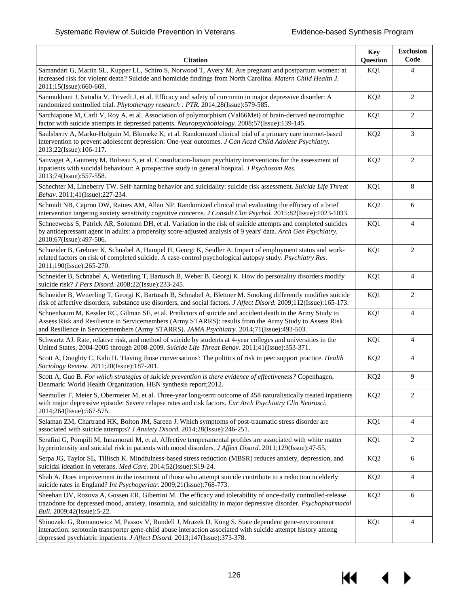KI

| <b>Citation</b>                                                                                                                                                                                                                                                                                                 | <b>Key</b><br>Question | <b>Exclusion</b><br>Code |
|-----------------------------------------------------------------------------------------------------------------------------------------------------------------------------------------------------------------------------------------------------------------------------------------------------------------|------------------------|--------------------------|
| Samandari G, Martin SL, Kupper LL, Schiro S, Norwood T, Avery M. Are pregnant and postpartum women: at<br>increased risk for violent death? Suicide and homicide findings from North Carolina. Matern Child Health J.<br>2011;15(Issue):660-669.                                                                | KQ1                    | 4                        |
| Sanmukhani J, Satodia V, Trivedi J, et al. Efficacy and safety of curcumin in major depressive disorder: A<br>randomized controlled trial. Phytotherapy research : PTR. 2014;28(Issue):579-585.                                                                                                                 | KQ <sub>2</sub>        | 2                        |
| Sarchiapone M, Carli V, Roy A, et al. Association of polymorphism (Val66Met) of brain-derived neurotrophic<br>factor with suicide attempts in depressed patients. Neuropsychobiology. 2008;57(Issue):139-145.                                                                                                   | KQ1                    | $\overline{2}$           |
| Saulsberry A, Marko-Holguin M, Blomeke K, et al. Randomized clinical trial of a primary care internet-based<br>intervention to prevent adolescent depression: One-year outcomes. J Can Acad Child Adolesc Psychiatry.<br>2013;22(Issue):106-117.                                                                | KQ <sub>2</sub>        | 3                        |
| Sauvaget A, Guitteny M, Bulteau S, et al. Consultation-liaison psychiatry interventions for the assessment of<br>inpatients with suicidal behaviour: A prospective study in general hospital. J Psychosom Res.<br>2013;74(Issue):557-558.                                                                       | KQ <sub>2</sub>        | $\overline{2}$           |
| Schechter M, Lineberry TW. Self-harming behavior and suicidality: suicide risk assessment. Suicide Life Threat<br>Behav. 2011;41(Issue):227-234.                                                                                                                                                                | KQ1                    | 8                        |
| Schmidt NB, Capron DW, Raines AM, Allan NP. Randomized clinical trial evaluating the efficacy of a brief<br>intervention targeting anxiety sensitivity cognitive concerns. J Consult Clin Psychol. 2015;82(Issue):1023-1033.                                                                                    | KQ <sub>2</sub>        | 6                        |
| Schneeweiss S, Patrick AR, Solomon DH, et al. Variation in the risk of suicide attempts and completed suicides<br>by antidepressant agent in adults: a propensity score-adjusted analysis of 9 years' data. Arch Gen Psychiatry.<br>2010;67(Issue):497-506.                                                     | KQ1                    | $\overline{4}$           |
| Schneider B, Grebner K, Schnabel A, Hampel H, Georgi K, Seidler A. Impact of employment status and work-<br>related factors on risk of completed suicide. A case-control psychological autopsy study. Psychiatry Res.<br>2011;190(Issue):265-270.                                                               | KQ1                    | 2                        |
| Schneider B, Schnabel A, Wetterling T, Bartusch B, Weber B, Georgi K. How do personality disorders modify<br>suicide risk? J Pers Disord. 2008;22(Issue):233-245.                                                                                                                                               | KQ1                    | $\overline{4}$           |
| Schneider B, Wetterling T, Georgi K, Bartusch B, Schnabel A, Blettner M. Smoking differently modifies suicide<br>risk of affective disorders, substance use disorders, and social factors. J Affect Disord. 2009;112(Issue):165-173.                                                                            | KQ1                    | $\overline{2}$           |
| Schoenbaum M, Kessler RC, Gilman SE, et al. Predictors of suicide and accident death in the Army Study to<br>Assess Risk and Resilience in Servicemembers (Army STARRS): results from the Army Study to Assess Risk<br>and Resilience in Servicemembers (Army STARRS). JAMA Psychiatry. 2014;71(Issue):493-503. | KQ1                    | $\overline{4}$           |
| Schwartz AJ. Rate, relative risk, and method of suicide by students at 4-year colleges and universities in the<br>United States, 2004-2005 through 2008-2009. Suicide Life Threat Behav. 2011;41(Issue):353-371.                                                                                                | KQ1                    | $\overline{4}$           |
| Scott A, Doughty C, Kahi H. 'Having those conversations': The politics of risk in peer support practice. Health<br>Sociology Review. 2011;20(Issue):187-201.                                                                                                                                                    | KQ <sub>2</sub>        | $\overline{4}$           |
| Scott A, Guo B. For which strategies of suicide prevention is there evidence of effectiveness? Copenhagen,<br>Denmark: World Health Organization, HEN synthesis report; 2012.                                                                                                                                   | KQ <sub>2</sub>        | 9                        |
| Seemuller F, Meier S, Obermeier M, et al. Three-year long-term outcome of 458 naturalistically treated inpatients<br>with major depressive episode: Severe relapse rates and risk factors. Eur Arch Psychiatry Clin Neurosci.<br>2014;264(Issue):567-575.                                                       | KQ <sub>2</sub>        | 2                        |
| Selaman ZM, Chartrand HK, Bolton JM, Sareen J. Which symptoms of post-traumatic stress disorder are<br>associated with suicide attempts? J Anxiety Disord. 2014;28(Issue):246-251.                                                                                                                              | KQ1                    | 4                        |
| Serafini G, Pompili M, Innamorati M, et al. Affective temperamental profiles are associated with white matter<br>hyperintensity and suicidal risk in patients with mood disorders. <i>J Affect Disord</i> . 2011;129(Issue):47-55.                                                                              | KQ1                    | 2                        |
| Serpa JG, Taylor SL, Tillisch K. Mindfulness-based stress reduction (MBSR) reduces anxiety, depression, and<br>suicidal ideation in veterans. Med Care. 2014;52(Issue):S19-24.                                                                                                                                  | KQ <sub>2</sub>        | 6                        |
| Shah A. Does improvement in the treatment of those who attempt suicide contribute to a reduction in elderly<br>suicide rates in England? Int Psychogeriatr. 2009;21(Issue):768-773.                                                                                                                             | KQ <sub>2</sub>        | $\overline{4}$           |
| Sheehan DV, Rozova A, Gossen ER, Gibertini M. The efficacy and tolerability of once-daily controlled-release<br>trazodone for depressed mood, anxiety, insomnia, and suicidality in major depressive disorder. <i>Psychopharmacol</i><br>Bull. 2009;42(Issue):5-22.                                             | KQ <sub>2</sub>        | 6                        |
| Shinozaki G, Romanowicz M, Passov V, Rundell J, Mrazek D, Kung S. State dependent gene-environment<br>interaction: serotonin transporter gene-child abuse interaction associated with suicide attempt history among<br>depressed psychiatric inpatients. <i>J Affect Disord.</i> 2013;147(Issue):373-378.       | KQ1                    | $\overline{4}$           |

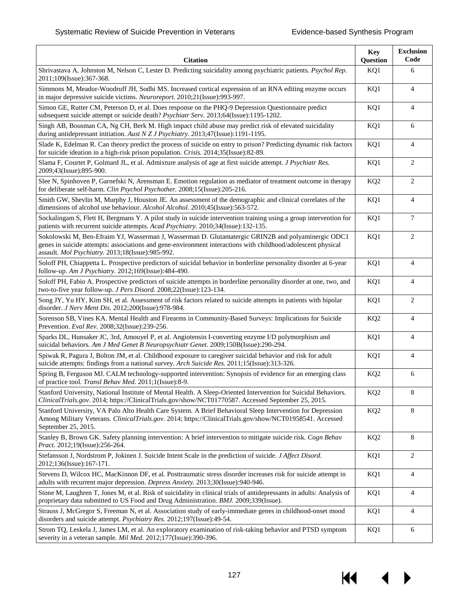14

 $\blacktriangleright$ 

| <b>Citation</b>                                                                                                                                                                                                                                                        | <b>Key</b><br>Question | <b>Exclusion</b><br>Code |
|------------------------------------------------------------------------------------------------------------------------------------------------------------------------------------------------------------------------------------------------------------------------|------------------------|--------------------------|
| Shrivastava A, Johnston M, Nelson C, Lester D. Predicting suicidality among psychiatric patients. Psychol Rep.<br>2011;109(Issue):367-368.                                                                                                                             | KQ1                    | 6                        |
| Simmons M, Meador-Woodruff JH, Sodhi MS. Increased cortical expression of an RNA editing enzyme occurs<br>in major depressive suicide victims. Neuroreport. 2010;21(Issue):993-997.                                                                                    | KQ1                    | $\overline{4}$           |
| Simon GE, Rutter CM, Peterson D, et al. Does response on the PHQ-9 Depression Questionnaire predict<br>subsequent suicide attempt or suicide death? Psychiatr Serv. 2013;64(Issue):1195-1202.                                                                          | KQ1                    | $\overline{4}$           |
| Singh AB, Bousman CA, Ng CH, Berk M. High impact child abuse may predict risk of elevated suicidality<br>during antidepressant initiation. Aust N Z J Psychiatry. 2013;47(Issue):1191-1195.                                                                            | KQ1                    | 6                        |
| Slade K, Edelman R. Can theory predict the process of suicide on entry to prison? Predicting dynamic risk factors<br>for suicide ideation in a high-risk prison population. Crisis. 2014;35(Issue):82-89.                                                              | KQ1                    | $\overline{4}$           |
| Slama F, Courtet P, Golmard JL, et al. Admixture analysis of age at first suicide attempt. J Psychiatr Res.<br>2009;43(Issue):895-900.                                                                                                                                 | KQ1                    | 2                        |
| Slee N, Spinhoven P, Garnefski N, Arensman E. Emotion regulation as mediator of treatment outcome in therapy<br>for deliberate self-harm. Clin Psychol Psychother. 2008;15(Issue):205-216.                                                                             | KQ <sub>2</sub>        | 2                        |
| Smith GW, Shevlin M, Murphy J, Houston JE. An assessment of the demographic and clinical correlates of the<br>dimensions of alcohol use behaviour. Alcohol Alcohol. 2010;45(Issue):563-572.                                                                            | KQ1                    | $\overline{4}$           |
| Sockalingam S, Flett H, Bergmans Y. A pilot study in suicide intervention training using a group intervention for<br>patients with recurrent suicide attempts. Acad Psychiatry. 2010;34(Issue):132-135.                                                                | KQ1                    | $\overline{7}$           |
| Sokolowski M, Ben-Efraim YJ, Wasserman J, Wasserman D. Glutamatergic GRIN2B and polyaminergic ODC1<br>genes in suicide attempts: associations and gene-environment interactions with childhood/adolescent physical<br>assault. Mol Psychiatry. 2013;18(Issue):985-992. | KQ1                    | 2                        |
| Soloff PH, Chiappetta L. Prospective predictors of suicidal behavior in borderline personality disorder at 6-year<br>follow-up. Am J Psychiatry. 2012;169(Issue):484-490.                                                                                              | KQ1                    | $\overline{4}$           |
| Soloff PH, Fabio A. Prospective predictors of suicide attempts in borderline personality disorder at one, two, and<br>two-to-five year follow-up. J Pers Disord. 2008;22(Issue):123-134.                                                                               | KQ1                    | $\overline{4}$           |
| Song JY, Yu HY, Kim SH, et al. Assessment of risk factors related to suicide attempts in patients with bipolar<br>disorder. J Nerv Ment Dis. 2012;200(Issue):978-984.                                                                                                  | KQ1                    | 2                        |
| Sorenson SB, Vines KA. Mental Health and Firearms in Community-Based Surveys: Implications for Suicide<br>Prevention. Eval Rev. 2008;32(Issue):239-256.                                                                                                                | KQ <sub>2</sub>        | $\overline{4}$           |
| Sparks DL, Hunsaker JC, 3rd, Amouyel P, et al. Angiotensin I-converting enzyme I/D polymorphism and<br>suicidal behaviors. Am J Med Genet B Neuropsychiatr Genet. 2009;150B(Issue):290-294.                                                                            | KQ1                    | $\overline{4}$           |
| Spiwak R, Pagura J, Bolton JM, et al. Childhood exposure to caregiver suicidal behavior and risk for adult<br>suicide attempts: findings from a national survey. Arch Suicide Res. 2011;15(Issue):313-326.                                                             | KQ1                    | $\overline{4}$           |
| Spring B, Ferguson MJ. CALM technology-supported intervention: Synopsis of evidence for an emerging class<br>of practice tool. Transl Behav Med. 2011;1(Issue):8-9.                                                                                                    | KQ <sub>2</sub>        | 6                        |
| Stanford University, National Institute of Mental Health. A Sleep-Oriented Intervention for Suicidal Behaviors.<br>ClinicalTrials.gov. 2014; https://ClinicalTrials.gov/show/NCT01770587. Accessed September 25, 2015.                                                 | KQ <sub>2</sub>        | 8                        |
| Stanford University, VA Palo Alto Health Care System. A Brief Behavioral Sleep Intervention for Depression<br>Among Military Veterans. ClinicalTrials.gov. 2014; https://ClinicalTrials.gov/show/NCT01958541. Accessed<br>September 25, 2015.                          | KQ <sub>2</sub>        | 8                        |
| Stanley B, Brown GK. Safety planning intervention: A brief intervention to mitigate suicide risk. Cogn Behav<br>Pract. 2012;19(Issue):256-264.                                                                                                                         | KQ <sub>2</sub>        | $8\,$                    |
| Stefansson J, Nordstrom P, Jokinen J. Suicide Intent Scale in the prediction of suicide. J Affect Disord.<br>2012;136(Issue):167-171.                                                                                                                                  | KQ1                    | $\overline{2}$           |
| Stevens D, Wilcox HC, MacKinnon DF, et al. Posttraumatic stress disorder increases risk for suicide attempt in<br>adults with recurrent major depression. Depress Anxiety. 2013;30(Issue):940-946.                                                                     | KQ1                    | $\overline{4}$           |
| Stone M, Laughren T, Jones M, et al. Risk of suicidality in clinical trials of antidepressants in adults: Analysis of<br>proprietary data submitted to US Food and Drug Administration. BMJ. 2009;339(Issue).                                                          | KQ1                    | $\overline{4}$           |
| Strauss J, McGregor S, Freeman N, et al. Association study of early-immediate genes in childhood-onset mood<br>disorders and suicide attempt. Psychiatry Res. 2012;197(Issue):49-54.                                                                                   | KQ1                    | $\overline{4}$           |
| Strom TQ, Leskela J, James LM, et al. An exploratory examination of risk-taking behavior and PTSD symptom<br>severity in a veteran sample. Mil Med. 2012;177(Issue):390-396.                                                                                           | KQ1                    | 6                        |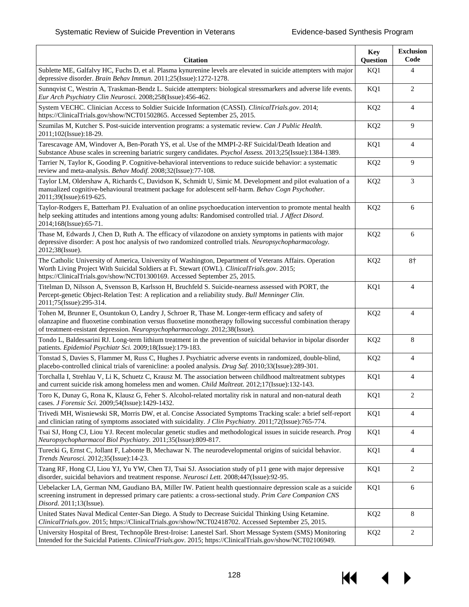| <b>Citation</b>                                                                                                                                                                                                                                                                                  | <b>Key</b><br>Question | <b>Exclusion</b><br>Code |
|--------------------------------------------------------------------------------------------------------------------------------------------------------------------------------------------------------------------------------------------------------------------------------------------------|------------------------|--------------------------|
| Sublette ME, Galfalvy HC, Fuchs D, et al. Plasma kynurenine levels are elevated in suicide attempters with major<br>depressive disorder. Brain Behav Immun. 2011;25(Issue):1272-1278.                                                                                                            | KQ1                    | $\overline{4}$           |
| Sunnqvist C, Westrin A, Traskman-Bendz L. Suicide attempters: biological stressmarkers and adverse life events.<br>Eur Arch Psychiatry Clin Neurosci. 2008;258(Issue):456-462.                                                                                                                   | KQ1                    | 2                        |
| System VECHC. Clinician Access to Soldier Suicide Information (CASSI). ClinicalTrials.gov. 2014;<br>https://ClinicalTrials.gov/show/NCT01502865. Accessed September 25, 2015.                                                                                                                    | KQ <sub>2</sub>        | $\overline{4}$           |
| Szumilas M, Kutcher S. Post-suicide intervention programs: a systematic review. Can J Public Health.<br>2011;102(Issue):18-29.                                                                                                                                                                   | KQ <sub>2</sub>        | 9                        |
| Tarescavage AM, Windover A, Ben-Porath YS, et al. Use of the MMPI-2-RF Suicidal/Death Ideation and<br>Substance Abuse scales in screening bariatric surgery candidates. Psychol Assess. 2013;25(Issue):1384-1389.                                                                                | KQ1                    | $\overline{4}$           |
| Tarrier N, Taylor K, Gooding P. Cognitive-behavioral interventions to reduce suicide behavior: a systematic<br>review and meta-analysis. Behav Modif. 2008;32(Issue):77-108.                                                                                                                     | KQ <sub>2</sub>        | 9                        |
| Taylor LM, Oldershaw A, Richards C, Davidson K, Schmidt U, Simic M. Development and pilot evaluation of a<br>manualized cognitive-behavioural treatment package for adolescent self-harm. Behav Cogn Psychother.<br>2011;39(Issue):619-625.                                                      | KQ <sub>2</sub>        | 3                        |
| Taylor-Rodgers E, Batterham PJ. Evaluation of an online psychoeducation intervention to promote mental health<br>help seeking attitudes and intentions among young adults: Randomised controlled trial. J Affect Disord.<br>2014;168(Issue):65-71.                                               | KQ <sub>2</sub>        | 6                        |
| Thase M, Edwards J, Chen D, Ruth A. The efficacy of vilazodone on anxiety symptoms in patients with major<br>depressive disorder: A post hoc analysis of two randomized controlled trials. Neuropsychopharmacology.<br>2012;38(Issue).                                                           | KQ <sub>2</sub>        | 6                        |
| The Catholic University of America, University of Washington, Department of Veterans Affairs. Operation<br>Worth Living Project With Suicidal Soldiers at Ft. Stewart (OWL). ClinicalTrials.gov. 2015;<br>https://ClinicalTrials.gov/show/NCT01300169. Accessed September 25, 2015.              | KQ <sub>2</sub>        | $8\dagger$               |
| Titelman D, Nilsson A, Svensson B, Karlsson H, Bruchfeld S. Suicide-nearness assessed with PORT, the<br>Percept-genetic Object-Relation Test: A replication and a reliability study. Bull Menninger Clin.<br>2011;75(Issue):295-314.                                                             | KQ1                    | $\overline{4}$           |
| Tohen M, Brunner E, Osuntokun O, Landry J, Schroer R, Thase M. Longer-term efficacy and safety of<br>olanzapine and fluoxetine combination versus fluoxetine monotherapy following successful combination therapy<br>of treatment-resistant depression. Neuropsychopharmacology. 2012;38(Issue). | KQ <sub>2</sub>        | $\overline{4}$           |
| Tondo L, Baldessarini RJ. Long-term lithium treatment in the prevention of suicidal behavior in bipolar disorder<br>patients. Epidemiol Psychiatr Sci. 2009;18(Issue):179-183.                                                                                                                   | KQ <sub>2</sub>        | 8                        |
| Tonstad S, Davies S, Flammer M, Russ C, Hughes J. Psychiatric adverse events in randomized, double-blind,<br>placebo-controlled clinical trials of varenicline: a pooled analysis. Drug Saf. 2010;33(Issue):289-301.                                                                             | KQ <sub>2</sub>        | $\overline{4}$           |
| Torchalla I, Strehlau V, Li K, Schuetz C, Krausz M. The association between childhood maltreatment subtypes<br>and current suicide risk among homeless men and women. Child Maltreat. 2012;17(Issue):132-143.                                                                                    | KQ1                    | $\overline{4}$           |
| Toro K, Dunay G, Rona K, Klausz G, Feher S. Alcohol-related mortality risk in natural and non-natural death<br>cases. J Forensic Sci. 2009;54(Issue):1429-1432.                                                                                                                                  | KQ1                    | $\mathbf{2}$             |
| Trivedi MH, Wisniewski SR, Morris DW, et al. Concise Associated Symptoms Tracking scale: a brief self-report<br>and clinician rating of symptoms associated with suicidality. J Clin Psychiatry. 2011;72(Issue):765-774.                                                                         | KQ1                    | 4                        |
| Tsai SJ, Hong CJ, Liou YJ. Recent molecular genetic studies and methodological issues in suicide research. Prog<br>Neuropsychopharmacol Biol Psychiatry. 2011;35(Issue):809-817.                                                                                                                 | KQ1                    | 4                        |
| Turecki G, Ernst C, Jollant F, Labonte B, Mechawar N. The neurodevelopmental origins of suicidal behavior.<br>Trends Neurosci. 2012;35(Issue):14-23.                                                                                                                                             | KQ1                    | 4                        |
| Tzang RF, Hong CJ, Liou YJ, Yu YW, Chen TJ, Tsai SJ. Association study of p11 gene with major depressive<br>disorder, suicidal behaviors and treatment response. Neurosci Lett. 2008;447(Issue):92-95.                                                                                           | KQ1                    | 2                        |
| Uebelacker LA, German NM, Gaudiano BA, Miller IW. Patient health questionnaire depression scale as a suicide<br>screening instrument in depressed primary care patients: a cross-sectional study. Prim Care Companion CNS<br>Disord. 2011;13(Issue).                                             | KQ1                    | 6                        |
| United States Naval Medical Center-San Diego. A Study to Decrease Suicidal Thinking Using Ketamine.<br>ClinicalTrials.gov. 2015; https://ClinicalTrials.gov/show/NCT02418702. Accessed September 25, 2015.                                                                                       | KQ <sub>2</sub>        | 8                        |
| University Hospital of Brest, Technopôle Brest-Iroise: Lanestel Sarl. Short Message System (SMS) Monitoring<br>Intended for the Suicidal Patients. ClinicalTrials.gov. 2015; https://ClinicalTrials.gov/show/NCT02106949.                                                                        | KQ <sub>2</sub>        | $\sqrt{2}$               |

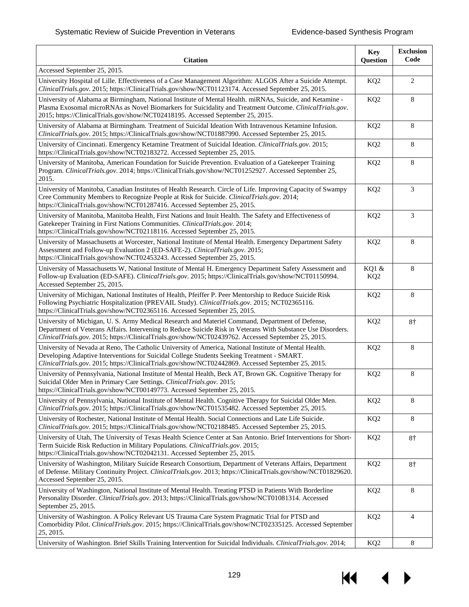| <b>Citation</b>                                                                                                                                                                                                                                                                                                        | <b>Key</b><br>Question   | <b>Exclusion</b><br>Code |
|------------------------------------------------------------------------------------------------------------------------------------------------------------------------------------------------------------------------------------------------------------------------------------------------------------------------|--------------------------|--------------------------|
| Accessed September 25, 2015.                                                                                                                                                                                                                                                                                           |                          |                          |
| University Hospital of Lille. Effectiveness of a Case Management Algorithm: ALGOS After a Suicide Attempt.<br>ClinicalTrials.gov. 2015; https://ClinicalTrials.gov/show/NCT01123174. Accessed September 25, 2015.                                                                                                      | KQ <sub>2</sub>          | 2                        |
| University of Alabama at Birmingham, National Institute of Mental Health. miRNAs, Suicide, and Ketamine -<br>Plasma Exosomal microRNAs as Novel Biomarkers for Suicidality and Treatment Outcome. ClinicalTrials.gov.<br>2015; https://ClinicalTrials.gov/show/NCT02418195. Accessed September 25, 2015.               | KQ <sub>2</sub>          | 8                        |
| University of Alabama at Birmingham. Treatment of Suicidal Ideation With Intravenous Ketamine Infusion.<br>ClinicalTrials.gov. 2015; https://ClinicalTrials.gov/show/NCT01887990. Accessed September 25, 2015.                                                                                                         | KQ <sub>2</sub>          | 8                        |
| University of Cincinnati. Emergency Ketamine Treatment of Suicidal Ideation. ClinicalTrials.gov. 2015;<br>https://ClinicalTrials.gov/show/NCT02183272. Accessed September 25, 2015.                                                                                                                                    | KQ <sub>2</sub>          | 8                        |
| University of Manitoba, American Foundation for Suicide Prevention. Evaluation of a Gatekeeper Training<br>Program. ClinicalTrials.gov. 2014; https://ClinicalTrials.gov/show/NCT01252927. Accessed September 25,<br>2015.                                                                                             | KQ <sub>2</sub>          | 8                        |
| University of Manitoba, Canadian Institutes of Health Research. Circle of Life. Improving Capacity of Swampy<br>Cree Community Members to Recognize People at Risk for Suicide. ClinicalTrials.gov. 2014;<br>https://ClinicalTrials.gov/show/NCT01287416. Accessed September 25, 2015.                                 | KQ <sub>2</sub>          | 3                        |
| University of Manitoba, Manitoba Health, First Nations and Inuit Health. The Safety and Effectiveness of<br>Gatekeeper Training in First Nations Communities. ClinicalTrials.gov. 2014;<br>https://ClinicalTrials.gov/show/NCT02118116. Accessed September 25, 2015.                                                   | KQ <sub>2</sub>          | 3                        |
| University of Massachusetts at Worcester, National Institute of Mental Health. Emergency Department Safety<br>Assessment and Follow-up Evaluation 2 (ED-SAFE-2). ClinicalTrials.gov. 2015;<br>https://ClinicalTrials.gov/show/NCT02453243. Accessed September 25, 2015.                                                | KQ <sub>2</sub>          | 8                        |
| University of Massachusetts W, National Institute of Mental H. Emergency Department Safety Assessment and<br>Follow-up Evaluation (ED-SAFE). ClinicalTrials.gov. 2015; https://ClinicalTrials.gov/show/NCT01150994.<br>Accessed September 25, 2015.                                                                    | KQ1 &<br>KQ <sub>2</sub> | 8                        |
| University of Michigan, National Institutes of Health, Pfeiffer P. Peer Mentorship to Reduce Suicide Risk<br>Following Psychiatric Hospitalization (PREVAIL Study). ClinicalTrials.gov. 2015; NCT02365116.<br>https://ClinicalTrials.gov/show/NCT02365116. Accessed September 25, 2015.                                | KQ <sub>2</sub>          | 8                        |
| University of Michigan, U.S. Army Medical Research and Materiel Command, Department of Defense,<br>Department of Veterans Affairs. Intervening to Reduce Suicide Risk in Veterans With Substance Use Disorders.<br>ClinicalTrials.gov. 2015; https://ClinicalTrials.gov/show/NCT02439762. Accessed September 25, 2015. | KQ <sub>2</sub>          | $8+$                     |
| University of Nevada at Reno, The Catholic University of America, National Institute of Mental Health.<br>Developing Adaptive Interventions for Suicidal College Students Seeking Treatment - SMART.<br>ClinicalTrials.gov. 2015; https://ClinicalTrials.gov/show/NCT02442869. Accessed September 25, 2015.            | KQ <sub>2</sub>          | 8                        |
| University of Pennsylvania, National Institute of Mental Health, Beck AT, Brown GK. Cognitive Therapy for<br>Suicidal Older Men in Primary Care Settings. ClinicalTrials.gov. 2015;<br>https://ClinicalTrials.gov/show/NCT00149773. Accessed September 25, 2015.                                                       | KQ <sub>2</sub>          | 8                        |
| University of Pennsylvania, National Institute of Mental Health. Cognitive Therapy for Suicidal Older Men.<br>ClinicalTrials.gov. 2015; https://ClinicalTrials.gov/show/NCT01535482. Accessed September 25, 2015.                                                                                                      | KQ <sub>2</sub>          | 8                        |
| University of Rochester, National Institute of Mental Health. Social Connections and Late Life Suicide.<br>ClinicalTrials.gov. 2015; https://ClinicalTrials.gov/show/NCT02188485. Accessed September 25, 2015.                                                                                                         | KQ <sub>2</sub>          | 8                        |
| University of Utah, The University of Texas Health Science Center at San Antonio. Brief Interventions for Short-<br>Term Suicide Risk Reduction in Military Populations. ClinicalTrials.gov. 2015;<br>https://ClinicalTrials.gov/show/NCT02042131. Accessed September 25, 2015.                                        | KQ <sub>2</sub>          | $8+$                     |
| University of Washington, Military Suicide Research Consortium, Department of Veterans Affairs, Department<br>of Defense. Military Continuity Project. ClinicalTrials.gov. 2013; https://ClinicalTrials.gov/show/NCT01829620.<br>Accessed September 25, 2015.                                                          | KQ <sub>2</sub>          | $8+$                     |
| University of Washington, National Institute of Mental Health. Treating PTSD in Patients With Borderline<br>Personality Disorder. ClinicalTrials.gov. 2013; https://ClinicalTrials.gov/show/NCT01081314. Accessed<br>September 25, 2015.                                                                               | KQ <sub>2</sub>          | 8                        |
| University of Washington. A Policy Relevant US Trauma Care System Pragmatic Trial for PTSD and<br>Comorbidity Pilot. ClinicalTrials.gov. 2015; https://ClinicalTrials.gov/show/NCT02335125. Accessed September<br>25, 2015.                                                                                            | KQ <sub>2</sub>          | $\overline{4}$           |
| University of Washington. Brief Skills Training Intervention for Suicidal Individuals. ClinicalTrials.gov. 2014;                                                                                                                                                                                                       | KQ <sub>2</sub>          | 8                        |

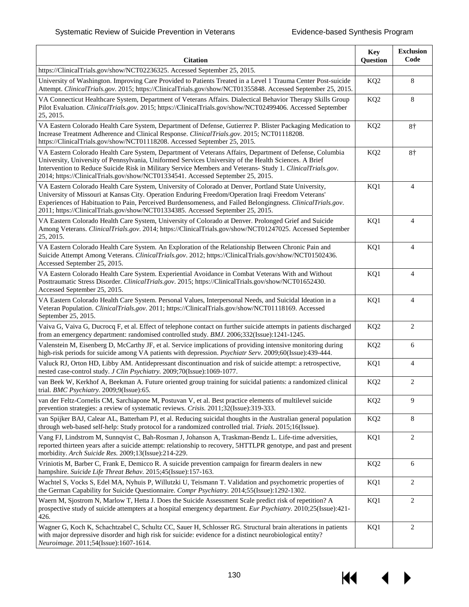KI

 $\blacktriangleright$ 

| <b>Citation</b>                                                                                                                                                                                                                                                                                                                                                                                                   | <b>Key</b><br>Question | <b>Exclusion</b><br>Code |
|-------------------------------------------------------------------------------------------------------------------------------------------------------------------------------------------------------------------------------------------------------------------------------------------------------------------------------------------------------------------------------------------------------------------|------------------------|--------------------------|
| https://ClinicalTrials.gov/show/NCT02236325. Accessed September 25, 2015.                                                                                                                                                                                                                                                                                                                                         |                        |                          |
| University of Washington. Improving Care Provided to Patients Treated in a Level 1 Trauma Center Post-suicide<br>Attempt. ClinicalTrials.gov. 2015; https://ClinicalTrials.gov/show/NCT01355848. Accessed September 25, 2015.                                                                                                                                                                                     | KQ <sub>2</sub>        | 8                        |
| VA Connecticut Healthcare System, Department of Veterans Affairs. Dialectical Behavior Therapy Skills Group<br>Pilot Evaluation. ClinicalTrials.gov. 2015; https://ClinicalTrials.gov/show/NCT02499406. Accessed September<br>25, 2015.                                                                                                                                                                           | KQ <sub>2</sub>        | 8                        |
| VA Eastern Colorado Health Care System, Department of Defense, Gutierrez P. Blister Packaging Medication to<br>Increase Treatment Adherence and Clinical Response. ClinicalTrials.gov. 2015; NCT01118208.<br>https://ClinicalTrials.gov/show/NCT01118208. Accessed September 25, 2015.                                                                                                                            | KQ <sub>2</sub>        | $8+$                     |
| VA Eastern Colorado Health Care System, Department of Veterans Affairs, Department of Defense, Columbia<br>University, University of Pennsylvania, Uniformed Services University of the Health Sciences. A Brief<br>Intervention to Reduce Suicide Risk in Military Service Members and Veterans- Study 1. ClinicalTrials.gov.<br>2014; https://ClinicalTrials.gov/show/NCT01334541. Accessed September 25, 2015. | KQ <sub>2</sub>        | $8+$                     |
| VA Eastern Colorado Health Care System, University of Colorado at Denver, Portland State University,<br>University of Missouri at Kansas City. Operation Enduring Freedom/Operation Iraqi Freedom Veterans'<br>Experiences of Habituation to Pain, Perceived Burdensomeness, and Failed Belongingness. ClinicalTrials.gov.<br>2011; https://ClinicalTrials.gov/show/NCT01334385. Accessed September 25, 2015.     | KQ1                    | $\overline{4}$           |
| VA Eastern Colorado Health Care System, University of Colorado at Denver. Prolonged Grief and Suicide<br>Among Veterans. ClinicalTrials.gov. 2014; https://ClinicalTrials.gov/show/NCT01247025. Accessed September<br>25, 2015.                                                                                                                                                                                   | KQ1                    | $\overline{4}$           |
| VA Eastern Colorado Health Care System. An Exploration of the Relationship Between Chronic Pain and<br>Suicide Attempt Among Veterans. ClinicalTrials.gov. 2012; https://ClinicalTrials.gov/show/NCT01502436.<br>Accessed September 25, 2015.                                                                                                                                                                     | KQ1                    | 4                        |
| VA Eastern Colorado Health Care System. Experiential Avoidance in Combat Veterans With and Without<br>Posttraumatic Stress Disorder. ClinicalTrials.gov. 2015; https://ClinicalTrials.gov/show/NCT01652430.<br>Accessed September 25, 2015.                                                                                                                                                                       | KQ1                    | $\overline{4}$           |
| VA Eastern Colorado Health Care System. Personal Values, Interpersonal Needs, and Suicidal Ideation in a<br>Veteran Population. ClinicalTrials.gov. 2011; https://ClinicalTrials.gov/show/NCT01118169. Accessed<br>September 25, 2015.                                                                                                                                                                            | KQ1                    | 4                        |
| Vaiva G, Vaiva G, Ducrocq F, et al. Effect of telephone contact on further suicide attempts in patients discharged<br>from an emergency department: randomised controlled study. BMJ. 2006;332(Issue):1241-1245.                                                                                                                                                                                                  | KQ <sub>2</sub>        | 2                        |
| Valenstein M, Eisenberg D, McCarthy JF, et al. Service implications of providing intensive monitoring during<br>high-risk periods for suicide among VA patients with depression. <i>Psychiatr Serv.</i> 2009;60(Issue):439-444.                                                                                                                                                                                   | KQ <sub>2</sub>        | 6                        |
| Valuck RJ, Orton HD, Libby AM. Antidepressant discontinuation and risk of suicide attempt: a retrospective,<br>nested case-control study. J Clin Psychiatry. 2009;70(Issue):1069-1077.                                                                                                                                                                                                                            | KQ1                    | 4                        |
| van Beek W, Kerkhof A, Beekman A. Future oriented group training for suicidal patients: a randomized clinical<br>trial. <i>BMC Psychiatry.</i> 2009;9(Issue):65.                                                                                                                                                                                                                                                  | KQ <sub>2</sub>        | $\overline{2}$           |
| van der Feltz-Cornelis CM, Sarchiapone M, Postuvan V, et al. Best practice elements of multilevel suicide<br>prevention strategies: a review of systematic reviews. Crisis. 2011;32(Issue):319-333.                                                                                                                                                                                                               | KQ <sub>2</sub>        | 9                        |
| van Spijker BAJ, Calear AL, Batterham PJ, et al. Reducing suicidal thoughts in the Australian general population<br>through web-based self-help: Study protocol for a randomized controlled trial. Trials. 2015;16(Issue).                                                                                                                                                                                        | KQ <sub>2</sub>        | 8                        |
| Vang FJ, Lindstrom M, Sunnqvist C, Bah-Rosman J, Johanson A, Traskman-Bendz L. Life-time adversities,<br>reported thirteen years after a suicide attempt: relationship to recovery, 5HTTLPR genotype, and past and present<br>morbidity. Arch Suicide Res. 2009;13(Issue):214-229.                                                                                                                                | KQ1                    | $\overline{2}$           |
| Vriniotis M, Barber C, Frank E, Demicco R. A suicide prevention campaign for firearm dealers in new<br>hampshire. Suicide Life Threat Behav. 2015;45(Issue):157-163.                                                                                                                                                                                                                                              | KQ <sub>2</sub>        | 6                        |
| Wachtel S, Vocks S, Edel MA, Nyhuis P, Willutzki U, Teismann T. Validation and psychometric properties of<br>the German Capability for Suicide Questionnaire. Compr Psychiatry. 2014;55(Issue):1292-1302.                                                                                                                                                                                                         | KQ1                    | 2                        |
| Waern M, Sjostrom N, Marlow T, Hetta J. Does the Suicide Assessment Scale predict risk of repetition? A<br>prospective study of suicide attempters at a hospital emergency department. Eur Psychiatry. 2010;25(Issue):421-<br>426.                                                                                                                                                                                | KQ1                    | 2                        |
| Wagner G, Koch K, Schachtzabel C, Schultz CC, Sauer H, Schlosser RG. Structural brain alterations in patients<br>with major depressive disorder and high risk for suicide: evidence for a distinct neurobiological entity?<br>Neuroimage. 2011;54(Issue):1607-1614.                                                                                                                                               | KQ1                    | 2                        |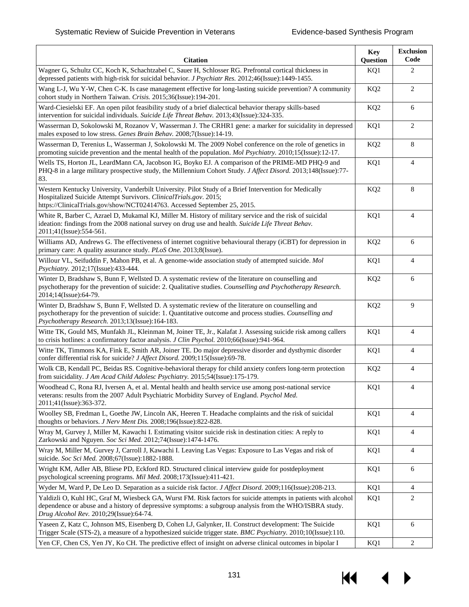| <b>Citation</b>                                                                                                                                                                                                                                                      | Key<br>Question | <b>Exclusion</b><br>Code |
|----------------------------------------------------------------------------------------------------------------------------------------------------------------------------------------------------------------------------------------------------------------------|-----------------|--------------------------|
| Wagner G, Schultz CC, Koch K, Schachtzabel C, Sauer H, Schlosser RG. Prefrontal cortical thickness in<br>depressed patients with high-risk for suicidal behavior. J Psychiatr Res. 2012;46(Issue):1449-1455.                                                         | KQ1             | 2                        |
| Wang L-J, Wu Y-W, Chen C-K. Is case management effective for long-lasting suicide prevention? A community<br>cohort study in Northern Taiwan. Crisis. 2015;36(Issue):194-201.                                                                                        | KQ <sub>2</sub> | 2                        |
| Ward-Ciesielski EF. An open pilot feasibility study of a brief dialectical behavior therapy skills-based<br>intervention for suicidal individuals. Suicide Life Threat Behav. 2013;43(Issue):324-335.                                                                | KQ <sub>2</sub> | 6                        |
| Wasserman D, Sokolowski M, Rozanov V, Wasserman J. The CRHR1 gene: a marker for suicidality in depressed<br>males exposed to low stress. Genes Brain Behav. 2008;7(Issue):14-19.                                                                                     | KQ1             | 2                        |
| Wasserman D, Terenius L, Wasserman J, Sokolowski M. The 2009 Nobel conference on the role of genetics in<br>promoting suicide prevention and the mental health of the population. Mol Psychiatry. 2010;15(Issue):12-17.                                              | KQ <sub>2</sub> | 8                        |
| Wells TS, Horton JL, LeardMann CA, Jacobson IG, Boyko EJ. A comparison of the PRIME-MD PHQ-9 and<br>PHQ-8 in a large military prospective study, the Millennium Cohort Study. J Affect Disord. 2013;148(Issue):77-<br>83.                                            | KQ1             | 4                        |
| Western Kentucky University, Vanderbilt University. Pilot Study of a Brief Intervention for Medically<br>Hospitalized Suicide Attempt Survivors. ClinicalTrials.gov. 2015;<br>https://ClinicalTrials.gov/show/NCT02414763. Accessed September 25, 2015.              | KQ <sub>2</sub> | 8                        |
| White R, Barber C, Azrael D, Mukamal KJ, Miller M. History of military service and the risk of suicidal<br>ideation: findings from the 2008 national survey on drug use and health. Suicide Life Threat Behav.<br>2011;41(Issue):554-561.                            | KQ1             | 4                        |
| Williams AD, Andrews G. The effectiveness of internet cognitive behavioural therapy (iCBT) for depression in<br>primary care: A quality assurance study. PLoS One. 2013;8(Issue).                                                                                    | KQ <sub>2</sub> | 6                        |
| Willour VL, Seifuddin F, Mahon PB, et al. A genome-wide association study of attempted suicide. Mol<br>Psychiatry. 2012;17(Issue):433-444.                                                                                                                           | KQ1             | 4                        |
| Winter D, Bradshaw S, Bunn F, Wellsted D. A systematic review of the literature on counselling and<br>psychotherapy for the prevention of suicide: 2. Qualitative studies. Counselling and Psychotherapy Research.<br>2014;14(Issue):64-79.                          | KQ <sub>2</sub> | 6                        |
| Winter D, Bradshaw S, Bunn F, Wellsted D. A systematic review of the literature on counselling and<br>psychotherapy for the prevention of suicide: 1. Quantitative outcome and process studies. Counselling and<br>Psychotherapy Research. 2013;13(Issue):164-183.   | KQ <sub>2</sub> | 9                        |
| Witte TK, Gould MS, Munfakh JL, Kleinman M, Joiner TE, Jr., Kalafat J. Assessing suicide risk among callers<br>to crisis hotlines: a confirmatory factor analysis. J Clin Psychol. 2010;66(Issue):941-964.                                                           | KQ1             | $\overline{4}$           |
| Witte TK, Timmons KA, Fink E, Smith AR, Joiner TE. Do major depressive disorder and dysthymic disorder<br>confer differential risk for suicide? J Affect Disord. 2009;115(Issue):69-78.                                                                              | KQ1             | $\overline{4}$           |
| Wolk CB, Kendall PC, Beidas RS. Cognitive-behavioral therapy for child anxiety confers long-term protection<br>from suicidality. J Am Acad Child Adolesc Psychiatry. 2015;54(Issue):175-179.                                                                         | KQ <sub>2</sub> | $\overline{4}$           |
| Woodhead C, Rona RJ, Iversen A, et al. Mental health and health service use among post-national service<br>veterans: results from the 2007 Adult Psychiatric Morbidity Survey of England. Psychol Med.<br>2011;41(Issue):363-372.                                    | KQ1             |                          |
| Woolley SB, Fredman L, Goethe JW, Lincoln AK, Heeren T. Headache complaints and the risk of suicidal<br>thoughts or behaviors. J Nerv Ment Dis. 2008;196(Issue):822-828.                                                                                             | KQ1             | 4                        |
| Wray M, Gurvey J, Miller M, Kawachi I. Estimating visitor suicide risk in destination cities: A reply to<br>Zarkowski and Nguyen. Soc Sci Med. 2012;74(Issue):1474-1476.                                                                                             | KQ1             | 4                        |
| Wray M, Miller M, Gurvey J, Carroll J, Kawachi I. Leaving Las Vegas: Exposure to Las Vegas and risk of<br>suicide. Soc Sci Med. 2008;67(Issue):1882-1888.                                                                                                            | KQ1             | 4                        |
| Wright KM, Adler AB, Bliese PD, Eckford RD. Structured clinical interview guide for postdeployment<br>psychological screening programs. Mil Med. 2008;173(Issue):411-421.                                                                                            | KQ1             | 6                        |
| Wyder M, Ward P, De Leo D. Separation as a suicide risk factor. <i>J Affect Disord.</i> 2009;116(Issue):208-213.                                                                                                                                                     | KQ1             | 4                        |
| Yaldizli O, Kuhl HC, Graf M, Wiesbeck GA, Wurst FM. Risk factors for suicide attempts in patients with alcohol<br>dependence or abuse and a history of depressive symptoms: a subgroup analysis from the WHO/ISBRA study.<br>Drug Alcohol Rev. 2010;29(Issue):64-74. | KQ1             | 2                        |
| Yaseen Z, Katz C, Johnson MS, Eisenberg D, Cohen LJ, Galynker, II. Construct development: The Suicide<br>Trigger Scale (STS-2), a measure of a hypothesized suicide trigger state. BMC Psychiatry. 2010;10(Issue):110.                                               | KQ1             | 6                        |
| Yen CF, Chen CS, Yen JY, Ko CH. The predictive effect of insight on adverse clinical outcomes in bipolar I                                                                                                                                                           | KQ1             | 2                        |